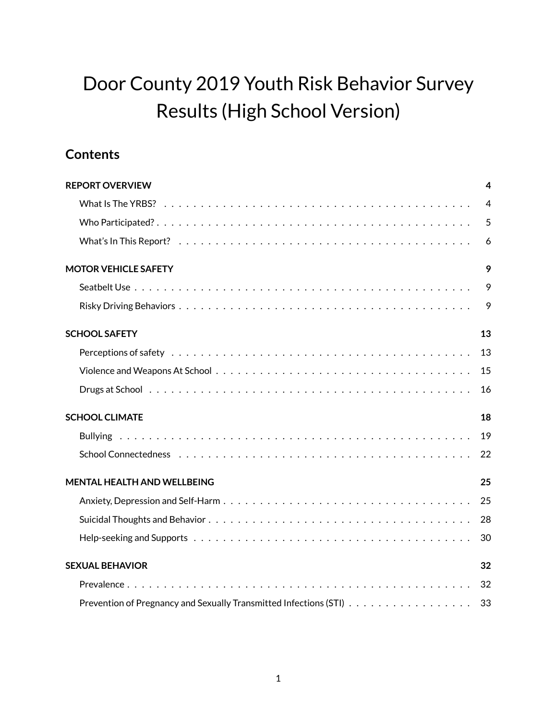# Door County 2019 Youth Risk Behavior Survey Results (High School Version)

# **Contents**

| <b>REPORT OVERVIEW</b>             | 4  |
|------------------------------------|----|
|                                    | 4  |
|                                    | 5  |
|                                    | 6  |
| <b>MOTOR VEHICLE SAFETY</b>        | 9  |
|                                    | 9  |
|                                    | 9  |
| <b>SCHOOL SAFETY</b>               | 13 |
|                                    | 13 |
|                                    | 15 |
|                                    | 16 |
| <b>SCHOOL CLIMATE</b>              | 18 |
|                                    | 19 |
|                                    | 22 |
| <b>MENTAL HEALTH AND WELLBEING</b> | 25 |
|                                    | 25 |
|                                    |    |
|                                    | 30 |
| <b>SEXUAL BEHAVIOR</b>             | 32 |
|                                    | 32 |
|                                    | 33 |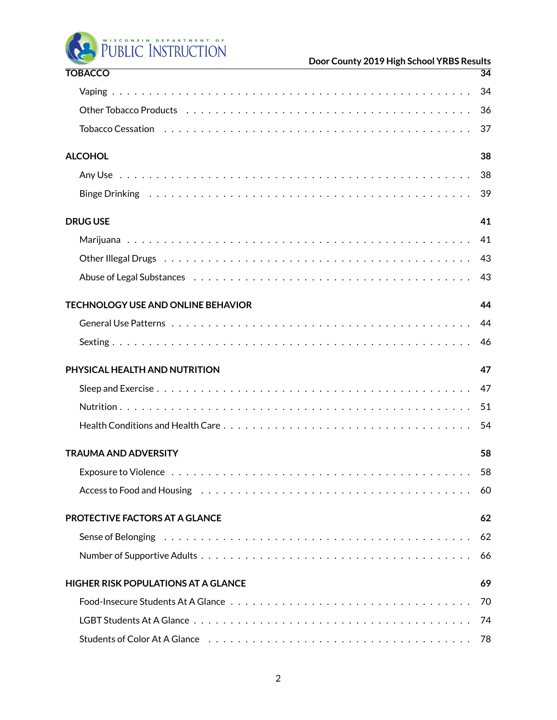PUBLIC INSTRUCTION

| <b>TOBACCO</b>                                                                                                  | $\overline{34}$ |
|-----------------------------------------------------------------------------------------------------------------|-----------------|
|                                                                                                                 | 34              |
| Other Tobacco Products (also contained also contained also contained also contained also contained a contained  | 36              |
| Tobacco Cessation (all contracts) and the contracts of the contracts of the contracts of the contracts of the c | 37              |
| <b>ALCOHOL</b>                                                                                                  | 38              |
|                                                                                                                 | 38              |
|                                                                                                                 | 39              |
| <b>DRUG USE</b>                                                                                                 | 41              |
|                                                                                                                 | 41              |
|                                                                                                                 | 43              |
|                                                                                                                 | 43              |
| <b>TECHNOLOGY USE AND ONLINE BEHAVIOR</b>                                                                       | 44              |
|                                                                                                                 | 44              |
|                                                                                                                 | 46              |
| PHYSICAL HEALTH AND NUTRITION                                                                                   | 47              |
|                                                                                                                 | 47              |
|                                                                                                                 |                 |
|                                                                                                                 | 51              |
|                                                                                                                 | 54              |
| <b>TRAUMA AND ADVERSITY</b>                                                                                     | 58              |
|                                                                                                                 | 58              |
|                                                                                                                 | 60              |
| PROTECTIVE FACTORS AT A GLANCE                                                                                  | 62              |
|                                                                                                                 | 62              |
|                                                                                                                 | 66              |
| <b>HIGHER RISK POPULATIONS AT A GLANCE</b>                                                                      | 69              |
|                                                                                                                 | 70              |
|                                                                                                                 |                 |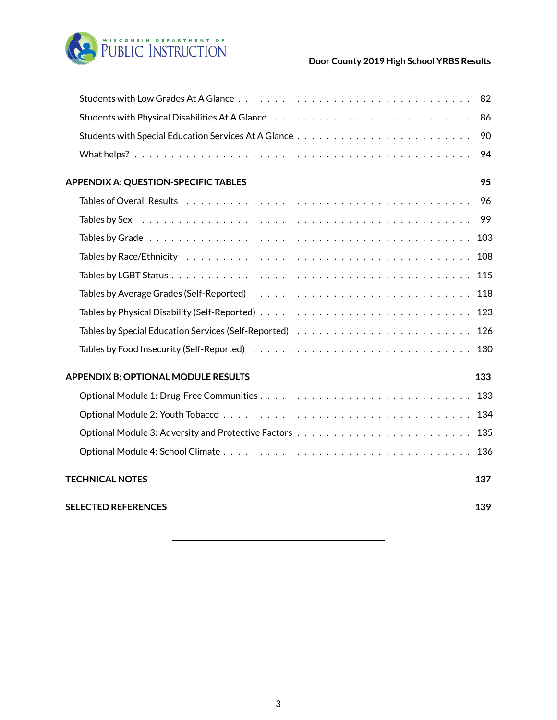

|                                             | 86  |
|---------------------------------------------|-----|
|                                             | 90  |
|                                             | 94  |
| <b>APPENDIX A: QUESTION-SPECIFIC TABLES</b> | 95  |
|                                             | 96  |
|                                             |     |
|                                             |     |
|                                             |     |
|                                             |     |
|                                             |     |
|                                             |     |
|                                             |     |
|                                             |     |
| <b>APPENDIX B: OPTIONAL MODULE RESULTS</b>  | 133 |
|                                             |     |
|                                             |     |
|                                             |     |
|                                             |     |
| <b>TECHNICAL NOTES</b>                      | 137 |
| <b>SELECTED REFERENCES</b>                  | 139 |
|                                             |     |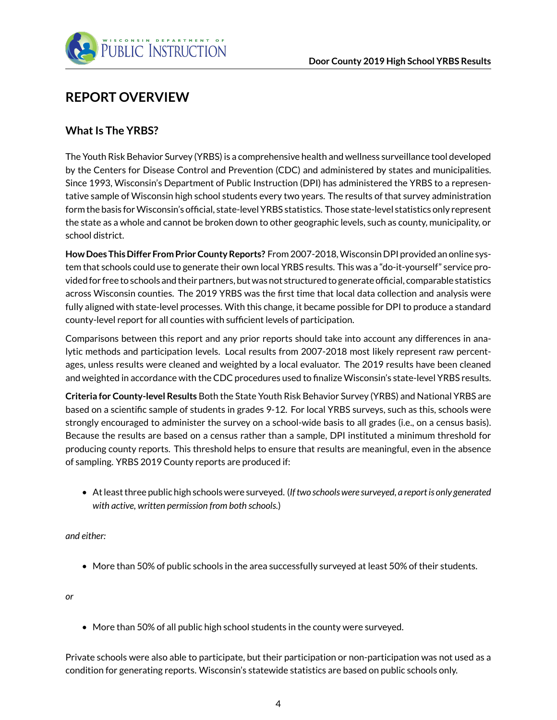

# <span id="page-3-0"></span>**REPORT OVERVIEW**

### <span id="page-3-1"></span>**What Is The YRBS?**

The Youth Risk Behavior Survey (YRBS) is a comprehensive health and wellness surveillance tool developed by the Centers for Disease Control and Prevention (CDC) and administered by states and municipalities. Since 1993, Wisconsin's Department of Public Instruction (DPI) has administered the YRBS to a representative sample of Wisconsin high school students every two years. The results of that survey administration form the basis forWisconsin's official, state-level YRBS statistics. Those state-level statistics only represent the state as a whole and cannot be broken down to other geographic levels, such as county, municipality, or school district.

**How Does This Differ From Prior County Reports?** From 2007-2018,Wisconsin DPI provided an online system that schools could use to generate their own local YRBS results. This was a "do-it-yourself" service provided for free to schools and their partners, but was not structured to generate official, comparable statistics across Wisconsin counties. The 2019 YRBS was the first time that local data collection and analysis were fully aligned with state-level processes. With this change, it became possible for DPI to produce a standard county-level report for all counties with sufficient levels of participation.

Comparisons between this report and any prior reports should take into account any differences in analytic methods and participation levels. Local results from 2007-2018 most likely represent raw percentages, unless results were cleaned and weighted by a local evaluator. The 2019 results have been cleaned and weighted in accordance with the CDC procedures used to finalize Wisconsin's state-level YRBS results.

**Criteria for County-level Results** Both the State Youth Risk Behavior Survey (YRBS) and National YRBS are based on a scientific sample of students in grades 9-12. For local YRBS surveys, such as this, schools were strongly encouraged to administer the survey on a school-wide basis to all grades (i.e., on a census basis). Because the results are based on a census rather than a sample, DPI instituted a minimum threshold for producing county reports. This threshold helps to ensure that results are meaningful, even in the absence of sampling. YRBS 2019 County reports are produced if:

• At least three public high schools were surveyed. (*If two schools were surveyed, a report is only generated with active, written permission from both schools.*)

*and either:*

• More than 50% of public schools in the area successfully surveyed at least 50% of their students.

*or*

• More than 50% of all public high school students in the county were surveyed.

Private schools were also able to participate, but their participation or non-participation was not used as a condition for generating reports. Wisconsin's statewide statistics are based on public schools only.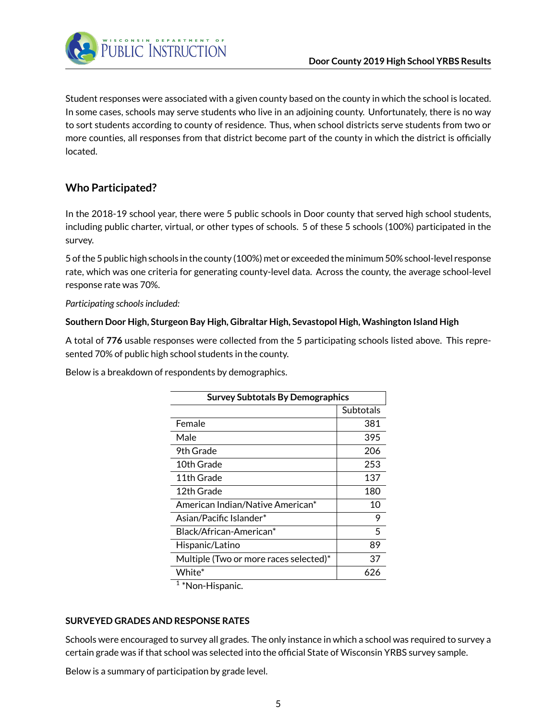

Student responses were associated with a given county based on the county in which the school is located. In some cases, schools may serve students who live in an adjoining county. Unfortunately, there is no way to sort students according to county of residence. Thus, when school districts serve students from two or more counties, all responses from that district become part of the county in which the district is officially located.

## <span id="page-4-0"></span>**Who Participated?**

In the 2018-19 school year, there were 5 public schools in Door county that served high school students, including public charter, virtual, or other types of schools. 5 of these 5 schools (100%) participated in the survey.

5 of the 5 public high schools in the county (100%) met or exceeded the minimum 50% school-level response rate, which was one criteria for generating county-level data. Across the county, the average school-level response rate was 70%.

*Participating schools included:*

### **Southern Door High, Sturgeon Bay High, Gibraltar High, Sevastopol High, Washington Island High**

A total of **776** usable responses were collected from the 5 participating schools listed above. This represented 70% of public high school students in the county.

Below is a breakdown of respondents by demographics.

| <b>Survey Subtotals By Demographics</b> |           |  |
|-----------------------------------------|-----------|--|
|                                         | Subtotals |  |
| Female                                  | 381       |  |
| Male                                    | 395       |  |
| 9th Grade                               | 206       |  |
| 10th Grade                              | 253       |  |
| 11th Grade                              | 137       |  |
| 12th Grade                              | 180       |  |
| American Indian/Native American*        | 10        |  |
| Asian/Pacific Islander*                 | 9         |  |
| Black/African-American*                 | 5         |  |
| Hispanic/Latino                         | 89        |  |
| Multiple (Two or more races selected)*  | 37        |  |
| White*                                  | 626       |  |

<sup>1</sup>\*Non-Hispanic.

### **SURVEYED GRADES AND RESPONSE RATES**

Schools were encouraged to survey all grades. The only instance in which a school was required to survey a certain grade was if that school was selected into the official State of Wisconsin YRBS survey sample.

Below is a summary of participation by grade level.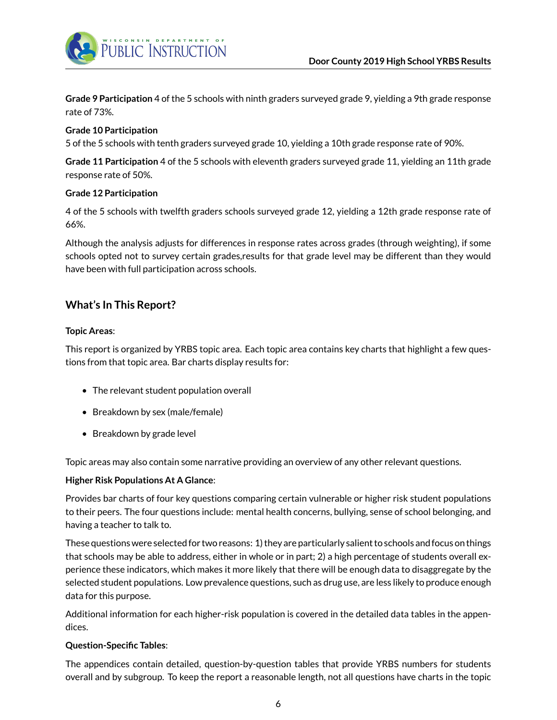**Grade 9 Participation** 4 of the 5 schools with ninth graders surveyed grade 9, yielding a 9th grade response rate of 73%.

### **Grade 10 Participation**

5 of the 5 schools with tenth graders surveyed grade 10, yielding a 10th grade response rate of 90%.

**Grade 11 Participation** 4 of the 5 schools with eleventh graders surveyed grade 11, yielding an 11th grade response rate of 50%.

### **Grade 12 Participation**

4 of the 5 schools with twelfth graders schools surveyed grade 12, yielding a 12th grade response rate of 66%.

Although the analysis adjusts for differences in response rates across grades (through weighting), if some schools opted not to survey certain grades,results for that grade level may be different than they would have been with full participation across schools.

### <span id="page-5-0"></span>**What's In This Report?**

### **Topic Areas**:

This report is organized by YRBS topic area. Each topic area contains key charts that highlight a few questions from that topic area. Bar charts display results for:

- The relevant student population overall
- Breakdown by sex (male/female)
- Breakdown by grade level

Topic areas may also contain some narrative providing an overview of any other relevant questions.

#### **Higher Risk Populations At A Glance**:

Provides bar charts of four key questions comparing certain vulnerable or higher risk student populations to their peers. The four questions include: mental health concerns, bullying, sense of school belonging, and having a teacher to talk to.

These questions were selected for two reasons: 1) they are particularly salient to schools and focus on things that schools may be able to address, either in whole or in part; 2) a high percentage of students overall experience these indicators, which makes it more likely that there will be enough data to disaggregate by the selected student populations. Low prevalence questions, such as drug use, are less likely to produce enough data for this purpose.

Additional information for each higher-risk population is covered in the detailed data tables in the appendices.

#### **Question-Specific Tables**:

The appendices contain detailed, question-by-question tables that provide YRBS numbers for students overall and by subgroup. To keep the report a reasonable length, not all questions have charts in the topic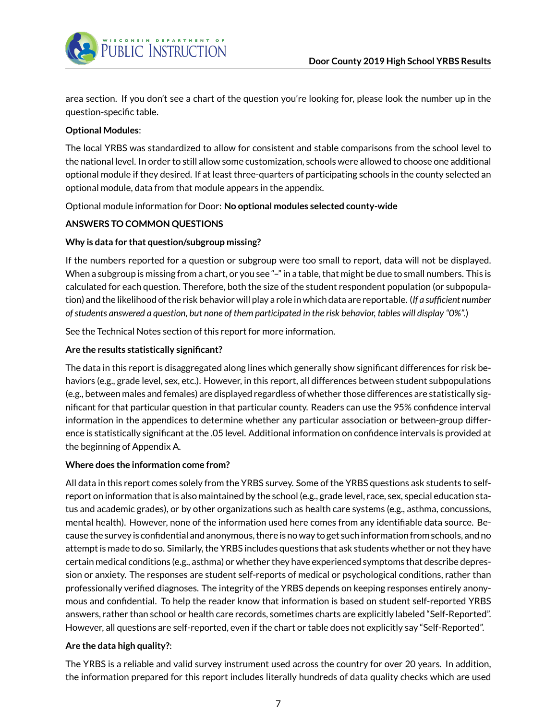

area section. If you don't see a chart of the question you're looking for, please look the number up in the question-specific table.

### **Optional Modules**:

The local YRBS was standardized to allow for consistent and stable comparisons from the school level to the national level. In order to still allow some customization, schools were allowed to choose one additional optional module if they desired. If at least three-quarters of participating schools in the county selected an optional module, data from that module appears in the appendix.

Optional module information for Door: **No optional modules selected county-wide**

### **ANSWERS TO COMMON QUESTIONS**

### **Why is data for that question/subgroup missing?**

If the numbers reported for a question or subgroup were too small to report, data will not be displayed. When a subgroup is missing from a chart, or you see "-" in a table, that might be due to small numbers. This is calculated for each question. Therefore, both the size of the student respondent population (or subpopulation) and the likelihood of the risk behavior will play a role in which data are reportable. (*If a sufficient number of students answered a question, but none of them participated in the risk behavior, tables will display "0%".*)

See the Technical Notes section of this report for more information.

### **Are the results statistically significant?**

The data in this report is disaggregated along lines which generally show significant differences for risk behaviors (e.g., grade level, sex, etc.). However, in this report, all differences between student subpopulations (e.g., between males and females) are displayed regardless of whether those differences are statistically significant for that particular question in that particular county. Readers can use the 95% confidence interval information in the appendices to determine whether any particular association or between-group difference is statistically significant at the .05 level. Additional information on confidence intervals is provided at the beginning of Appendix A.

#### **Where does the information come from?**

All data in this report comes solely from the YRBS survey. Some of the YRBS questions ask students to selfreport on information that is also maintained by the school (e.g., grade level, race, sex, special education status and academic grades), or by other organizations such as health care systems (e.g., asthma, concussions, mental health). However, none of the information used here comes from any identifiable data source. Because the survey is confidential and anonymous, there is no way to get such information from schools, and no attempt is made to do so. Similarly, the YRBS includes questions that ask students whether or not they have certain medical conditions (e.g., asthma) or whether they have experienced symptoms that describe depression or anxiety. The responses are student self-reports of medical or psychological conditions, rather than professionally verified diagnoses. The integrity of the YRBS depends on keeping responses entirely anonymous and confidential. To help the reader know that information is based on student self-reported YRBS answers, rather than school or health care records, sometimes charts are explicitly labeled "Self-Reported". However, all questions are self-reported, even if the chart or table does not explicitly say "Self-Reported".

### **Are the data high quality?**:

The YRBS is a reliable and valid survey instrument used across the country for over 20 years. In addition, the information prepared for this report includes literally hundreds of data quality checks which are used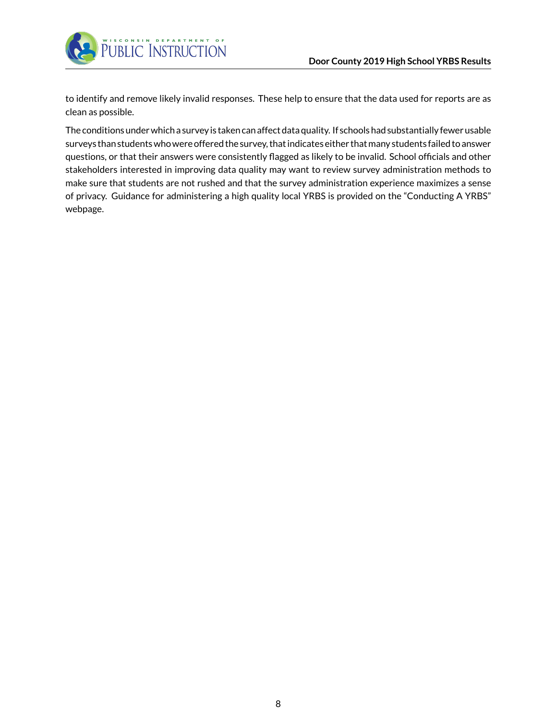

to identify and remove likely invalid responses. These help to ensure that the data used for reports are as clean as possible.

The conditions under which a survey is taken can affect data quality. If schools had substantially fewer usable surveys than students who were offered the survey, that indicates either that many students failed to answer questions, or that their answers were consistently flagged as likely to be invalid. School officials and other stakeholders interested in improving data quality may want to review survey administration methods to make sure that students are not rushed and that the survey administration experience maximizes a sense of privacy. Guidance for administering a high quality local YRBS is provided on the "Conducting A YRBS" webpage.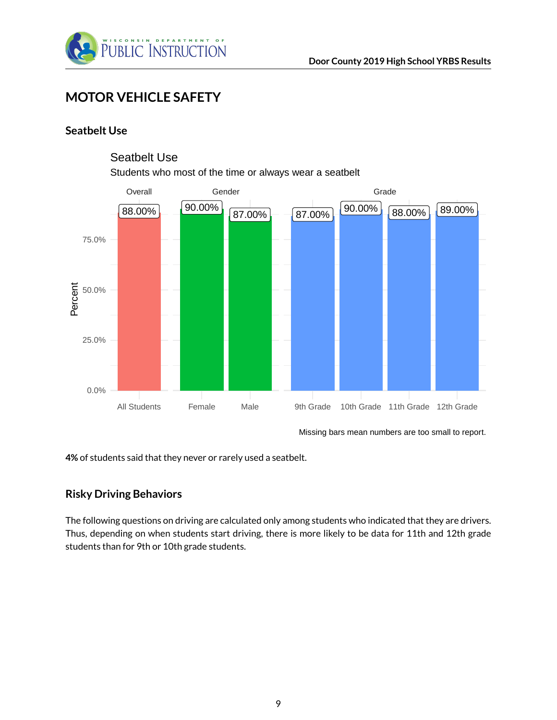

# <span id="page-8-0"></span>**MOTOR VEHICLE SAFETY**

### <span id="page-8-1"></span>**Seatbelt Use**



### Seatbelt Use

Students who most of the time or always wear a seatbelt

Missing bars mean numbers are too small to report.

**4%** of students said that they never or rarely used a seatbelt.

### <span id="page-8-2"></span>**Risky Driving Behaviors**

The following questions on driving are calculated only among students who indicated that they are drivers. Thus, depending on when students start driving, there is more likely to be data for 11th and 12th grade students than for 9th or 10th grade students.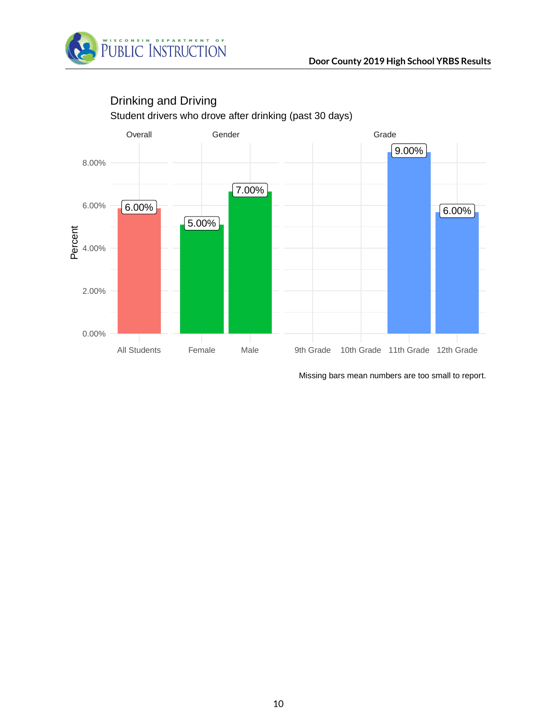



## Drinking and Driving

Student drivers who drove after drinking (past 30 days)

Missing bars mean numbers are too small to report.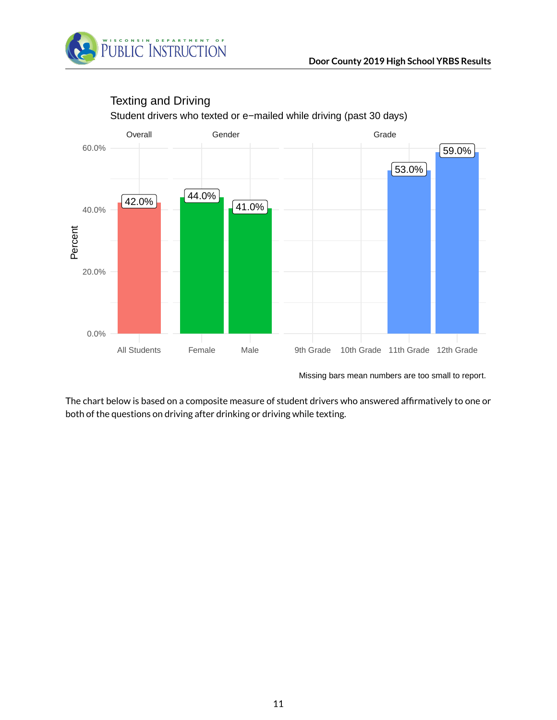



## Texting and Driving

Student drivers who texted or e−mailed while driving (past 30 days)

Missing bars mean numbers are too small to report.

The chart below is based on a composite measure of student drivers who answered affirmatively to one or both of the questions on driving after drinking or driving while texting.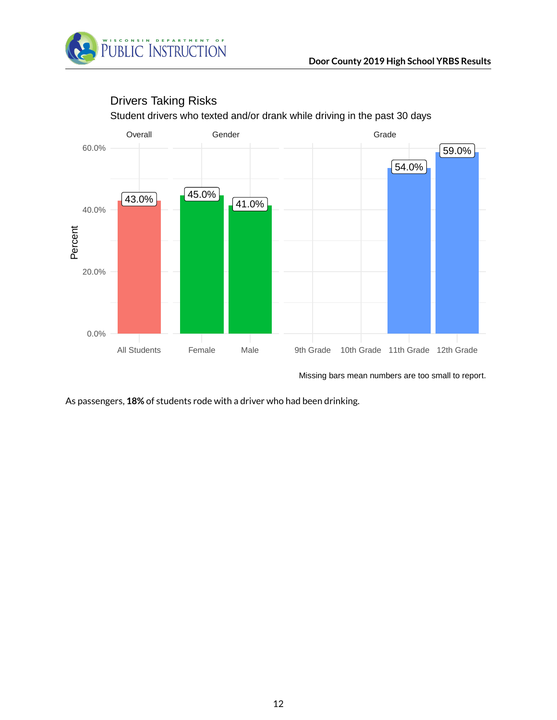



## Drivers Taking Risks

Student drivers who texted and/or drank while driving in the past 30 days

Missing bars mean numbers are too small to report.

As passengers, **18%** of students rode with a driver who had been drinking.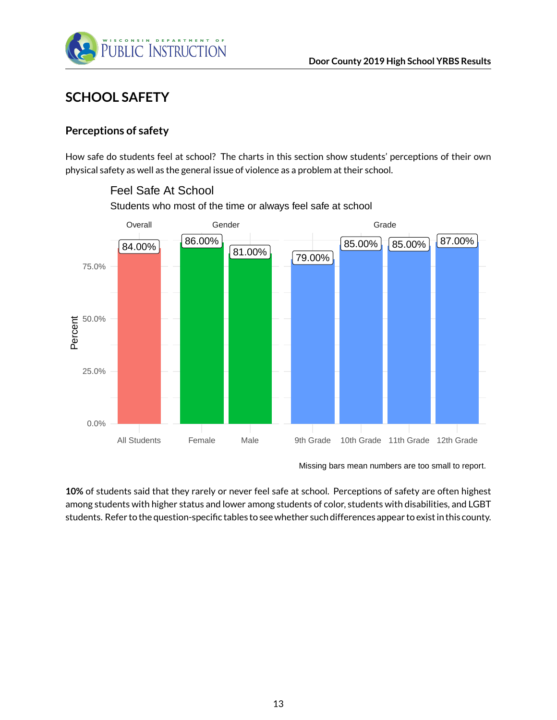

# <span id="page-12-0"></span>**SCHOOL SAFETY**

### <span id="page-12-1"></span>**Perceptions of safety**

How safe do students feel at school? The charts in this section show students' perceptions of their own physical safety as well as the general issue of violence as a problem at their school.



Feel Safe At School

Students who most of the time or always feel safe at school

**10%** of students said that they rarely or never feel safe at school. Perceptions of safety are often highest among students with higher status and lower among students of color, students with disabilities, and LGBT students. Refer to the question-specific tables to see whether such differences appear to exist in this county.

Missing bars mean numbers are too small to report.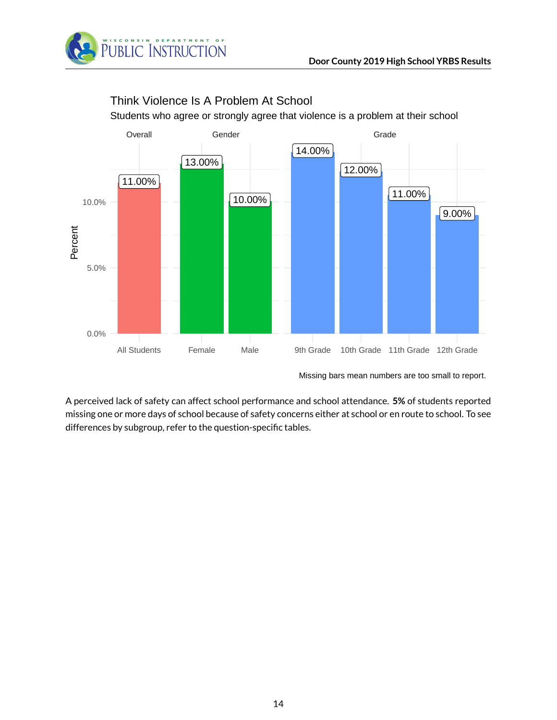

# Think Violence Is A Problem At School

Students who agree or strongly agree that violence is a problem at their school



Missing bars mean numbers are too small to report.

A perceived lack of safety can affect school performance and school attendance. **5%** of students reported missing one or more days of school because of safety concerns either at school or en route to school. To see differences by subgroup, refer to the question-specific tables.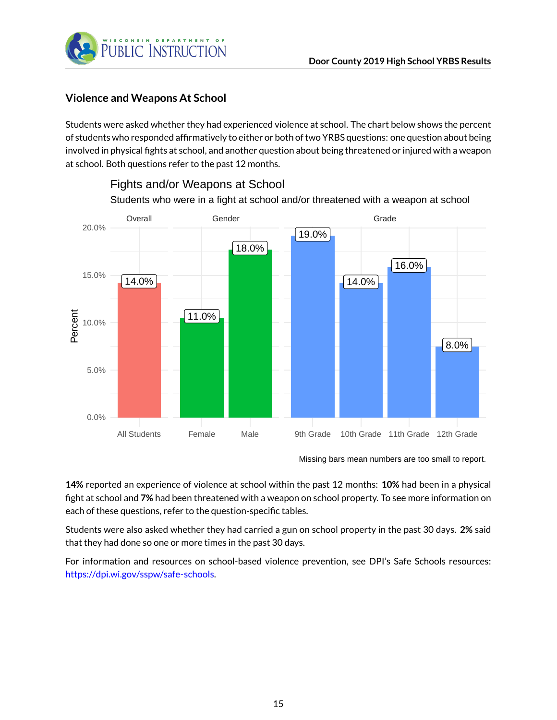

### <span id="page-14-0"></span>**Violence and Weapons At School**

Students were asked whether they had experienced violence at school. The chart below shows the percent of students who responded affirmatively to either or both of two YRBS questions: one question about being involved in physical fights at school, and another question about being threatened or injured with a weapon at school. Both questions refer to the past 12 months.



Fights and/or Weapons at School

Missing bars mean numbers are too small to report.

**14%** reported an experience of violence at school within the past 12 months: **10%** had been in a physical fight at school and **7%** had been threatened with a weapon on school property. To see more information on each of these questions, refer to the question-specific tables.

Students were also asked whether they had carried a gun on school property in the past 30 days. **2%** said that they had done so one or more times in the past 30 days.

For information and resources on school-based violence prevention, see DPI's Safe Schools resources: [https://dpi.wi.gov/sspw/safe-schools.](https://dpi.wi.gov/sspw/safe-schools)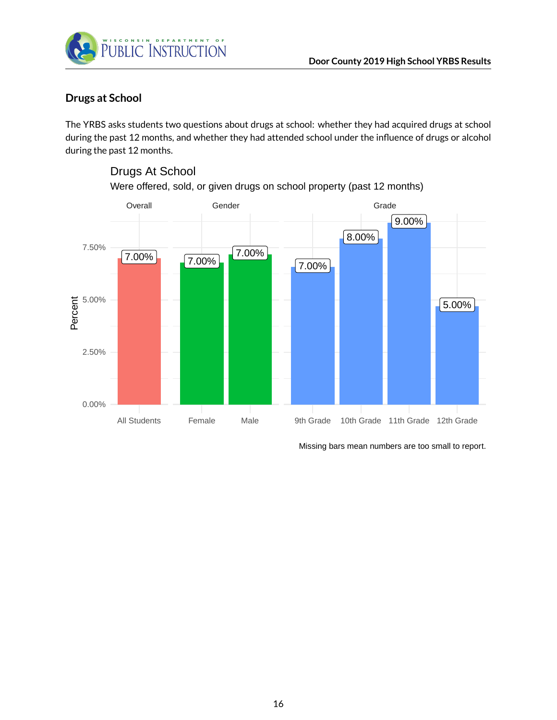

Drugs At School

### <span id="page-15-0"></span>**Drugs at School**

The YRBS asks students two questions about drugs at school: whether they had acquired drugs at school during the past 12 months, and whether they had attended school under the influence of drugs or alcohol during the past 12 months.

# $7.00\%$  7.00% 7.00% 7.00% 8.00% 9.00% 5.00% Overall Gender General Grade All Students Female Male 9th Grade 10th Grade 11th Grade 12th Grade 0.00% 2.50% 5.00% 7.50% Percent

Were offered, sold, or given drugs on school property (past 12 months)

Missing bars mean numbers are too small to report.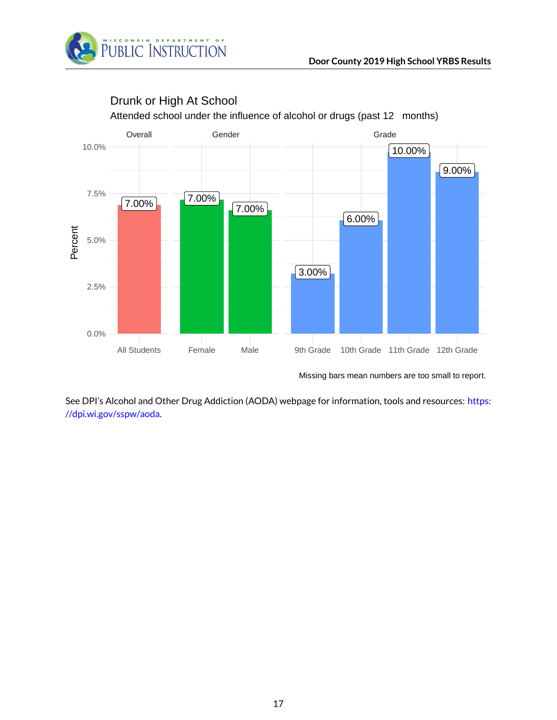



# Drunk or High At School

Missing bars mean numbers are too small to report.

See DPI's Alcohol and Other Drug Addiction (AODA) webpage for information, tools and resources: [https:](https://dpi.wi.gov/sspw/aoda) [//dpi.wi.gov/sspw/aoda.](https://dpi.wi.gov/sspw/aoda)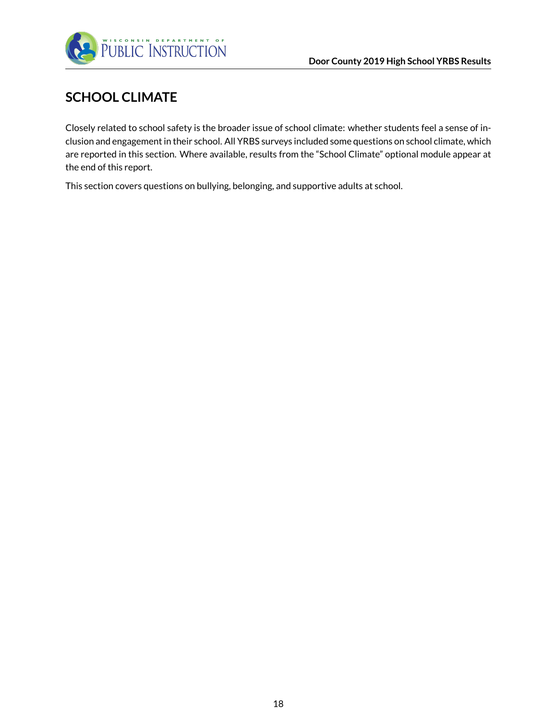

# <span id="page-17-0"></span>**SCHOOL CLIMATE**

Closely related to school safety is the broader issue of school climate: whether students feel a sense of inclusion and engagement in their school. All YRBS surveys included some questions on school climate, which are reported in this section. Where available, results from the "School Climate" optional module appear at the end of this report.

This section covers questions on bullying, belonging, and supportive adults at school.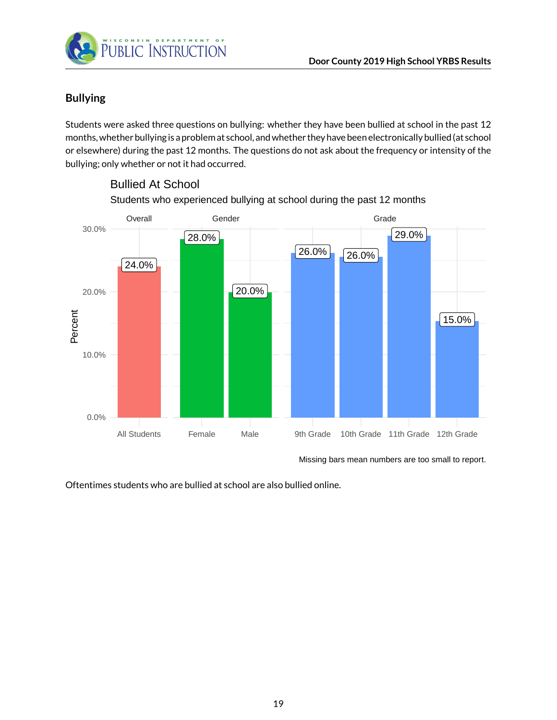

## <span id="page-18-0"></span>**Bullying**

Students were asked three questions on bullying: whether they have been bullied at school in the past 12 months, whether bullying is a problem at school, and whether they have been electronically bullied (at school or elsewhere) during the past 12 months. The questions do not ask about the frequency or intensity of the bullying; only whether or not it had occurred.



Students who experienced bullying at school during the past 12 months Bullied At School

Missing bars mean numbers are too small to report.

Oftentimes students who are bullied at school are also bullied online.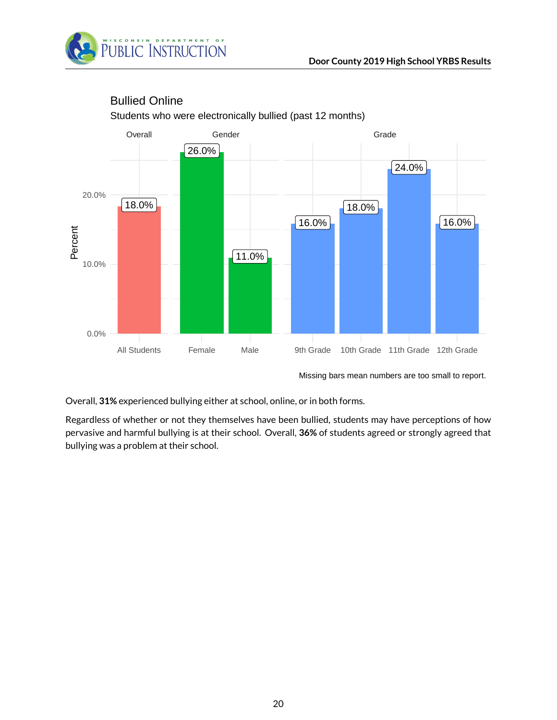



## Bullied Online

Students who were electronically bullied (past 12 months)

Missing bars mean numbers are too small to report.

Overall, **31%** experienced bullying either at school, online, or in both forms.

Regardless of whether or not they themselves have been bullied, students may have perceptions of how pervasive and harmful bullying is at their school. Overall, **36%** of students agreed or strongly agreed that bullying was a problem at their school.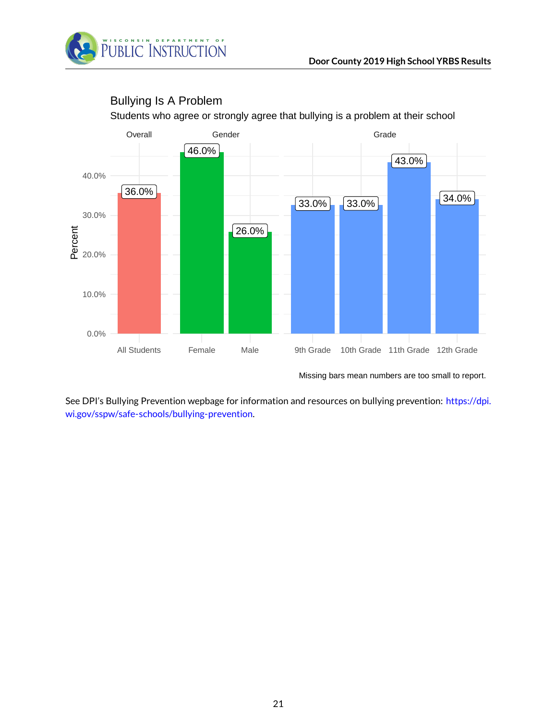



### Bullying Is A Problem

Students who agree or strongly agree that bullying is a problem at their school

Missing bars mean numbers are too small to report.

See DPI's Bullying Prevention wepbage for information and resources on bullying prevention: [https://dpi.](https://dpi.wi.gov/sspw/safe-schools/bullying-prevention) [wi.gov/sspw/safe-schools/bullying-prevention.](https://dpi.wi.gov/sspw/safe-schools/bullying-prevention)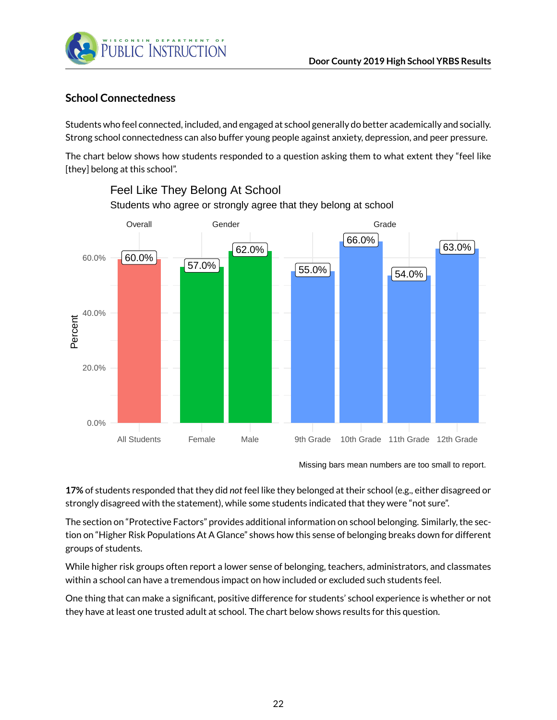

### <span id="page-21-0"></span>**School Connectedness**

Students who feel connected, included, and engaged at school generally do better academically and socially. Strong school connectedness can also buffer young people against anxiety, depression, and peer pressure.

The chart below shows how students responded to a question asking them to what extent they "feel like [they] belong at this school".



# Students who agree or strongly agree that they belong at school Feel Like They Belong At School

**17%** of students responded that they did *not* feel like they belonged at their school (e.g., either disagreed or strongly disagreed with the statement), while some students indicated that they were "not sure".

The section on "Protective Factors" provides additional information on school belonging. Similarly, the section on "Higher Risk Populations At A Glance" shows how this sense of belonging breaks down for different groups of students.

While higher risk groups often report a lower sense of belonging, teachers, administrators, and classmates within a school can have a tremendous impact on how included or excluded such students feel.

One thing that can make a significant, positive difference for students' school experience is whether or not they have at least one trusted adult at school. The chart below shows results for this question.

Missing bars mean numbers are too small to report.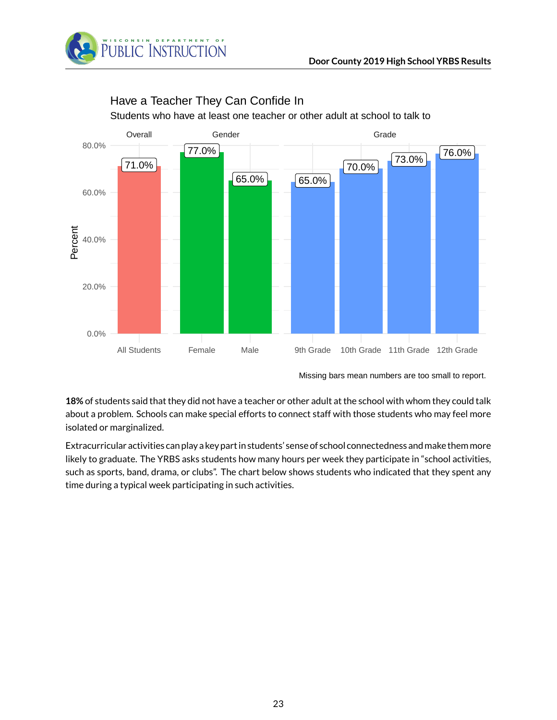



## Have a Teacher They Can Confide In

Students who have at least one teacher or other adult at school to talk to

Missing bars mean numbers are too small to report.

**18%** of students said that they did not have a teacher or other adult at the school with whom they could talk about a problem. Schools can make special efforts to connect staff with those students who may feel more isolated or marginalized.

Extracurricular activities can play a key part in students' sense of school connectedness andmake themmore likely to graduate. The YRBS asks students how many hours per week they participate in "school activities, such as sports, band, drama, or clubs". The chart below shows students who indicated that they spent any time during a typical week participating in such activities.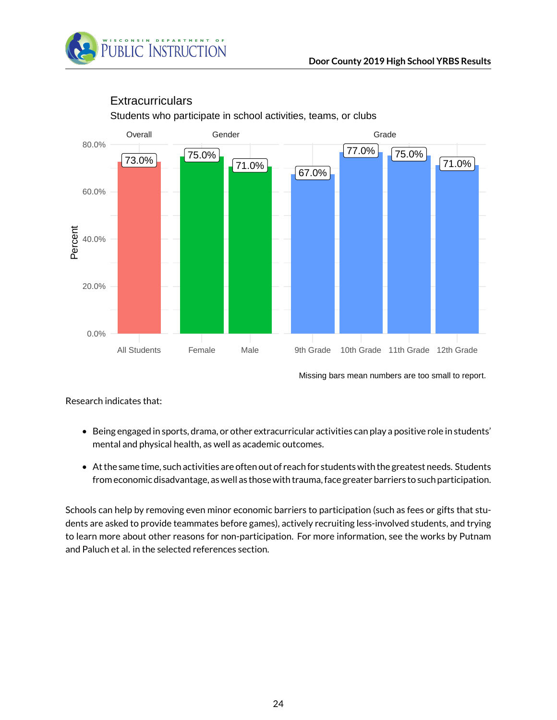



## **Extracurriculars**

Students who participate in school activities, teams, or clubs

Missing bars mean numbers are too small to report.

Research indicates that:

- Being engaged in sports, drama, or other extracurricular activities can play a positive role in students' mental and physical health, as well as academic outcomes.
- At the same time, such activities are often out of reach for students with the greatest needs. Students from economic disadvantage, as well as those with trauma, face greater barriers to such participation.

Schools can help by removing even minor economic barriers to participation (such as fees or gifts that students are asked to provide teammates before games), actively recruiting less-involved students, and trying to learn more about other reasons for non-participation. For more information, see the works by Putnam and Paluch et al. in the selected references section.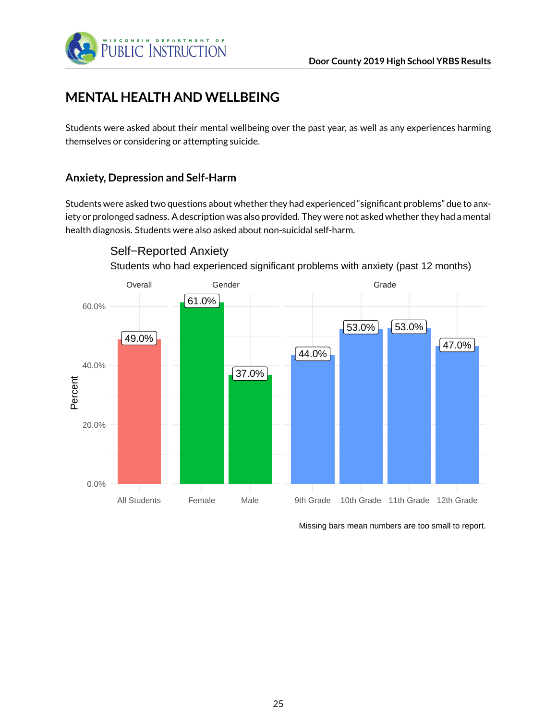

# <span id="page-24-0"></span>**MENTAL HEALTH AND WELLBEING**

Students were asked about their mental wellbeing over the past year, as well as any experiences harming themselves or considering or attempting suicide.

### <span id="page-24-1"></span>**Anxiety, Depression and Self-Harm**

Students were asked two questions about whether they had experienced "significant problems" due to anxiety or prolonged sadness. A description was also provided. They were not asked whether they had a mental health diagnosis. Students were also asked about non-suicidal self-harm.



Self−Reported Anxiety

Students who had experienced significant problems with anxiety (past 12 months)

Missing bars mean numbers are too small to report.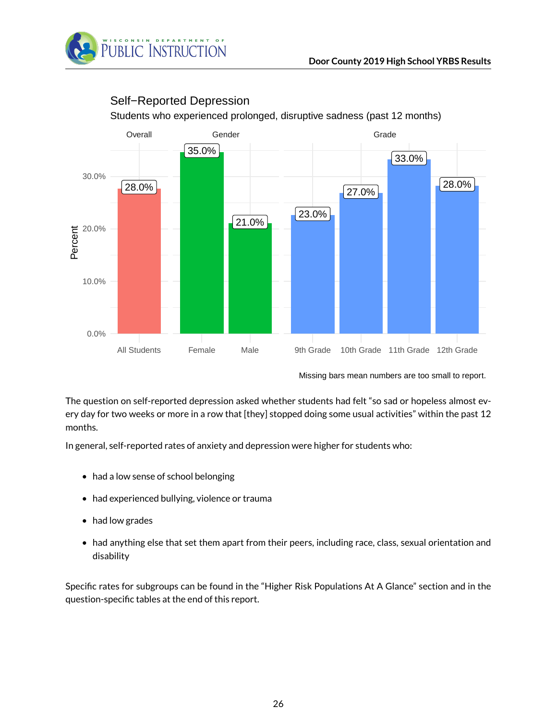



### Self−Reported Depression

Students who experienced prolonged, disruptive sadness (past 12 months)

The question on self-reported depression asked whether students had felt "so sad or hopeless almost every day for two weeks or more in a row that [they] stopped doing some usual activities" within the past 12 months.

In general, self-reported rates of anxiety and depression were higher for students who:

- had a low sense of school belonging
- had experienced bullying, violence or trauma
- had low grades
- had anything else that set them apart from their peers, including race, class, sexual orientation and disability

Specific rates for subgroups can be found in the "Higher Risk Populations At A Glance" section and in the question-specific tables at the end of this report.

Missing bars mean numbers are too small to report.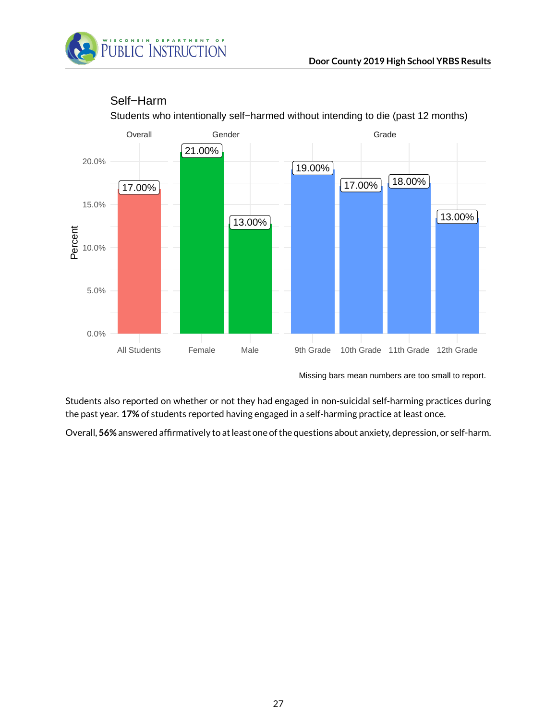



### Self−Harm

Students who intentionally self−harmed without intending to die (past 12 months)

Missing bars mean numbers are too small to report.

Students also reported on whether or not they had engaged in non-suicidal self-harming practices during the past year. **17%** of students reported having engaged in a self-harming practice at least once.

Overall, **56%** answered affirmatively to at least one of the questions about anxiety, depression, or self-harm.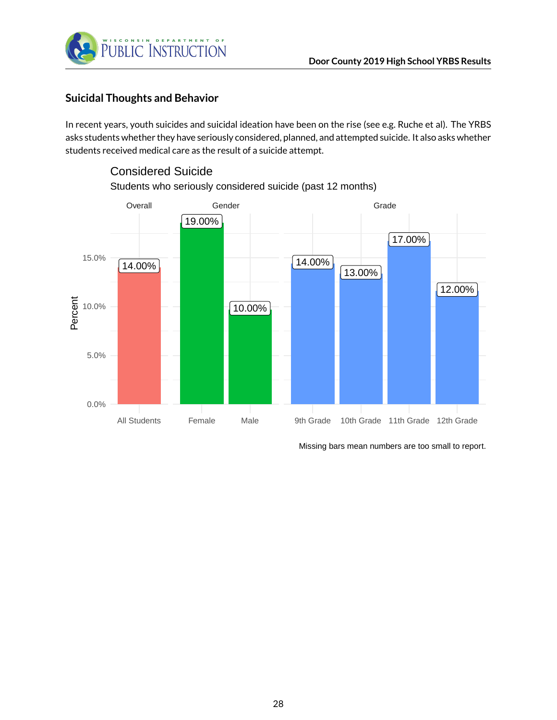

### <span id="page-27-0"></span>**Suicidal Thoughts and Behavior**

Considered Suicide

In recent years, youth suicides and suicidal ideation have been on the rise (see e.g. Ruche et al). The YRBS asks students whether they have seriously considered, planned, and attempted suicide. It also asks whether students received medical care as the result of a suicide attempt.



# Students who seriously considered suicide (past 12 months)

Missing bars mean numbers are too small to report.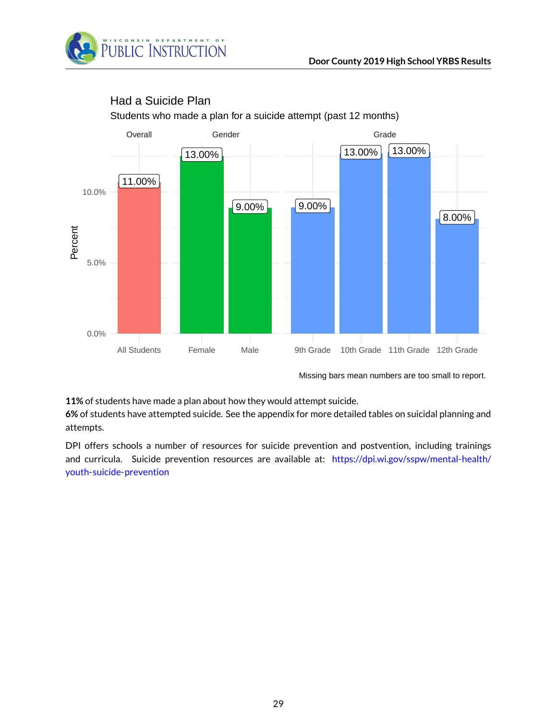



## Had a Suicide Plan

Students who made a plan for a suicide attempt (past 12 months)

Missing bars mean numbers are too small to report.

**11%** of students have made a plan about how they would attempt suicide.

**6%** of students have attempted suicide. See the appendix for more detailed tables on suicidal planning and attempts.

DPI offers schools a number of resources for suicide prevention and postvention, including trainings and curricula. Suicide prevention resources are available at: [https://dpi.wi.gov/sspw/mental-health/](https://dpi.wi.gov/sspw/mental-health/youth-suicide-prevention) [youth-suicide-prevention](https://dpi.wi.gov/sspw/mental-health/youth-suicide-prevention)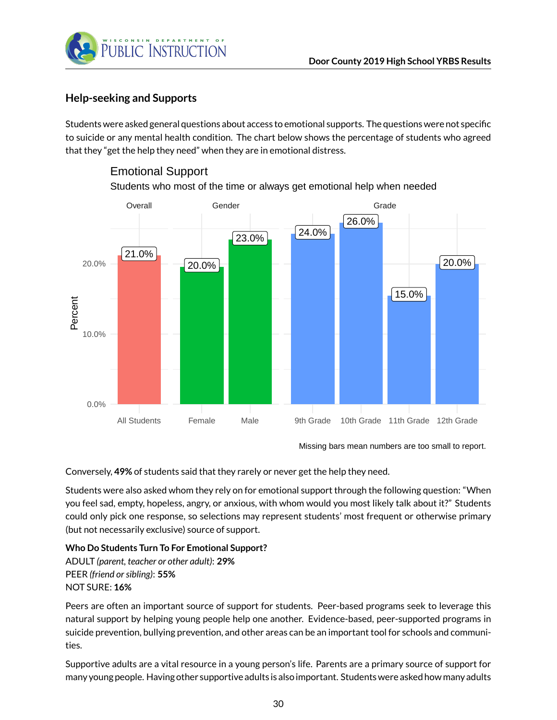

Emotional Support

### <span id="page-29-0"></span>**Help-seeking and Supports**

Students were asked general questions about access to emotional supports. The questions were not specific to suicide or any mental health condition. The chart below shows the percentage of students who agreed that they "get the help they need" when they are in emotional distress.



## Students who most of the time or always get emotional help when needed

Missing bars mean numbers are too small to report.

Conversely, **49%** of students said that they rarely or never get the help they need.

Students were also asked whom they rely on for emotional support through the following question: "When you feel sad, empty, hopeless, angry, or anxious, with whom would you most likely talk about it?" Students could only pick one response, so selections may represent students' most frequent or otherwise primary (but not necessarily exclusive) source of support.

#### **Who Do Students Turn To For Emotional Support?**

ADULT *(parent, teacher or other adult)*: **29%** PEER *(friend or sibling)*: **55%** NOT SURE: **16%**

Peers are often an important source of support for students. Peer-based programs seek to leverage this natural support by helping young people help one another. Evidence-based, peer-supported programs in suicide prevention, bullying prevention, and other areas can be an important tool for schools and communities.

Supportive adults are a vital resource in a young person's life. Parents are a primary source of support for many young people. Having other supportive adults is also important. Students were asked how many adults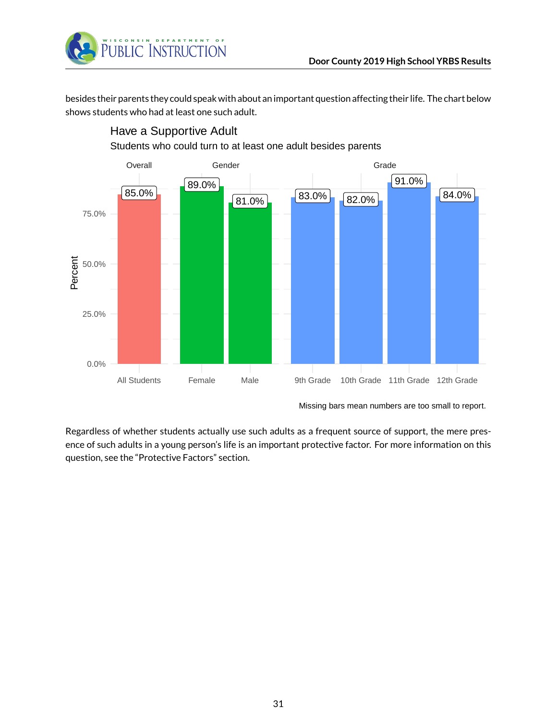

besides their parents they could speak with about an important question affecting their life. The chart below shows students who had at least one such adult.



Have a Supportive Adult

Regardless of whether students actually use such adults as a frequent source of support, the mere presence of such adults in a young person's life is an important protective factor. For more information on this question, see the "Protective Factors" section.

Missing bars mean numbers are too small to report.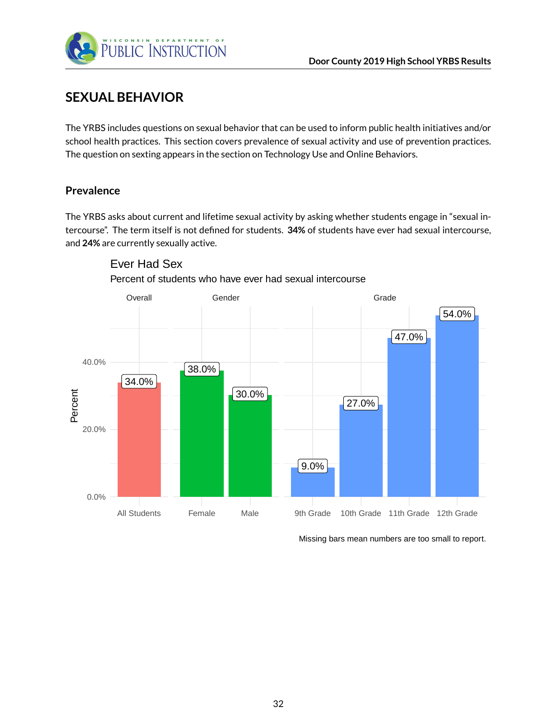

## <span id="page-31-0"></span>**SEXUAL BEHAVIOR**

The YRBS includes questions on sexual behavior that can be used to inform public health initiatives and/or school health practices. This section covers prevalence of sexual activity and use of prevention practices. The question on sexting appears in the section on Technology Use and Online Behaviors.

### <span id="page-31-1"></span>**Prevalence**

The YRBS asks about current and lifetime sexual activity by asking whether students engage in "sexual intercourse". The term itself is not defined for students. **34%** of students have ever had sexual intercourse, and **24%** are currently sexually active.



Ever Had Sex

Percent of students who have ever had sexual intercourse

Missing bars mean numbers are too small to report.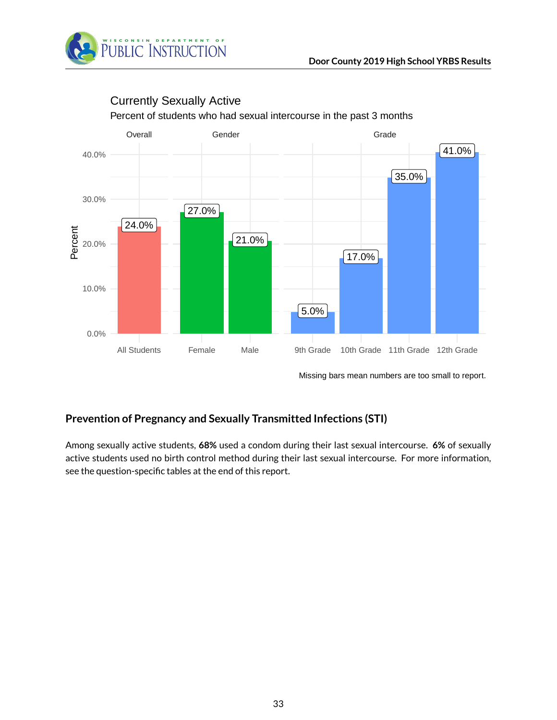



# Currently Sexually Active

Missing bars mean numbers are too small to report.

### <span id="page-32-0"></span>**Prevention of Pregnancy and Sexually Transmitted Infections (STI)**

Among sexually active students, **68%** used a condom during their last sexual intercourse. **6%** of sexually active students used no birth control method during their last sexual intercourse. For more information, see the question-specific tables at the end of this report.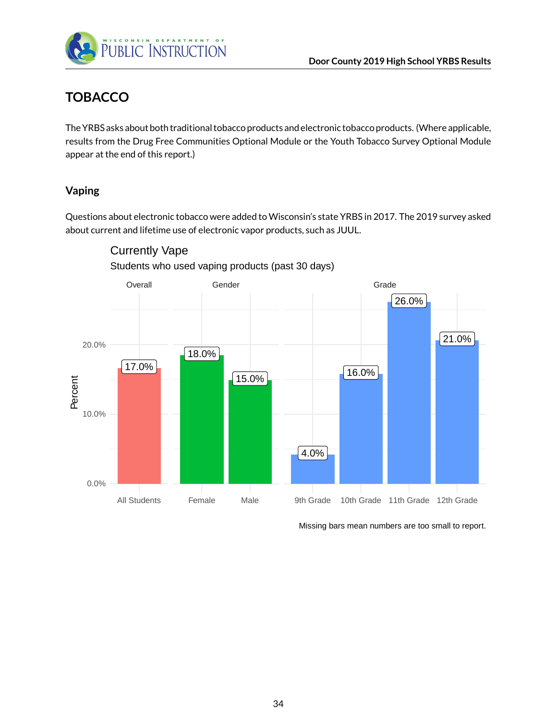

# <span id="page-33-0"></span>**TOBACCO**

The YRBS asks about both traditional tobacco products and electronic tobacco products. (Where applicable, results from the Drug Free Communities Optional Module or the Youth Tobacco Survey Optional Module appear at the end of this report.)

### <span id="page-33-1"></span>**Vaping**

Questions about electronic tobacco were added to Wisconsin's state YRBS in 2017. The 2019 survey asked about current and lifetime use of electronic vapor products, such as JUUL.



Students who used vaping products (past 30 days) Currently Vape

Missing bars mean numbers are too small to report.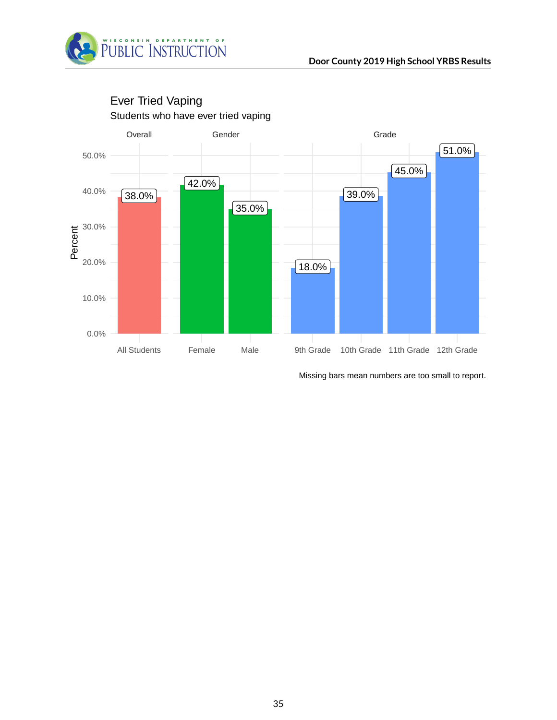



## Students who have ever tried vaping Ever Tried Vaping

Missing bars mean numbers are too small to report.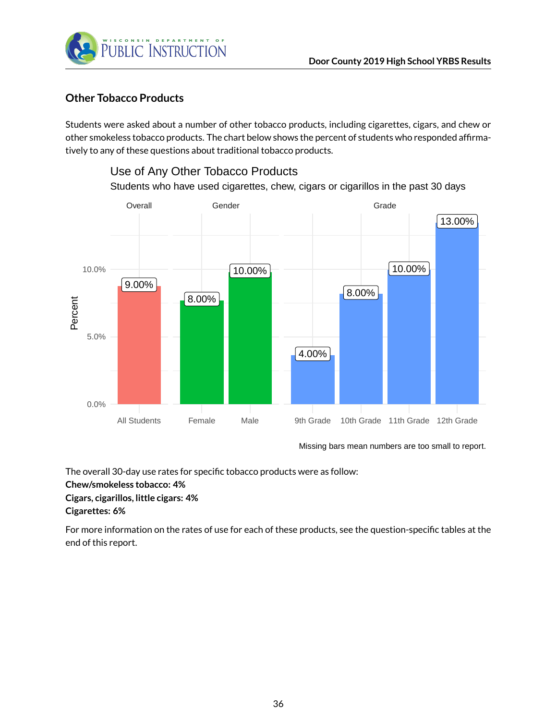

### <span id="page-35-0"></span>**Other Tobacco Products**

Students were asked about a number of other tobacco products, including cigarettes, cigars, and chew or other smokeless tobacco products. The chart below shows the percent of students who responded affirmatively to any of these questions about traditional tobacco products.



Missing bars mean numbers are too small to report.

The overall 30-day use rates for specific tobacco products were as follow: **Chew/smokeless tobacco: 4% Cigars, cigarillos, little cigars: 4% Cigarettes: 6%**

For more information on the rates of use for each of these products, see the question-specific tables at the end of this report.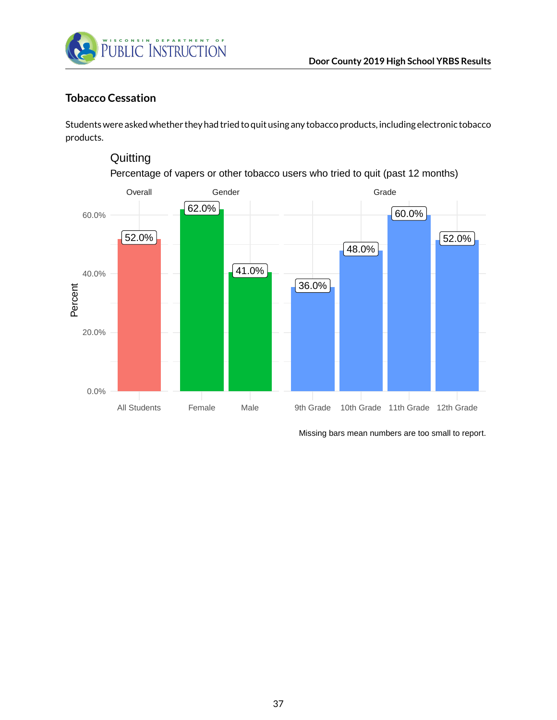

### **Tobacco Cessation**

Students were asked whether they had tried to quit using any tobacco products, including electronic tobacco products.

## **Quitting**

Percentage of vapers or other tobacco users who tried to quit (past 12 months)

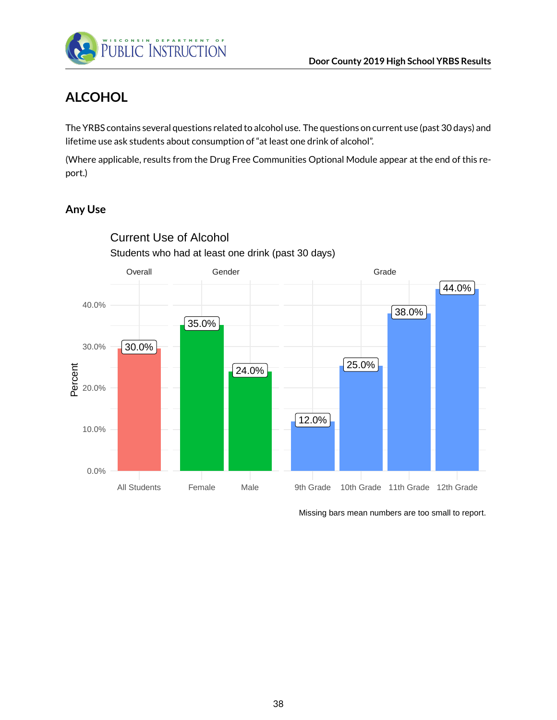

# **ALCOHOL**

The YRBS contains several questions related to alcohol use. The questions on current use (past 30 days) and lifetime use ask students about consumption of "at least one drink of alcohol".

(Where applicable, results from the Drug Free Communities Optional Module appear at the end of this report.)

### **Any Use**



Current Use of Alcohol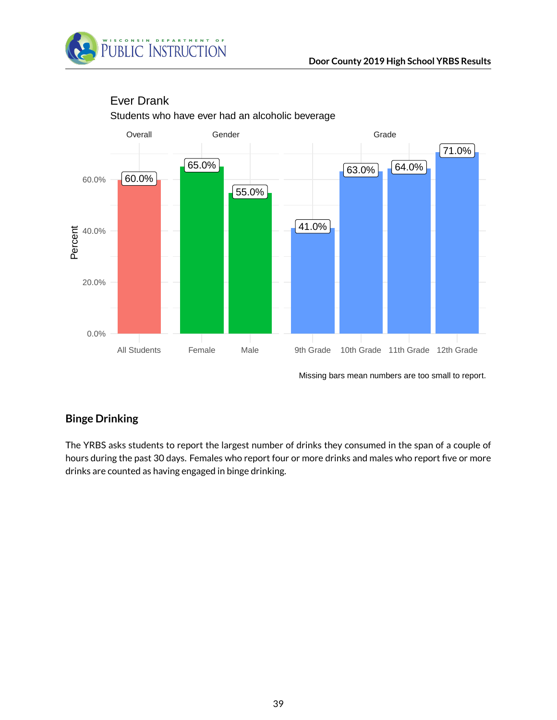



## Ever Drank

Students who have ever had an alcoholic beverage

Missing bars mean numbers are too small to report.

## **Binge Drinking**

The YRBS asks students to report the largest number of drinks they consumed in the span of a couple of hours during the past 30 days. Females who report four or more drinks and males who report five or more drinks are counted as having engaged in binge drinking.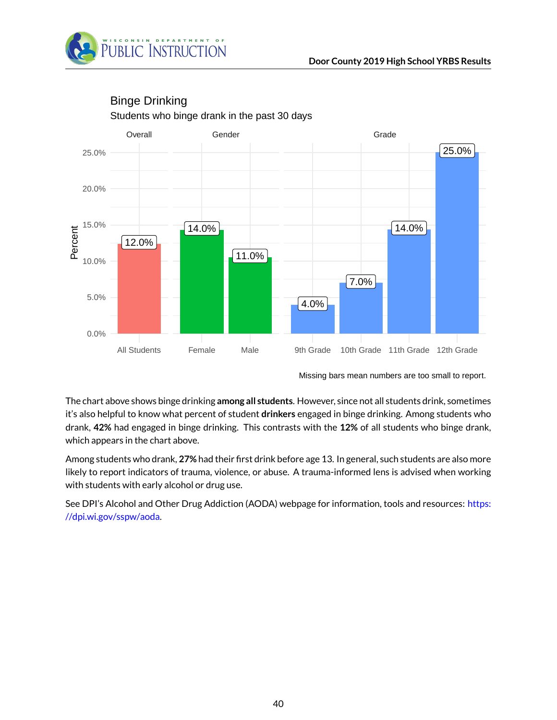



### Students who binge drank in the past 30 days Binge Drinking

The chart above shows binge drinking **among all students**. However, since not all students drink, sometimes it's also helpful to know what percent of student **drinkers** engaged in binge drinking. Among students who drank, **42%** had engaged in binge drinking. This contrasts with the **12%** of all students who binge drank, which appears in the chart above.

Among students who drank, **27%** had their first drink before age 13. In general, such students are also more likely to report indicators of trauma, violence, or abuse. A trauma-informed lens is advised when working with students with early alcohol or drug use.

See DPI's Alcohol and Other Drug Addiction (AODA) webpage for information, tools and resources: [https:](https://dpi.wi.gov/sspw/aoda) [//dpi.wi.gov/sspw/aoda.](https://dpi.wi.gov/sspw/aoda)

Missing bars mean numbers are too small to report.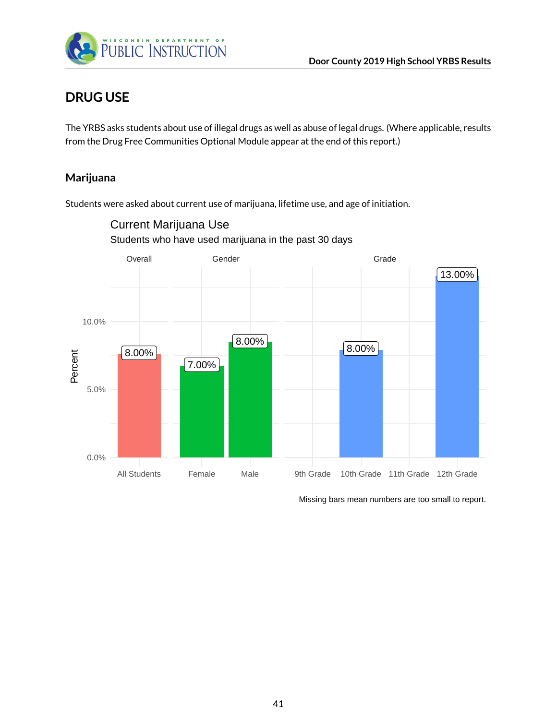

## **DRUG USE**

The YRBS asks students about use of illegal drugs as well as abuse of legal drugs. (Where applicable, results from the Drug Free Communities Optional Module appear at the end of this report.)

### **Marijuana**

Students were asked about current use of marijuana, lifetime use, and age of initiation.

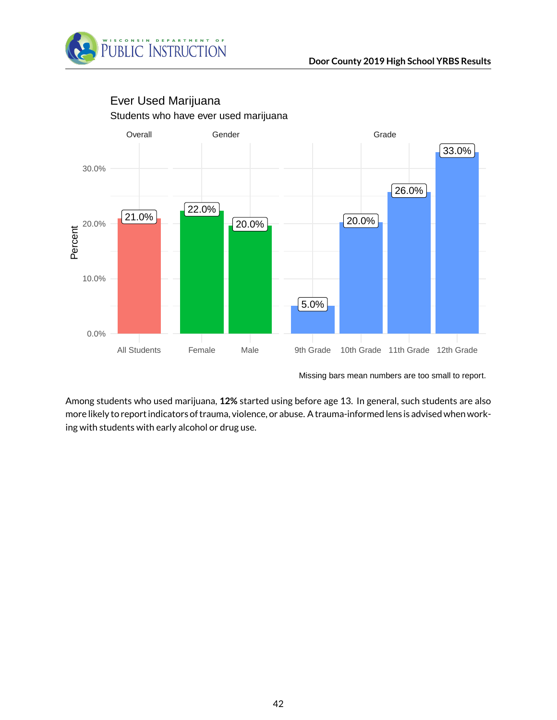



### Students who have ever used marijuana Ever Used Marijuana

Among students who used marijuana, **12%** started using before age 13. In general, such students are also more likely to report indicators of trauma, violence, or abuse. A trauma-informed lens is advised when working with students with early alcohol or drug use.

Missing bars mean numbers are too small to report.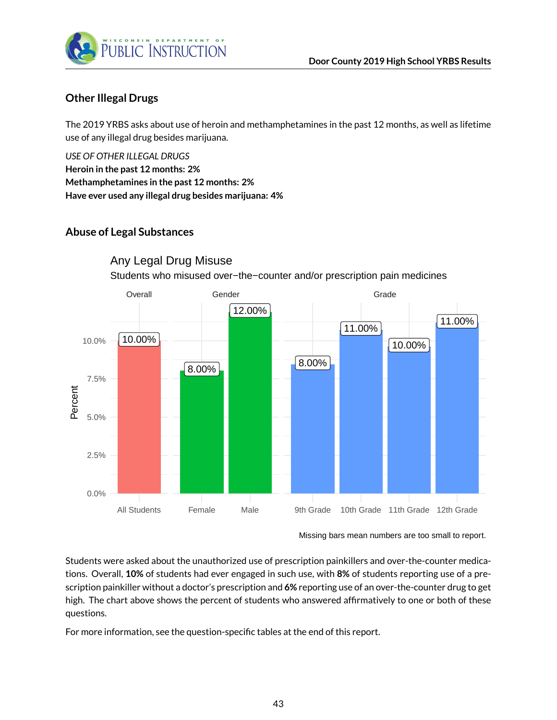

### **Other Illegal Drugs**

The 2019 YRBS asks about use of heroin and methamphetamines in the past 12 months, as well as lifetime use of any illegal drug besides marijuana.

*USE OF OTHER ILLEGAL DRUGS* **Heroin in the past 12 months: 2% Methamphetamines in the past 12 months: 2% Have ever used any illegal drug besides marijuana: 4%**

### **Abuse of Legal Substances**



Any Legal Drug Misuse

Students who misused over−the−counter and/or prescription pain medicines

Missing bars mean numbers are too small to report.

Students were asked about the unauthorized use of prescription painkillers and over-the-counter medications. Overall, **10%** of students had ever engaged in such use, with **8%** of students reporting use of a prescription painkiller without a doctor's prescription and **6%** reporting use of an over-the-counter drug to get high. The chart above shows the percent of students who answered affirmatively to one or both of these questions.

For more information, see the question-specific tables at the end of this report.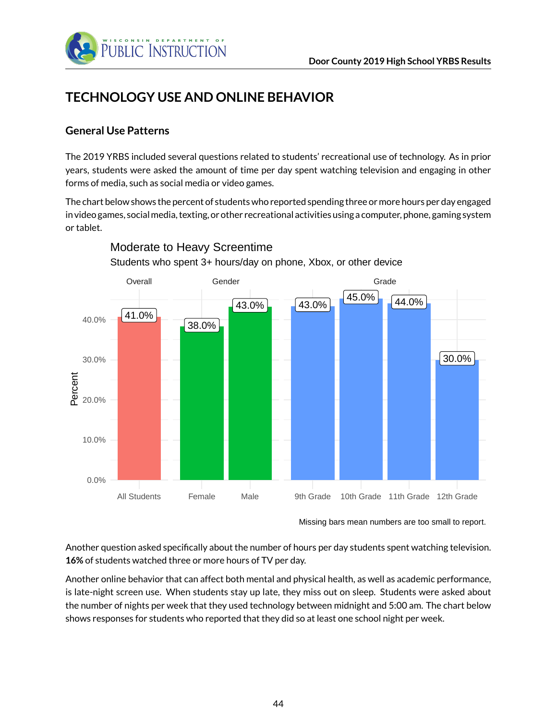

# **TECHNOLOGY USE AND ONLINE BEHAVIOR**

### **General Use Patterns**

The 2019 YRBS included several questions related to students' recreational use of technology. As in prior years, students were asked the amount of time per day spent watching television and engaging in other forms of media, such as social media or video games.

The chart below shows the percent of students who reported spending three or more hours per day engaged in video games, socialmedia, texting, or other recreational activities using a computer, phone, gaming system or tablet.



Moderate to Heavy Screentime

Students who spent 3+ hours/day on phone, Xbox, or other device

Another question asked specifically about the number of hours per day students spent watching television. **16%** of students watched three or more hours of TV per day.

Another online behavior that can affect both mental and physical health, as well as academic performance, is late-night screen use. When students stay up late, they miss out on sleep. Students were asked about the number of nights per week that they used technology between midnight and 5:00 am. The chart below shows responses for students who reported that they did so at least one school night per week.

Missing bars mean numbers are too small to report.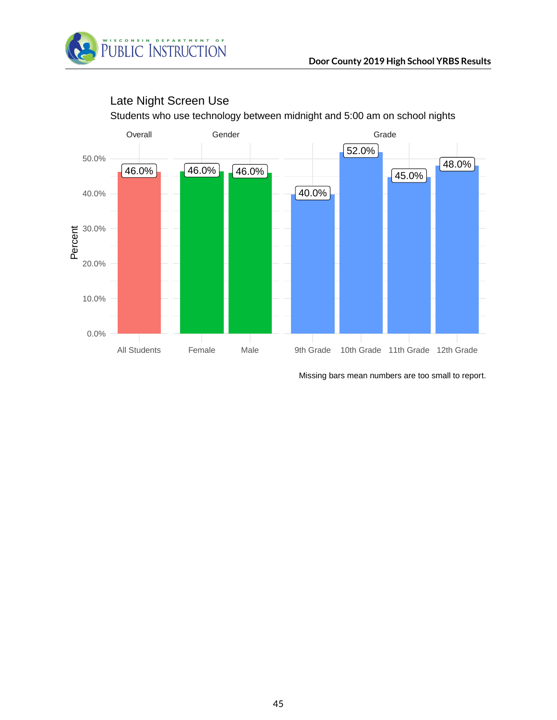



## Late Night Screen Use

Students who use technology between midnight and 5:00 am on school nights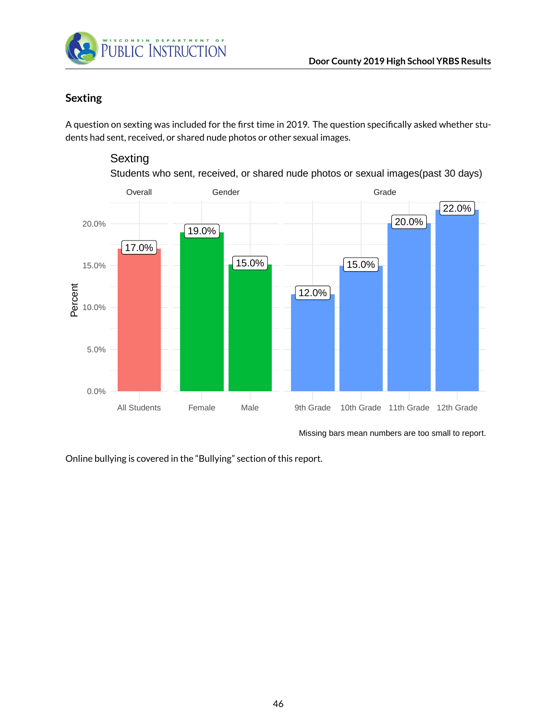

### **Sexting**

A question on sexting was included for the first time in 2019. The question specifically asked whether students had sent, received, or shared nude photos or other sexual images.

### **Sexting**

Students who sent, received, or shared nude photos or sexual images(past 30 days)



Missing bars mean numbers are too small to report.

Online bullying is covered in the "Bullying" section of this report.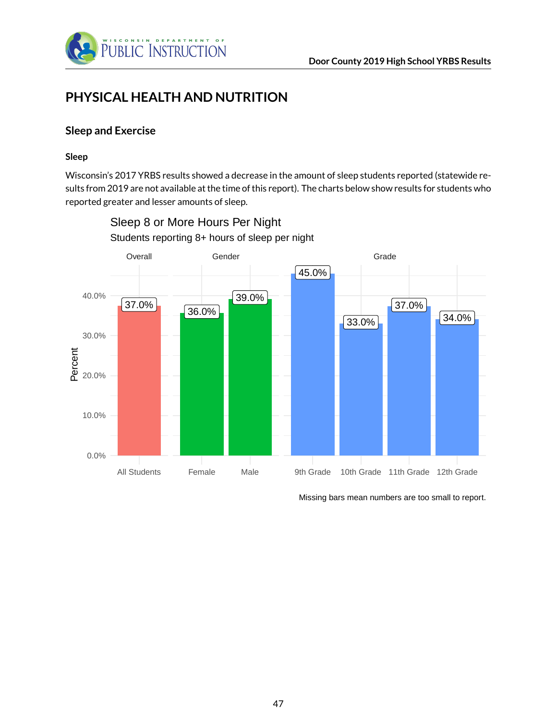

## **PHYSICAL HEALTH AND NUTRITION**

### **Sleep and Exercise**

#### **Sleep**

Wisconsin's 2017 YRBS results showed a decrease in the amount of sleep students reported (statewide results from 2019 are not available at the time of this report). The charts below show results for students who reported greater and lesser amounts of sleep.



Students reporting 8+ hours of sleep per night Sleep 8 or More Hours Per Night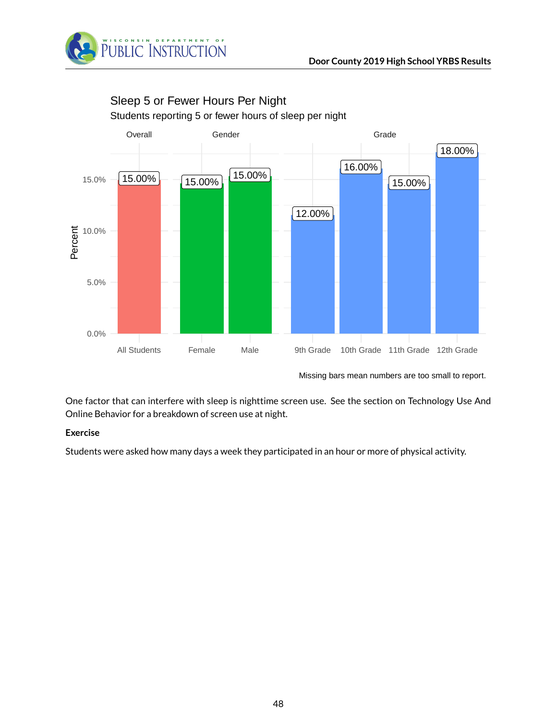



# Sleep 5 or Fewer Hours Per Night

Students reporting 5 or fewer hours of sleep per night

Missing bars mean numbers are too small to report.

One factor that can interfere with sleep is nighttime screen use. See the section on Technology Use And Online Behavior for a breakdown of screen use at night.

### **Exercise**

Students were asked how many days a week they participated in an hour or more of physical activity.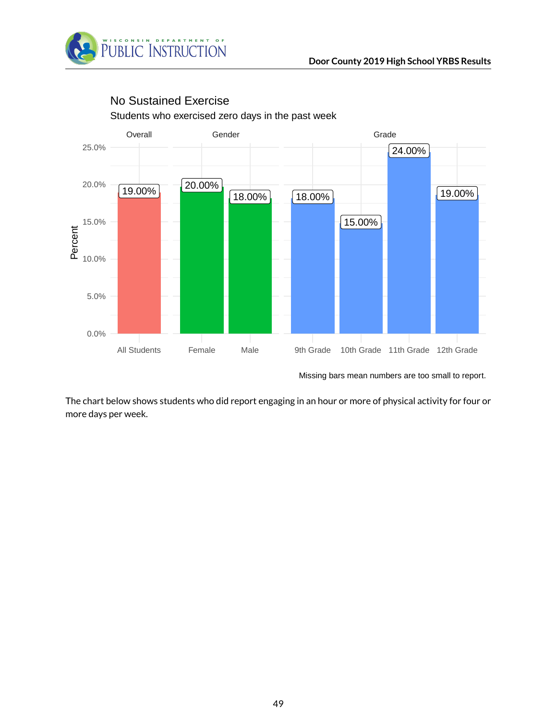



## Students who exercised zero days in the past week No Sustained Exercise

Missing bars mean numbers are too small to report.

The chart below shows students who did report engaging in an hour or more of physical activity for four or more days per week.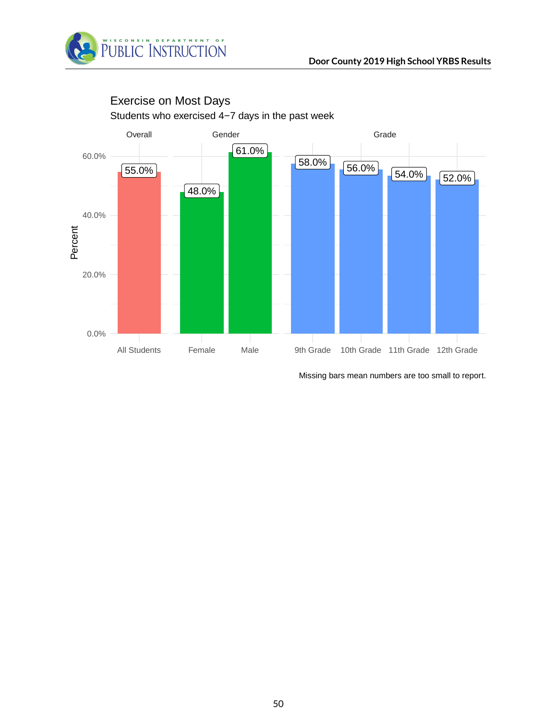



## Students who exercised 4−7 days in the past week Exercise on Most Days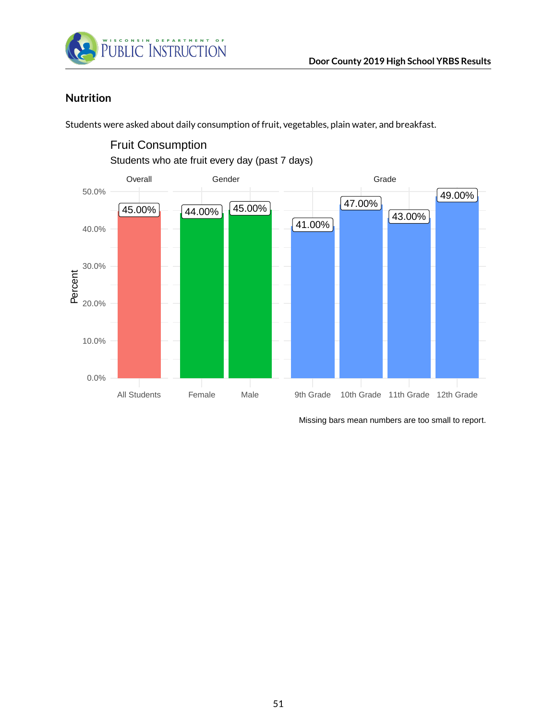

### **Nutrition**

Students were asked about daily consumption of fruit, vegetables, plain water, and breakfast.



Fruit Consumption

Students who ate fruit every day (past 7 days)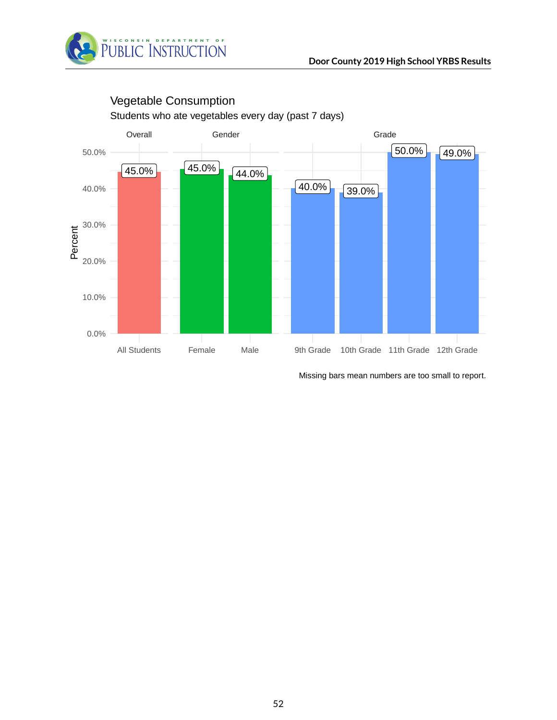



# Vegetable Consumption

Students who ate vegetables every day (past 7 days)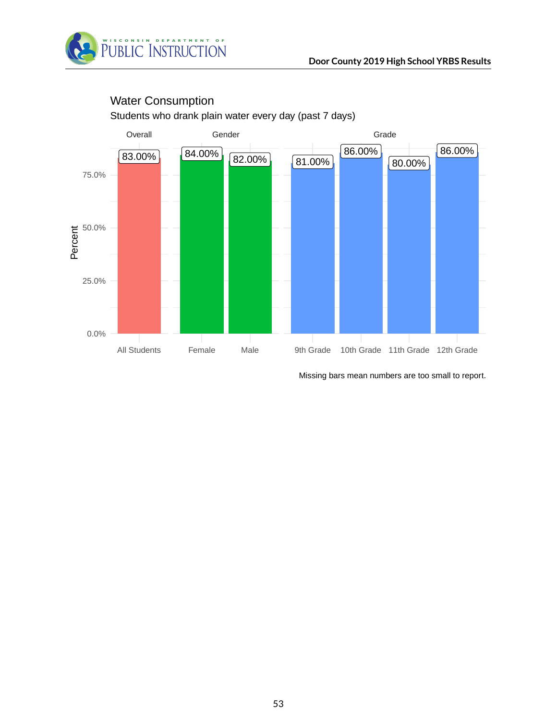



## Water Consumption

Students who drank plain water every day (past 7 days)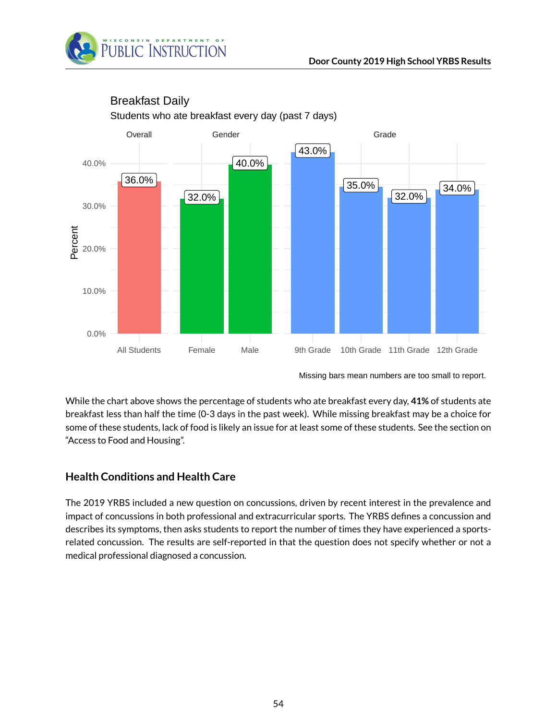



## Breakfast Daily

Students who ate breakfast every day (past 7 days)

While the chart above shows the percentage of students who ate breakfast every day, **41%** of students ate breakfast less than half the time (0-3 days in the past week). While missing breakfast may be a choice for some of these students, lack of food is likely an issue for at least some of these students. See the section on "Access to Food and Housing".

### **Health Conditions and Health Care**

The 2019 YRBS included a new question on concussions, driven by recent interest in the prevalence and impact of concussions in both professional and extracurricular sports. The YRBS defines a concussion and describes its symptoms, then asks students to report the number of times they have experienced a sportsrelated concussion. The results are self-reported in that the question does not specify whether or not a medical professional diagnosed a concussion.

Missing bars mean numbers are too small to report.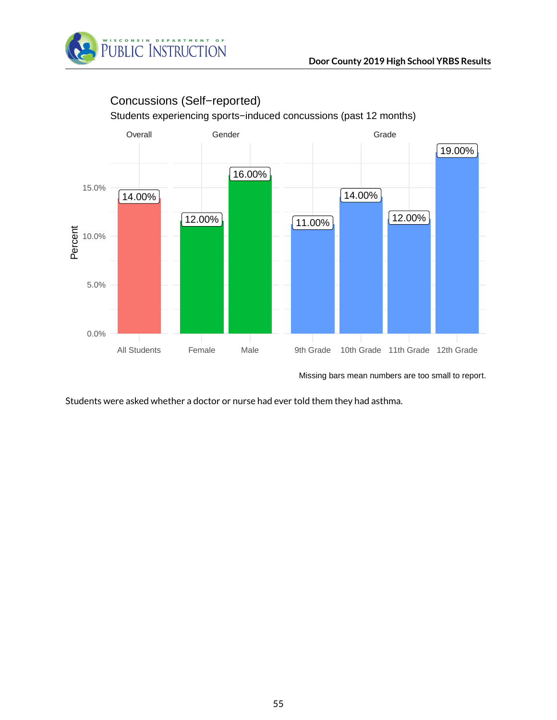



Concussions (Self−reported)

Missing bars mean numbers are too small to report.

Students were asked whether a doctor or nurse had ever told them they had asthma.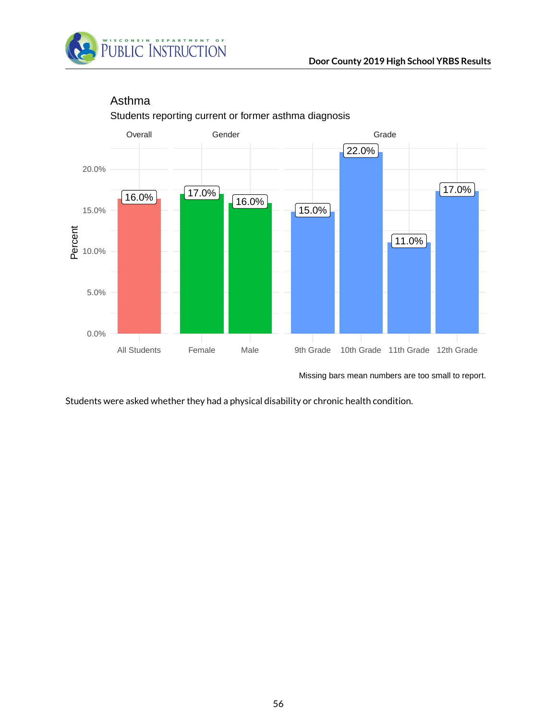



## Students reporting current or former asthma diagnosis Asthma

Missing bars mean numbers are too small to report.

Students were asked whether they had a physical disability or chronic health condition.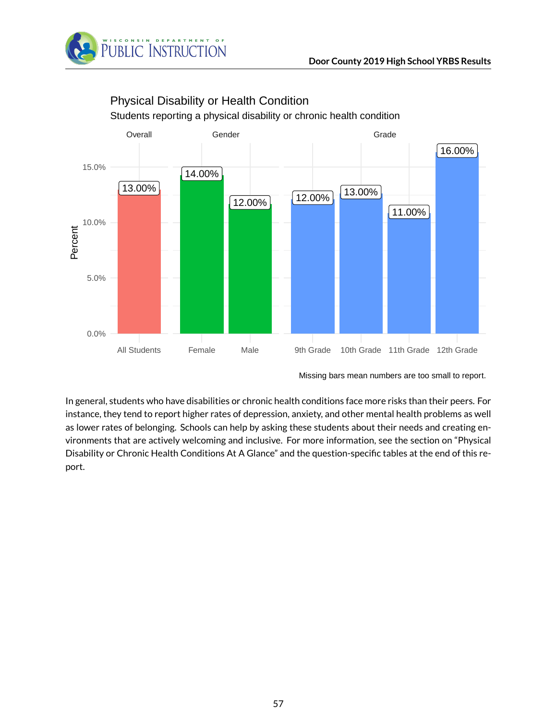



## Physical Disability or Health Condition

Students reporting a physical disability or chronic health condition

In general, students who have disabilities or chronic health conditions face more risks than their peers. For instance, they tend to report higher rates of depression, anxiety, and other mental health problems as well as lower rates of belonging. Schools can help by asking these students about their needs and creating environments that are actively welcoming and inclusive. For more information, see the section on "Physical Disability or Chronic Health Conditions At A Glance" and the question-specific tables at the end of this report.

Missing bars mean numbers are too small to report.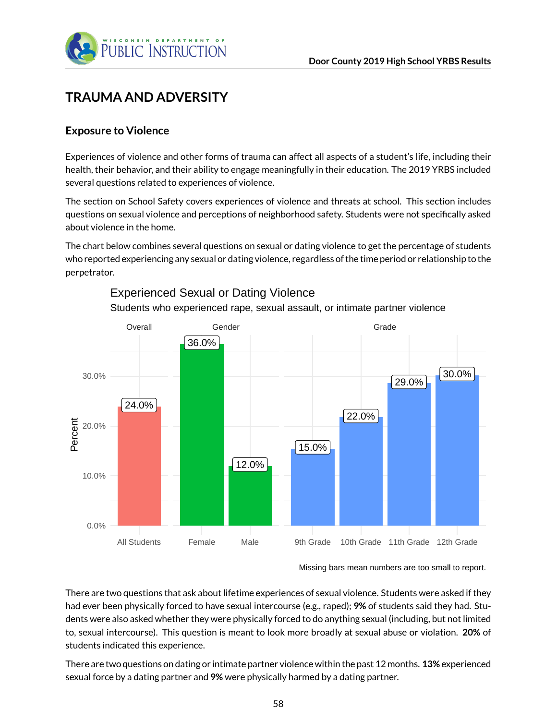

## **TRAUMA AND ADVERSITY**

### **Exposure to Violence**

Experiences of violence and other forms of trauma can affect all aspects of a student's life, including their health, their behavior, and their ability to engage meaningfully in their education. The 2019 YRBS included several questions related to experiences of violence.

The section on School Safety covers experiences of violence and threats at school. This section includes questions on sexual violence and perceptions of neighborhood safety. Students were not specifically asked about violence in the home.

The chart below combines several questions on sexual or dating violence to get the percentage of students who reported experiencing any sexual or dating violence, regardless of the time period or relationship to the perpetrator.



Students who experienced rape, sexual assault, or intimate partner violence Experienced Sexual or Dating Violence

There are two questions that ask about lifetime experiences of sexual violence. Students were asked if they had ever been physically forced to have sexual intercourse (e.g., raped); **9%** of students said they had. Students were also asked whether they were physically forced to do anything sexual (including, but not limited to, sexual intercourse). This question is meant to look more broadly at sexual abuse or violation. **20%** of students indicated this experience.

There are two questions on dating or intimate partner violence within the past 12 months. **13%** experienced sexual force by a dating partner and **9%** were physically harmed by a dating partner.

Missing bars mean numbers are too small to report.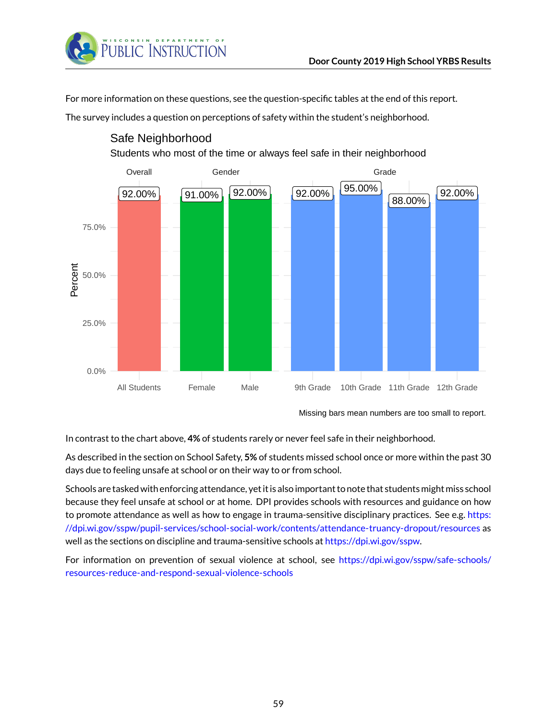

For more information on these questions, see the question-specific tables at the end of this report.

The survey includes a question on perceptions of safety within the student's neighborhood.



### Safe Neighborhood

Students who most of the time or always feel safe in their neighborhood

Missing bars mean numbers are too small to report.

In contrast to the chart above, **4%** of students rarely or never feel safe in their neighborhood.

As described in the section on School Safety, **5%** of students missed school once or more within the past 30 days due to feeling unsafe at school or on their way to or from school.

Schools are tasked with enforcing attendance, yet it is also important to note that students might miss school because they feel unsafe at school or at home. DPI provides schools with resources and guidance on how to promote attendance as well as how to engage in trauma-sensitive disciplinary practices. See e.g. [https:](https://dpi.wi.gov/sspw/pupil-services/school-social-work/contents/attendance-truancy-dropout/resources) [//dpi.wi.gov/sspw/pupil-services/school-social-work/contents/attendance-truancy-dropout/resources](https://dpi.wi.gov/sspw/pupil-services/school-social-work/contents/attendance-truancy-dropout/resources) as well as the sections on discipline and trauma-sensitive schools at [https://dpi.wi.gov/sspw.](https://dpi.wi.gov/sspw)

For information on prevention of sexual violence at school, see [https://dpi.wi.gov/sspw/safe-schools/](https://dpi.wi.gov/sspw/safe-schools/resources-reduce-and-respond-sexual-violence-schools) [resources-reduce-and-respond-sexual-violence-schools](https://dpi.wi.gov/sspw/safe-schools/resources-reduce-and-respond-sexual-violence-schools)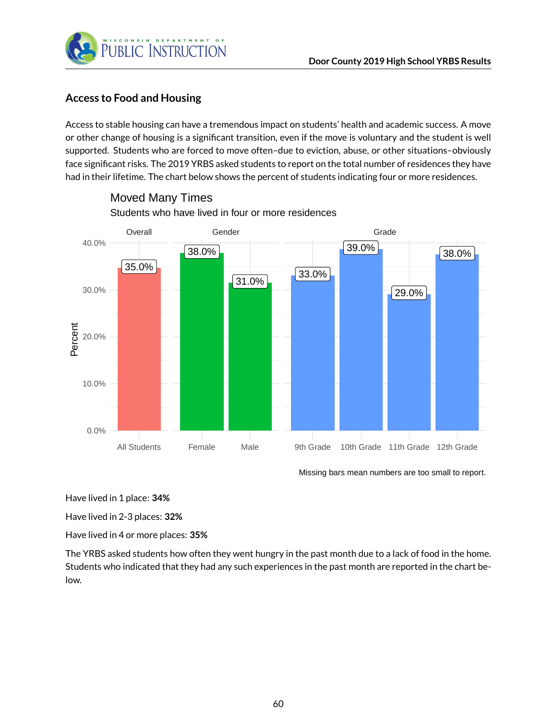

### **Access to Food and Housing**

Access to stable housing can have a tremendous impact on students' health and academic success. A move or other change of housing is a significant transition, even if the move is voluntary and the student is well supported. Students who are forced to move often–due to eviction, abuse, or other situations–obviously face significant risks. The 2019 YRBS asked students to report on the total number of residences they have had in their lifetime. The chart below shows the percent of students indicating four or more residences.



Students who have lived in four or more residences Moved Many Times

Missing bars mean numbers are too small to report.

Have lived in 1 place: **34%**

Have lived in 2-3 places: **32%**

Have lived in 4 or more places: **35%**

The YRBS asked students how often they went hungry in the past month due to a lack of food in the home. Students who indicated that they had any such experiences in the past month are reported in the chart below.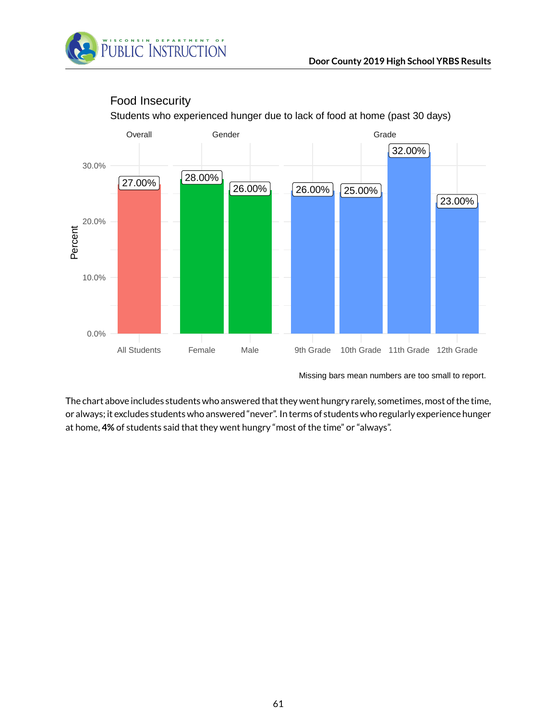



## Food Insecurity

Students who experienced hunger due to lack of food at home (past 30 days)

Missing bars mean numbers are too small to report.

The chart above includes students who answered that they went hungry rarely, sometimes, most of the time, or always; it excludes students who answered "never". In terms of students who regularly experience hunger at home, **4%** of students said that they went hungry "most of the time" or "always".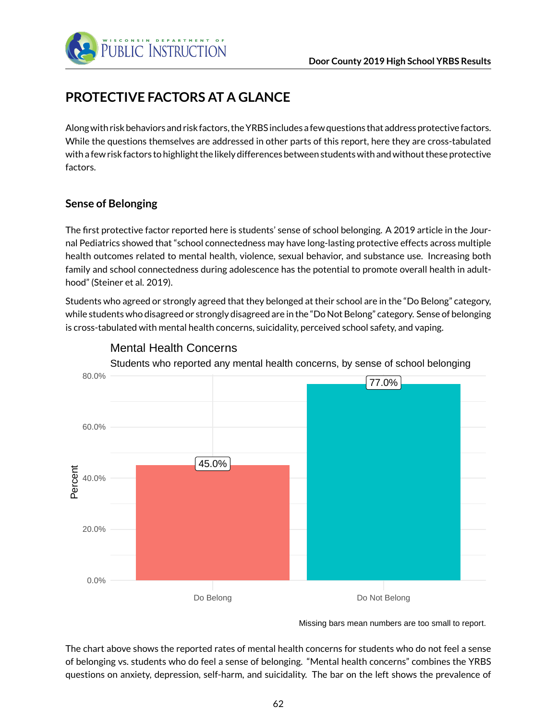

# **PROTECTIVE FACTORS AT A GLANCE**

Along with risk behaviors and risk factors, the YRBS includes a few questions that address protective factors. While the questions themselves are addressed in other parts of this report, here they are cross-tabulated with a few risk factors to highlight the likely differences between students with and without these protective factors.

### **Sense of Belonging**

The first protective factor reported here is students' sense of school belonging. A 2019 article in the Journal Pediatrics showed that "school connectedness may have long-lasting protective effects across multiple health outcomes related to mental health, violence, sexual behavior, and substance use. Increasing both family and school connectedness during adolescence has the potential to promote overall health in adulthood" (Steiner et al. 2019).

Students who agreed or strongly agreed that they belonged at their school are in the "Do Belong" category, while students who disagreed or strongly disagreed are in the "Do Not Belong" category. Sense of belonging is cross-tabulated with mental health concerns, suicidality, perceived school safety, and vaping.



### Mental Health Concerns

Missing bars mean numbers are too small to report.

The chart above shows the reported rates of mental health concerns for students who do not feel a sense of belonging vs. students who do feel a sense of belonging. "Mental health concerns" combines the YRBS questions on anxiety, depression, self-harm, and suicidality. The bar on the left shows the prevalence of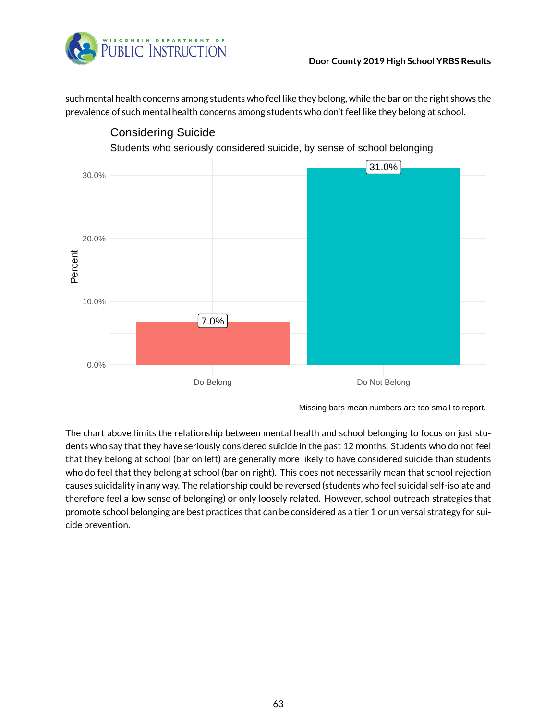

such mental health concerns among students who feel like they belong, while the bar on the right shows the prevalence of such mental health concerns among students who don't feel like they belong at school.



Missing bars mean numbers are too small to report.

The chart above limits the relationship between mental health and school belonging to focus on just students who say that they have seriously considered suicide in the past 12 months. Students who do not feel that they belong at school (bar on left) are generally more likely to have considered suicide than students who do feel that they belong at school (bar on right). This does not necessarily mean that school rejection causes suicidality in any way. The relationship could be reversed (students who feel suicidal self-isolate and therefore feel a low sense of belonging) or only loosely related. However, school outreach strategies that promote school belonging are best practices that can be considered as a tier 1 or universal strategy for suicide prevention.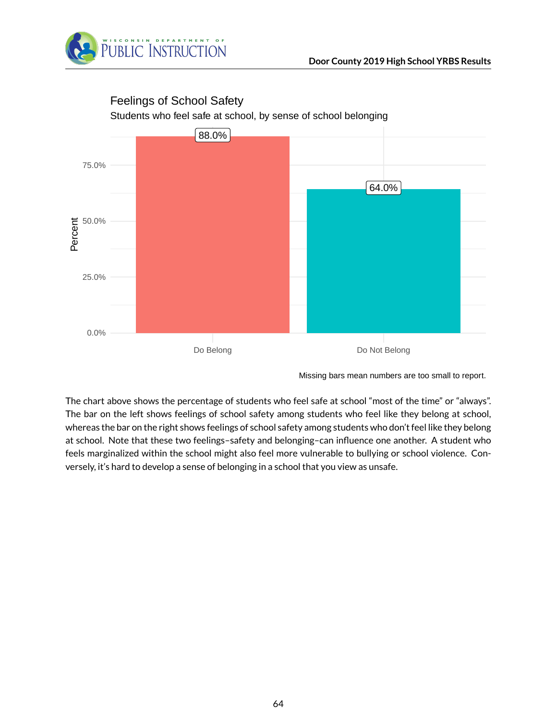



### Feelings of School Safety

The chart above shows the percentage of students who feel safe at school "most of the time" or "always". The bar on the left shows feelings of school safety among students who feel like they belong at school, whereas the bar on the right shows feelings of school safety among students who don't feel like they belong at school. Note that these two feelings–safety and belonging–can influence one another. A student who feels marginalized within the school might also feel more vulnerable to bullying or school violence. Conversely, it's hard to develop a sense of belonging in a school that you view as unsafe.

Missing bars mean numbers are too small to report.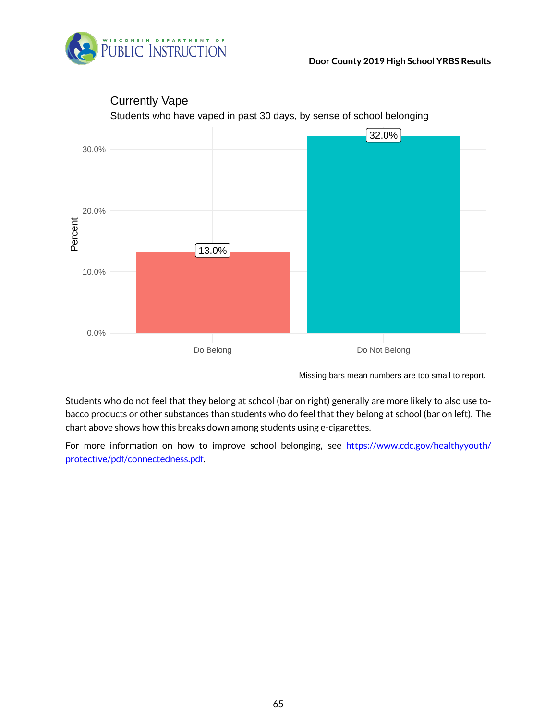



## Currently Vape

Missing bars mean numbers are too small to report.

Students who do not feel that they belong at school (bar on right) generally are more likely to also use tobacco products or other substances than students who do feel that they belong at school (bar on left). The chart above shows how this breaks down among students using e-cigarettes.

For more information on how to improve school belonging, see [https://www.cdc.gov/healthyyouth/](https://www.cdc.gov/healthyyouth/protective/pdf/connectedness.pdf) [protective/pdf/connectedness.pdf.](https://www.cdc.gov/healthyyouth/protective/pdf/connectedness.pdf)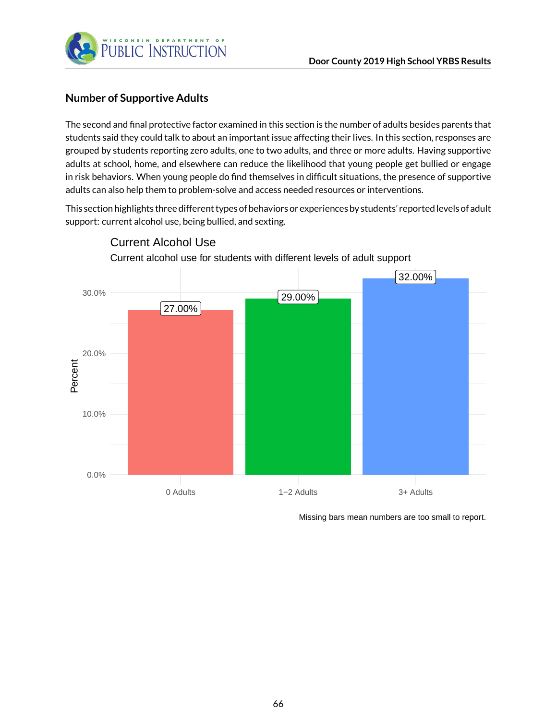

### **Number of Supportive Adults**

The second and final protective factor examined in this section is the number of adults besides parents that students said they could talk to about an important issue affecting their lives. In this section, responses are grouped by students reporting zero adults, one to two adults, and three or more adults. Having supportive adults at school, home, and elsewhere can reduce the likelihood that young people get bullied or engage in risk behaviors. When young people do find themselves in difficult situations, the presence of supportive adults can also help them to problem-solve and access needed resources or interventions.

This section highlights three different types of behaviors or experiences by students' reported levels of adult support: current alcohol use, being bullied, and sexting.



Current Alcohol Use

Missing bars mean numbers are too small to report.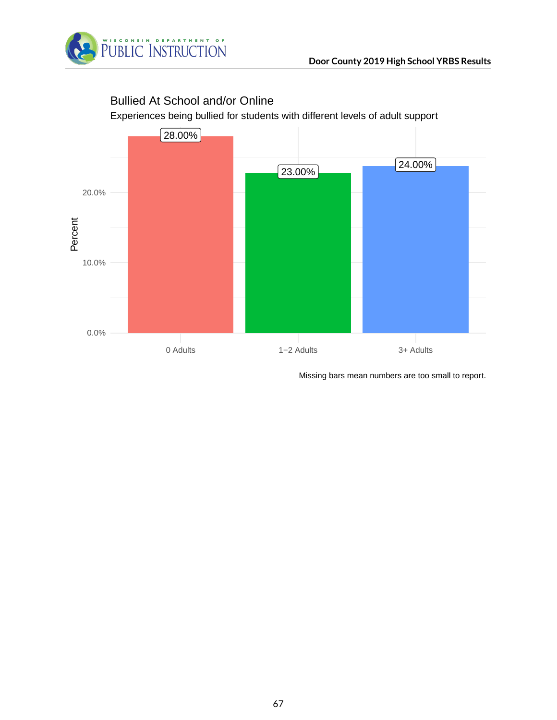

# Bullied At School and/or Online

Experiences being bullied for students with different levels of adult support

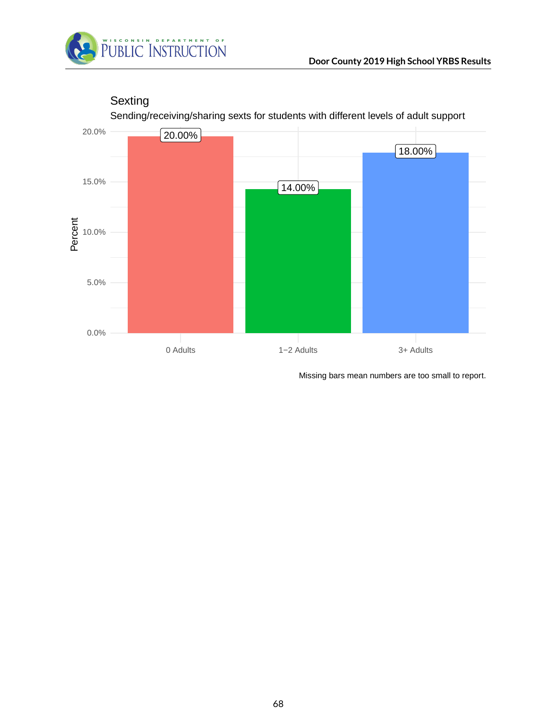



**Sexting** 

Sending/receiving/sharing sexts for students with different levels of adult support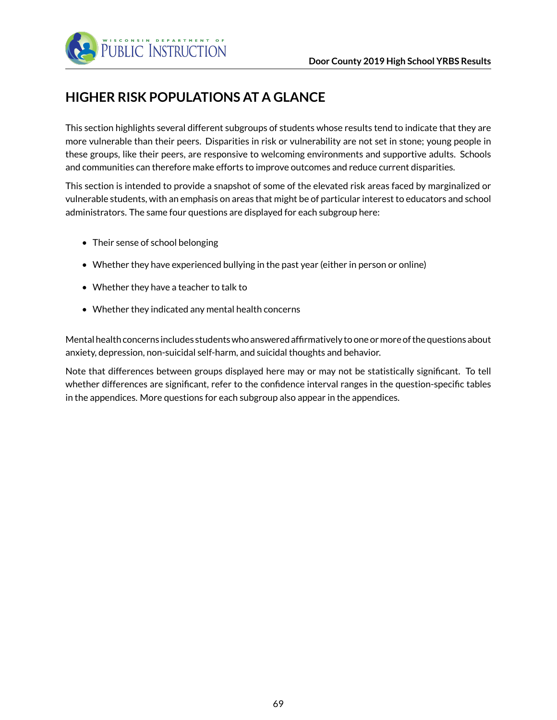

# **HIGHER RISK POPULATIONS AT A GLANCE**

This section highlights several different subgroups of students whose results tend to indicate that they are more vulnerable than their peers. Disparities in risk or vulnerability are not set in stone; young people in these groups, like their peers, are responsive to welcoming environments and supportive adults. Schools and communities can therefore make efforts to improve outcomes and reduce current disparities.

This section is intended to provide a snapshot of some of the elevated risk areas faced by marginalized or vulnerable students, with an emphasis on areas that might be of particular interest to educators and school administrators. The same four questions are displayed for each subgroup here:

- Their sense of school belonging
- Whether they have experienced bullying in the past year (either in person or online)
- Whether they have a teacher to talk to
- Whether they indicated any mental health concerns

Mental health concerns includes students who answered affirmatively to one ormore of the questions about anxiety, depression, non-suicidal self-harm, and suicidal thoughts and behavior.

Note that differences between groups displayed here may or may not be statistically significant. To tell whether differences are significant, refer to the confidence interval ranges in the question-specific tables in the appendices. More questions for each subgroup also appear in the appendices.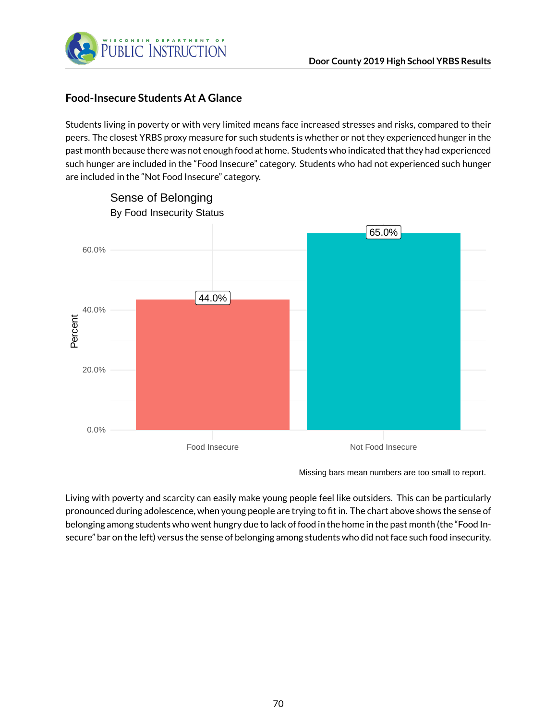

### **Food-Insecure Students At A Glance**

Students living in poverty or with very limited means face increased stresses and risks, compared to their peers. The closest YRBS proxy measure for such students is whether or not they experienced hunger in the past month because there was not enough food at home. Students who indicated that they had experienced such hunger are included in the "Food Insecure" category. Students who had not experienced such hunger are included in the "Not Food Insecure" category.



Missing bars mean numbers are too small to report.

Living with poverty and scarcity can easily make young people feel like outsiders. This can be particularly pronounced during adolescence, when young people are trying to fit in. The chart above shows the sense of belonging among students who went hungry due to lack of food in the home in the past month (the "Food Insecure" bar on the left) versus the sense of belonging among students who did not face such food insecurity.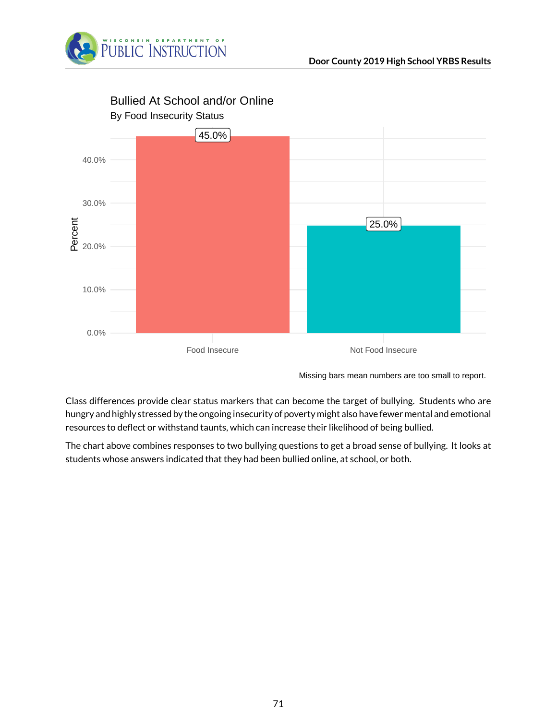



Bullied At School and/or Online

Missing bars mean numbers are too small to report.

Class differences provide clear status markers that can become the target of bullying. Students who are hungry and highly stressed by the ongoing insecurity of poverty might also have fewer mental and emotional resources to deflect or withstand taunts, which can increase their likelihood of being bullied.

The chart above combines responses to two bullying questions to get a broad sense of bullying. It looks at students whose answers indicated that they had been bullied online, at school, or both.

71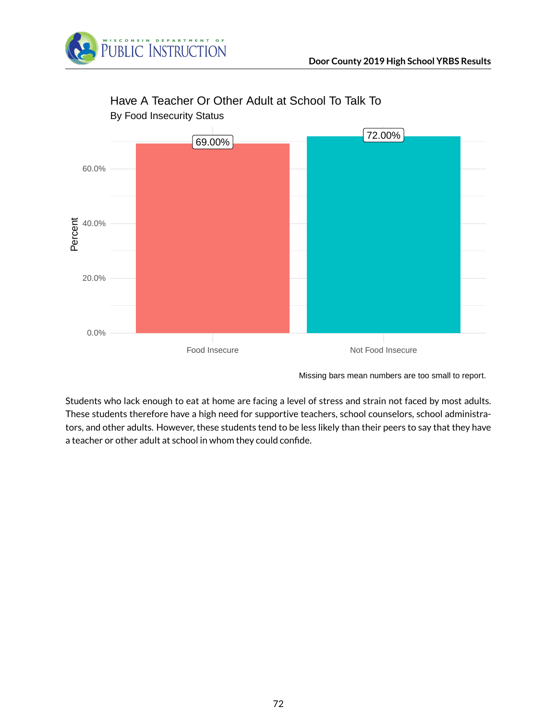



## Have A Teacher Or Other Adult at School To Talk To

Missing bars mean numbers are too small to report.

Students who lack enough to eat at home are facing a level of stress and strain not faced by most adults. These students therefore have a high need for supportive teachers, school counselors, school administrators, and other adults. However, these students tend to be less likely than their peers to say that they have a teacher or other adult at school in whom they could confide.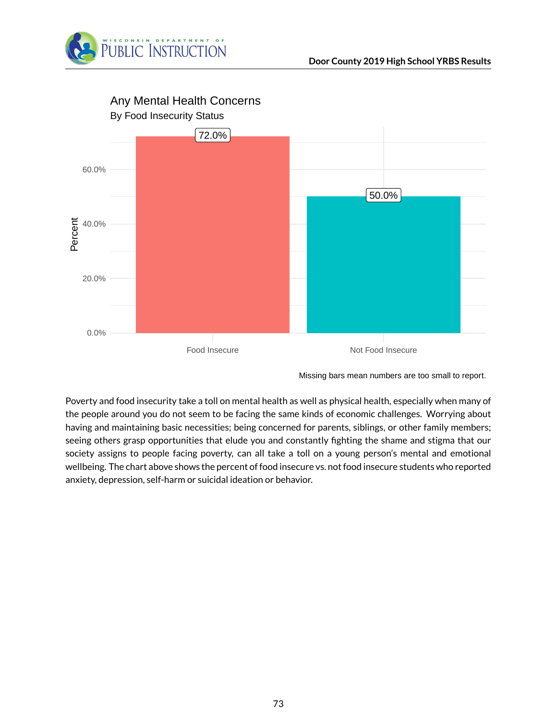



Any Mental Health Concerns

Poverty and food insecurity take a toll on mental health as well as physical health, especially when many of the people around you do not seem to be facing the same kinds of economic challenges. Worrying about having and maintaining basic necessities; being concerned for parents, siblings, or other family members; seeing others grasp opportunities that elude you and constantly fighting the shame and stigma that our society assigns to people facing poverty, can all take a toll on a young person's mental and emotional wellbeing. The chart above shows the percent of food insecure vs. not food insecure students who reported anxiety, depression, self-harm or suicidal ideation or behavior.

Missing bars mean numbers are too small to report.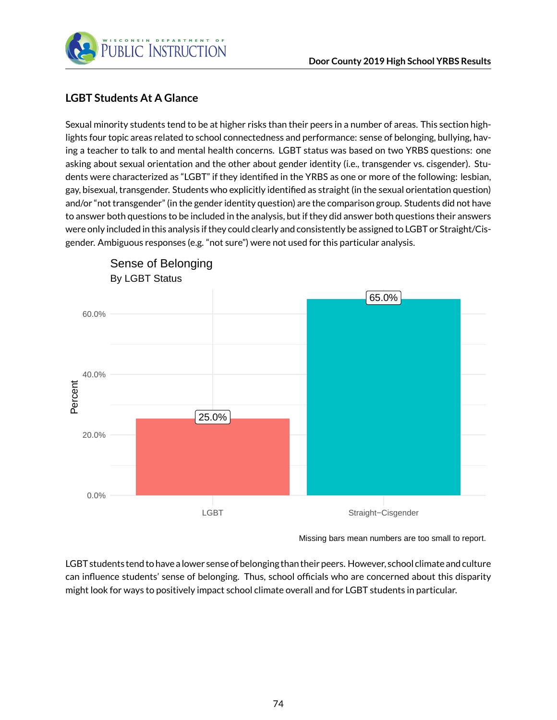

#### **LGBT Students At A Glance**

Sexual minority students tend to be at higher risks than their peers in a number of areas. This section highlights four topic areas related to school connectedness and performance: sense of belonging, bullying, having a teacher to talk to and mental health concerns. LGBT status was based on two YRBS questions: one asking about sexual orientation and the other about gender identity (i.e., transgender vs. cisgender). Students were characterized as "LGBT" if they identified in the YRBS as one or more of the following: lesbian, gay, bisexual, transgender. Students who explicitly identified as straight (in the sexual orientation question) and/or "not transgender" (in the gender identity question) are the comparison group. Students did not have to answer both questions to be included in the analysis, but if they did answer both questions their answers were only included in this analysis if they could clearly and consistently be assigned to LGBT or Straight/Cisgender. Ambiguous responses (e.g. "not sure") were not used for this particular analysis.



Sense of Belonging

Missing bars mean numbers are too small to report.

LGBT students tend to have a lower sense of belonging than their peers. However, school climate and culture can influence students' sense of belonging. Thus, school officials who are concerned about this disparity might look for ways to positively impact school climate overall and for LGBT students in particular.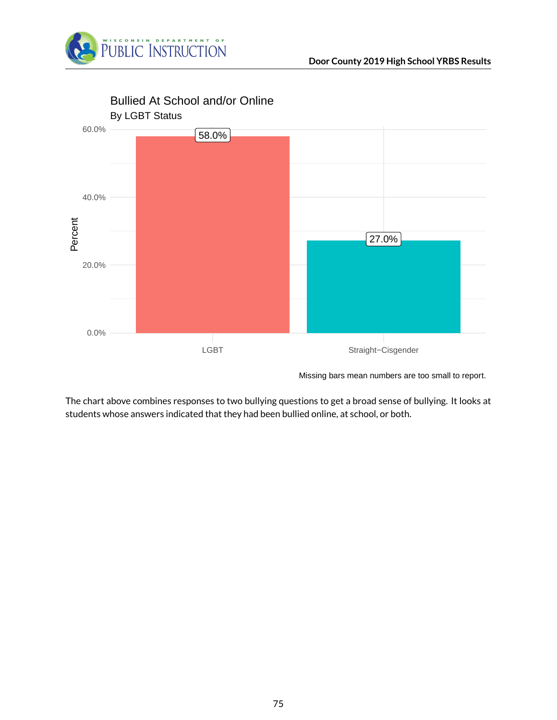



Bullied At School and/or Online

Missing bars mean numbers are too small to report.

The chart above combines responses to two bullying questions to get a broad sense of bullying. It looks at students whose answers indicated that they had been bullied online, at school, or both.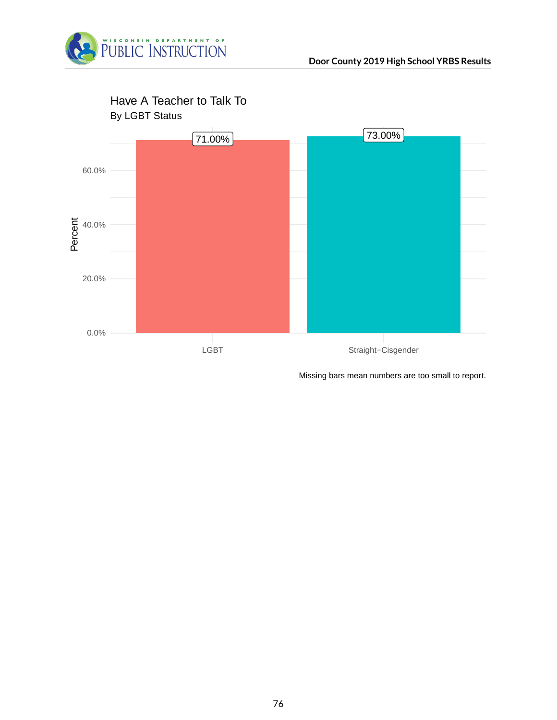



Missing bars mean numbers are too small to report.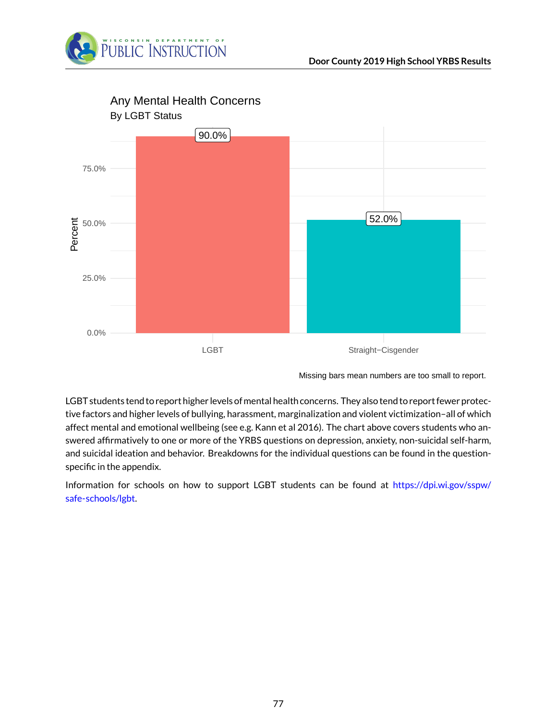



Missing bars mean numbers are too small to report.

LGBT students tend to report higher levels of mental health concerns. They also tend to report fewer protective factors and higher levels of bullying, harassment, marginalization and violent victimization–all of which affect mental and emotional wellbeing (see e.g. Kann et al 2016). The chart above covers students who answered affirmatively to one or more of the YRBS questions on depression, anxiety, non-suicidal self-harm, and suicidal ideation and behavior. Breakdowns for the individual questions can be found in the questionspecific in the appendix.

Information for schools on how to support LGBT students can be found at [https://dpi.wi.gov/sspw/](https://dpi.wi.gov/sspw/safe-schools/lgbt) [safe-schools/lgbt.](https://dpi.wi.gov/sspw/safe-schools/lgbt)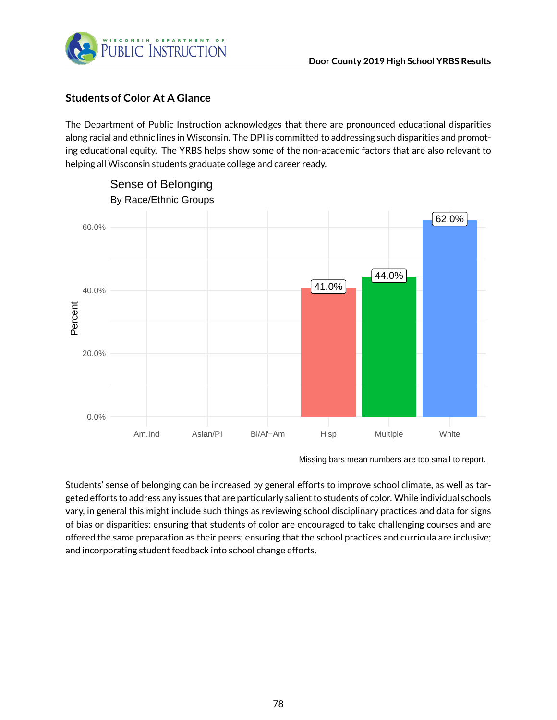

#### **Students of Color At A Glance**

The Department of Public Instruction acknowledges that there are pronounced educational disparities along racial and ethnic lines in Wisconsin. The DPI is committed to addressing such disparities and promoting educational equity. The YRBS helps show some of the non-academic factors that are also relevant to helping all Wisconsin students graduate college and career ready.



Missing bars mean numbers are too small to report.

Students' sense of belonging can be increased by general efforts to improve school climate, as well as targeted efforts to address any issues that are particularly salient to students of color. While individual schools vary, in general this might include such things as reviewing school disciplinary practices and data for signs of bias or disparities; ensuring that students of color are encouraged to take challenging courses and are offered the same preparation as their peers; ensuring that the school practices and curricula are inclusive; and incorporating student feedback into school change efforts.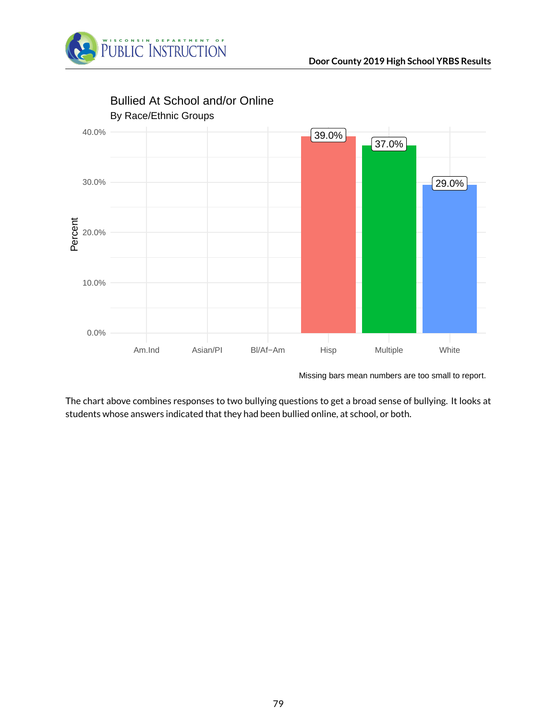



Missing bars mean numbers are too small to report.

The chart above combines responses to two bullying questions to get a broad sense of bullying. It looks at students whose answers indicated that they had been bullied online, at school, or both.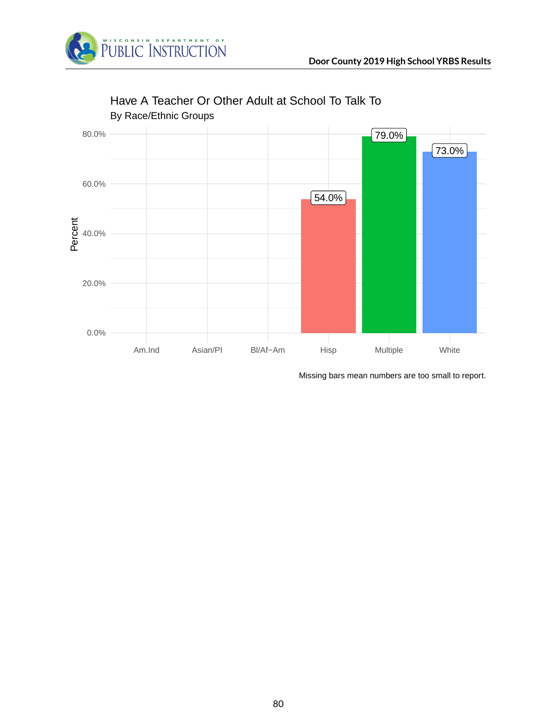



### Have A Teacher Or Other Adult at School To Talk To

Missing bars mean numbers are too small to report.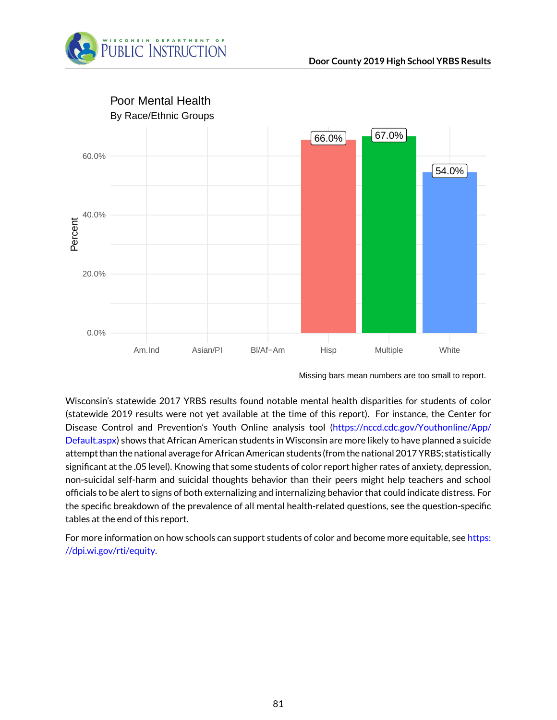



Missing bars mean numbers are too small to report.

Wisconsin's statewide 2017 YRBS results found notable mental health disparities for students of color (statewide 2019 results were not yet available at the time of this report). For instance, the Center for Disease Control and Prevention's Youth Online analysis tool [\(https://nccd.cdc.gov/Youthonline/App/](https://nccd.cdc.gov/Youthonline/App/Default.aspx) [Default.aspx\)](https://nccd.cdc.gov/Youthonline/App/Default.aspx) shows that African American students in Wisconsin are more likely to have planned a suicide attempt than the national average for African American students (from the national 2017 YRBS; statistically significant at the .05 level). Knowing that some students of color report higher rates of anxiety, depression, non-suicidal self-harm and suicidal thoughts behavior than their peers might help teachers and school officials to be alert to signs of both externalizing and internalizing behavior that could indicate distress. For the specific breakdown of the prevalence of all mental health-related questions, see the question-specific tables at the end of this report.

For more information on how schools can support students of color and become more equitable, see [https:](https://dpi.wi.gov/rti/equity) [//dpi.wi.gov/rti/equity.](https://dpi.wi.gov/rti/equity)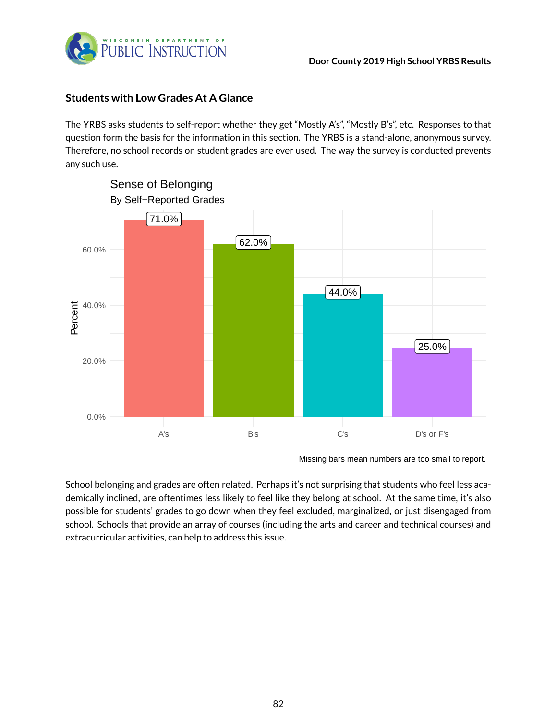

#### **Students with Low Grades At A Glance**

The YRBS asks students to self-report whether they get "Mostly A's", "Mostly B's", etc. Responses to that question form the basis for the information in this section. The YRBS is a stand-alone, anonymous survey. Therefore, no school records on student grades are ever used. The way the survey is conducted prevents any such use.



Missing bars mean numbers are too small to report.

School belonging and grades are often related. Perhaps it's not surprising that students who feel less academically inclined, are oftentimes less likely to feel like they belong at school. At the same time, it's also possible for students' grades to go down when they feel excluded, marginalized, or just disengaged from school. Schools that provide an array of courses (including the arts and career and technical courses) and extracurricular activities, can help to address this issue.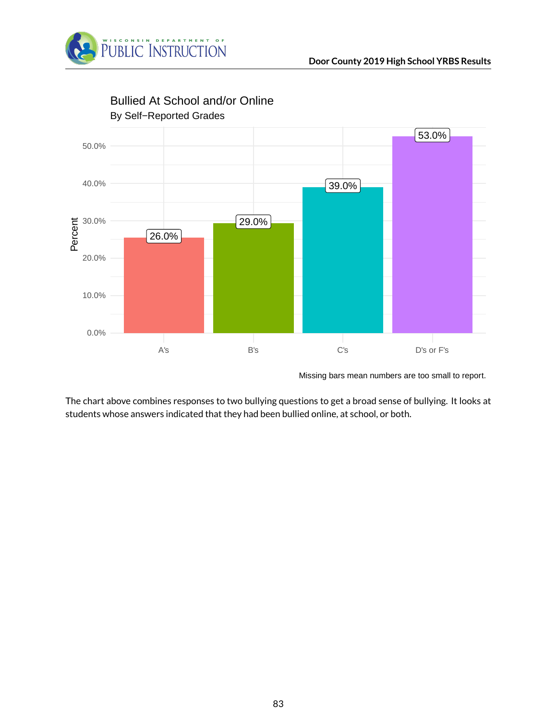



Bullied At School and/or Online

Missing bars mean numbers are too small to report.

The chart above combines responses to two bullying questions to get a broad sense of bullying. It looks at students whose answers indicated that they had been bullied online, at school, or both.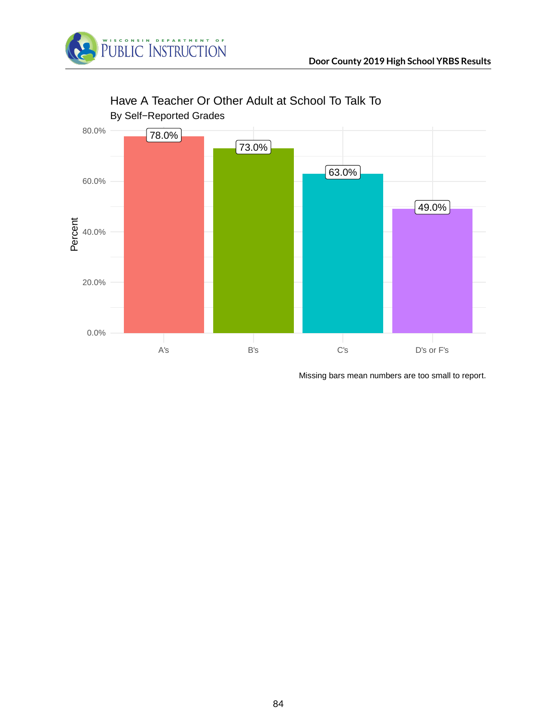



# Have A Teacher Or Other Adult at School To Talk To

Missing bars mean numbers are too small to report.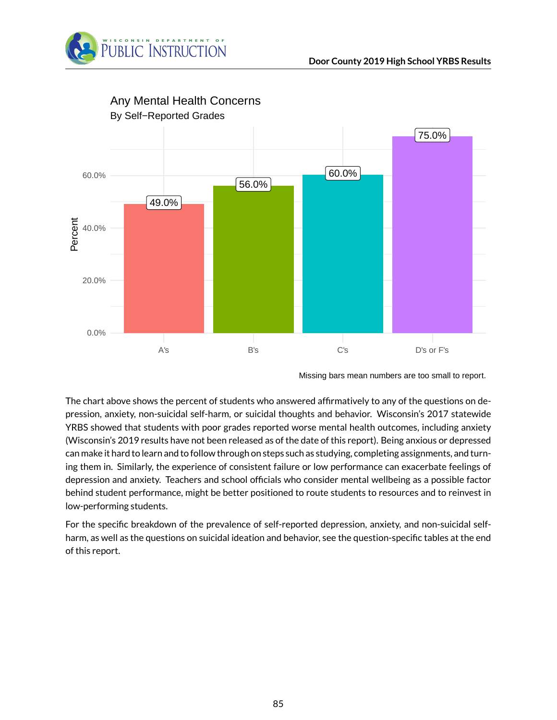



Missing bars mean numbers are too small to report.

The chart above shows the percent of students who answered affirmatively to any of the questions on depression, anxiety, non-suicidal self-harm, or suicidal thoughts and behavior. Wisconsin's 2017 statewide YRBS showed that students with poor grades reported worse mental health outcomes, including anxiety (Wisconsin's 2019 results have not been released as of the date of this report). Being anxious or depressed can make it hard to learn and to follow through on steps such as studying, completing assignments, and turning them in. Similarly, the experience of consistent failure or low performance can exacerbate feelings of depression and anxiety. Teachers and school officials who consider mental wellbeing as a possible factor behind student performance, might be better positioned to route students to resources and to reinvest in low-performing students.

For the specific breakdown of the prevalence of self-reported depression, anxiety, and non-suicidal selfharm, as well as the questions on suicidal ideation and behavior, see the question-specific tables at the end of this report.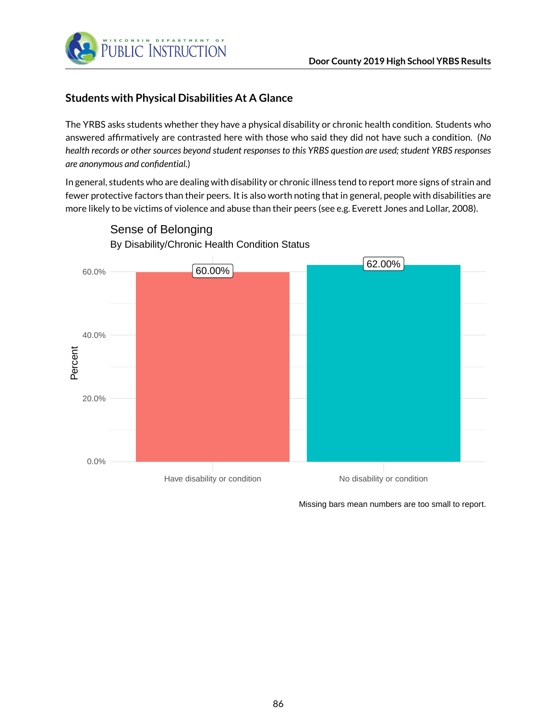



#### **Students with Physical Disabilities At A Glance**

The YRBS asks students whether they have a physical disability or chronic health condition. Students who answered affirmatively are contrasted here with those who said they did not have such a condition. (*No health records or other sources beyond student responses to this YRBS question are used; student YRBS responses are anonymous and confidential.*)

In general, students who are dealing with disability or chronic illness tend to report more signs of strain and fewer protective factors than their peers. It is also worth noting that in general, people with disabilities are more likely to be victims of violence and abuse than their peers (see e.g. Everett Jones and Lollar, 2008).



By Disability/Chronic Health Condition Status Sense of Belonging

Missing bars mean numbers are too small to report.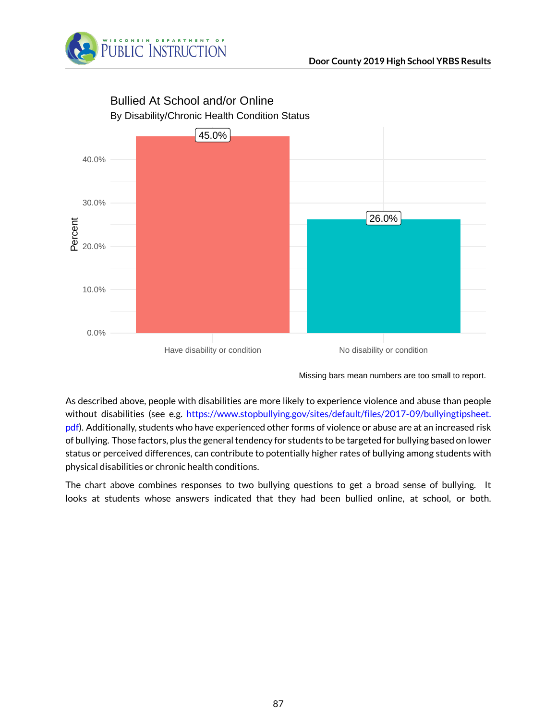



# Bullied At School and/or Online

Missing bars mean numbers are too small to report.

As described above, people with disabilities are more likely to experience violence and abuse than people without disabilities (see e.g. [https://www.stopbullying.gov/sites/default/files/2017-09/bullyingtipsheet.](https://www.stopbullying.gov/sites/default/files/2017-09/bullyingtipsheet.pdf) [pdf\)](https://www.stopbullying.gov/sites/default/files/2017-09/bullyingtipsheet.pdf). Additionally, students who have experienced other forms of violence or abuse are at an increased risk of bullying. Those factors, plus the general tendency for students to be targeted for bullying based on lower status or perceived differences, can contribute to potentially higher rates of bullying among students with physical disabilities or chronic health conditions.

The chart above combines responses to two bullying questions to get a broad sense of bullying. It looks at students whose answers indicated that they had been bullied online, at school, or both.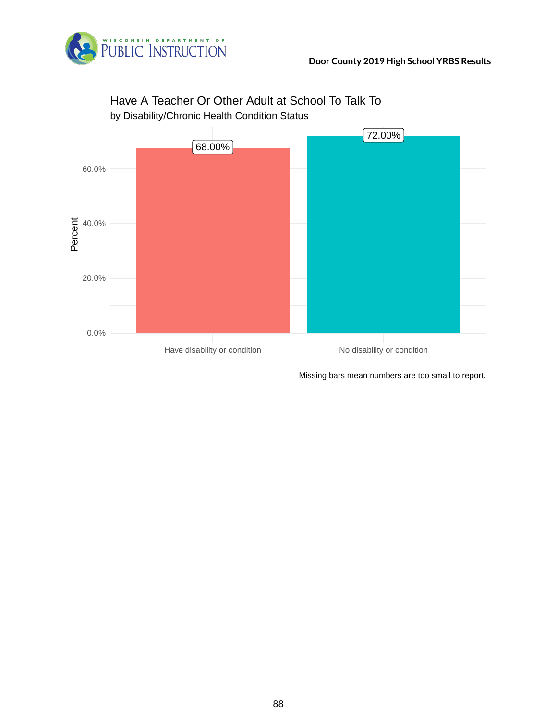



# Have A Teacher Or Other Adult at School To Talk To

by Disability/Chronic Health Condition Status

Missing bars mean numbers are too small to report.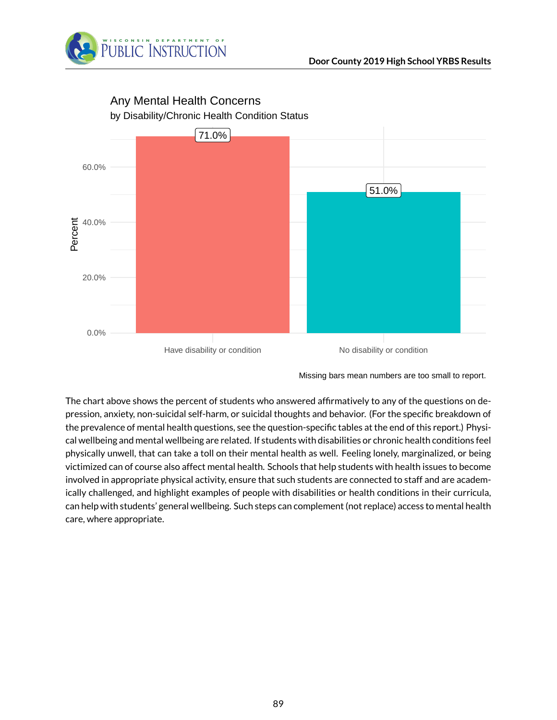



# Any Mental Health Concerns

Missing bars mean numbers are too small to report.

The chart above shows the percent of students who answered affirmatively to any of the questions on depression, anxiety, non-suicidal self-harm, or suicidal thoughts and behavior. (For the specific breakdown of the prevalence of mental health questions, see the question-specific tables at the end of this report.) Physical wellbeing and mental wellbeing are related. If students with disabilities or chronic health conditions feel physically unwell, that can take a toll on their mental health as well. Feeling lonely, marginalized, or being victimized can of course also affect mental health. Schools that help students with health issues to become involved in appropriate physical activity, ensure that such students are connected to staff and are academically challenged, and highlight examples of people with disabilities or health conditions in their curricula, can help with students' general wellbeing. Such steps can complement (not replace) access to mental health care, where appropriate.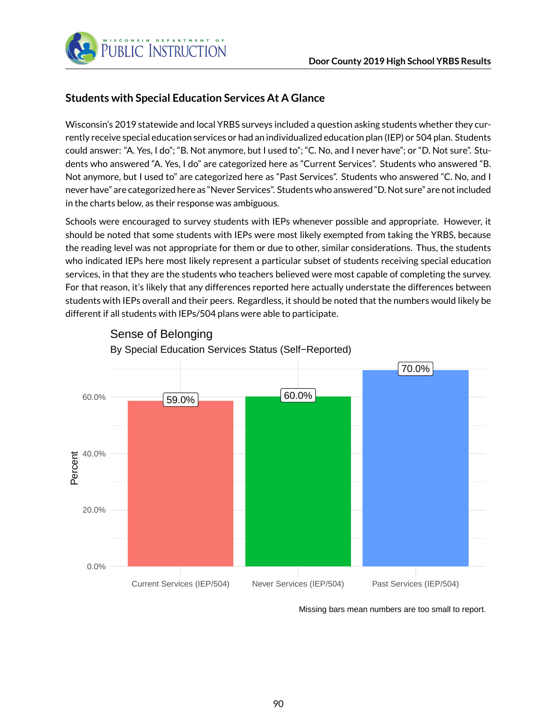

#### **Students with Special Education Services At A Glance**

Wisconsin's 2019 statewide and local YRBS surveys included a question asking students whether they currently receive special education services or had an individualized education plan (IEP) or 504 plan. Students could answer: "A. Yes, I do"; "B. Not anymore, but I used to"; "C. No, and I never have"; or "D. Not sure". Students who answered "A. Yes, I do" are categorized here as "Current Services". Students who answered "B. Not anymore, but I used to" are categorized here as "Past Services". Students who answered "C. No, and I never have" are categorized here as "Never Services". Students who answered "D. Not sure" are not included in the charts below, as their response was ambiguous.

Schools were encouraged to survey students with IEPs whenever possible and appropriate. However, it should be noted that some students with IEPs were most likely exempted from taking the YRBS, because the reading level was not appropriate for them or due to other, similar considerations. Thus, the students who indicated IEPs here most likely represent a particular subset of students receiving special education services, in that they are the students who teachers believed were most capable of completing the survey. For that reason, it's likely that any differences reported here actually understate the differences between students with IEPs overall and their peers. Regardless, it should be noted that the numbers would likely be different if all students with IEPs/504 plans were able to participate.



Sense of Belonging

Missing bars mean numbers are too small to report.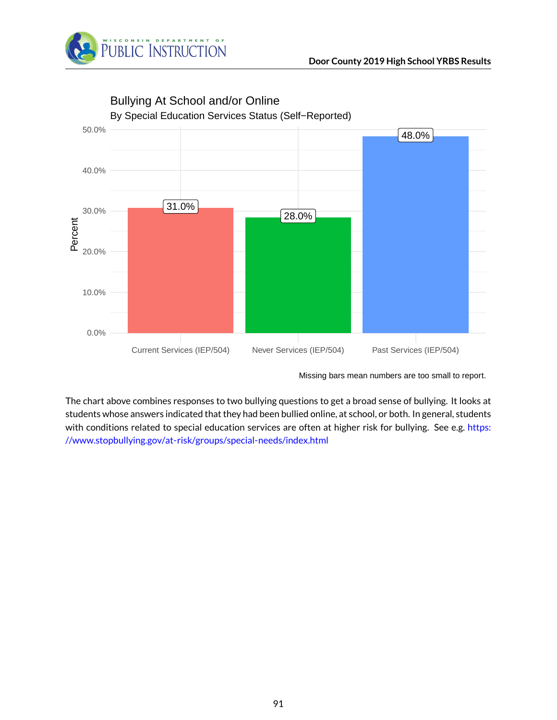



Bullying At School and/or Online

Missing bars mean numbers are too small to report.

The chart above combines responses to two bullying questions to get a broad sense of bullying. It looks at students whose answers indicated that they had been bullied online, at school, or both. In general, students with conditions related to special education services are often at higher risk for bullying. See e.g. [https:](https://www.stopbullying.gov/at-risk/groups/special-needs/index.html) [//www.stopbullying.gov/at-risk/groups/special-needs/index.html](https://www.stopbullying.gov/at-risk/groups/special-needs/index.html)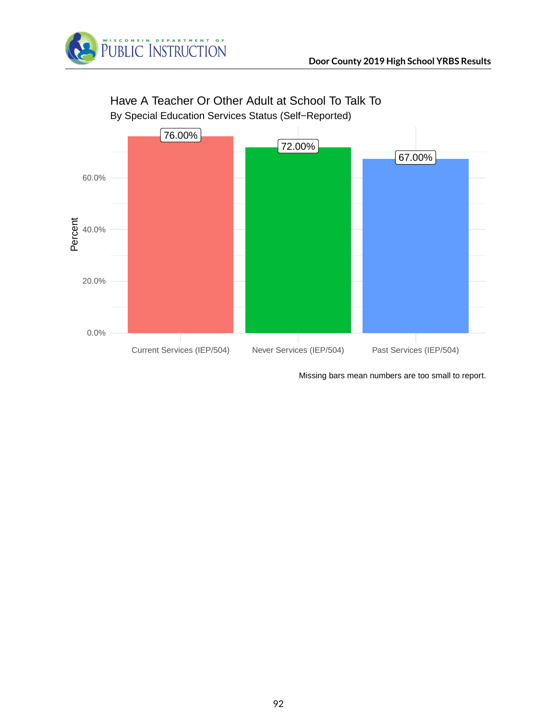



# Have A Teacher Or Other Adult at School To Talk To

By Special Education Services Status (Self−Reported)

Missing bars mean numbers are too small to report.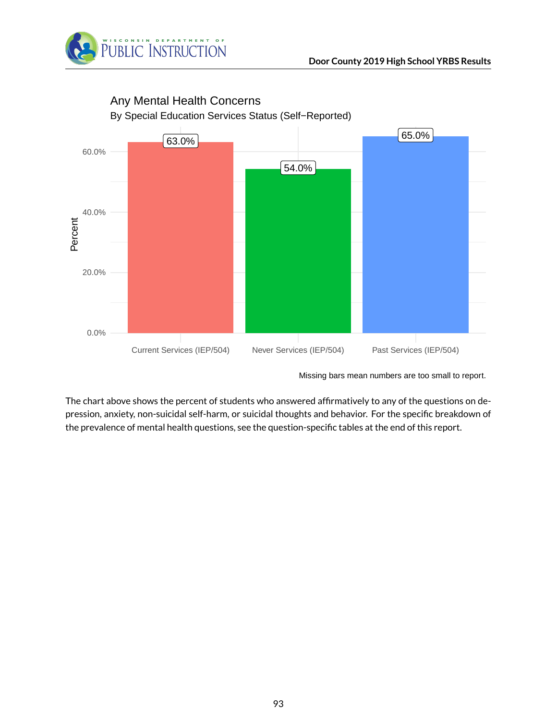



Any Mental Health Concerns

The chart above shows the percent of students who answered affirmatively to any of the questions on depression, anxiety, non-suicidal self-harm, or suicidal thoughts and behavior. For the specific breakdown of the prevalence of mental health questions, see the question-specific tables at the end of this report.

Missing bars mean numbers are too small to report.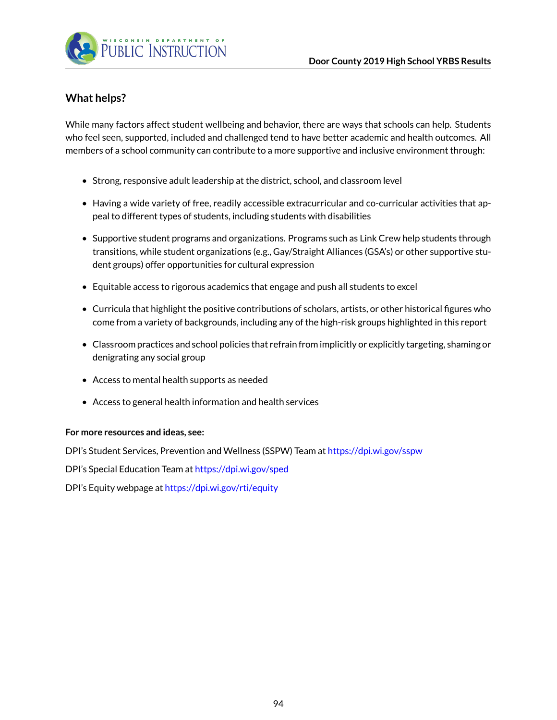

#### **What helps?**

While many factors affect student wellbeing and behavior, there are ways that schools can help. Students who feel seen, supported, included and challenged tend to have better academic and health outcomes. All members of a school community can contribute to a more supportive and inclusive environment through:

- Strong, responsive adult leadership at the district, school, and classroom level
- Having a wide variety of free, readily accessible extracurricular and co-curricular activities that appeal to different types of students, including students with disabilities
- Supportive student programs and organizations. Programs such as Link Crew help students through transitions, while student organizations (e.g., Gay/Straight Alliances (GSA's) or other supportive student groups) offer opportunities for cultural expression
- Equitable access to rigorous academics that engage and push all students to excel
- Curricula that highlight the positive contributions of scholars, artists, or other historical figures who come from a variety of backgrounds, including any of the high-risk groups highlighted in this report
- Classroom practices and school policies that refrain from implicitly or explicitly targeting, shaming or denigrating any social group
- Access to mental health supports as needed
- Access to general health information and health services

#### **For more resources and ideas, see:**

DPI's Student Services, Prevention and Wellness (SSPW) Team at <https://dpi.wi.gov/sspw>

DPI's Special Education Team at <https://dpi.wi.gov/sped>

DPI's Equity webpage at <https://dpi.wi.gov/rti/equity>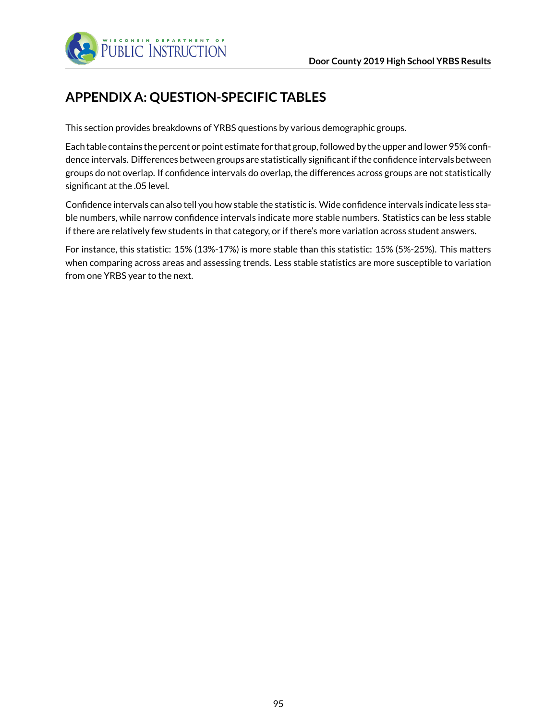

# **APPENDIX A: QUESTION-SPECIFIC TABLES**

This section provides breakdowns of YRBS questions by various demographic groups.

Each table contains the percent or point estimate for that group, followed by the upper and lower 95% confidence intervals. Differences between groups are statistically significant if the confidence intervals between groups do not overlap. If confidence intervals do overlap, the differences across groups are not statistically significant at the .05 level.

Confidence intervals can also tell you how stable the statistic is. Wide confidence intervals indicate less stable numbers, while narrow confidence intervals indicate more stable numbers. Statistics can be less stable if there are relatively few students in that category, or if there's more variation across student answers.

For instance, this statistic: 15% (13%-17%) is more stable than this statistic: 15% (5%-25%). This matters when comparing across areas and assessing trends. Less stable statistics are more susceptible to variation from one YRBS year to the next.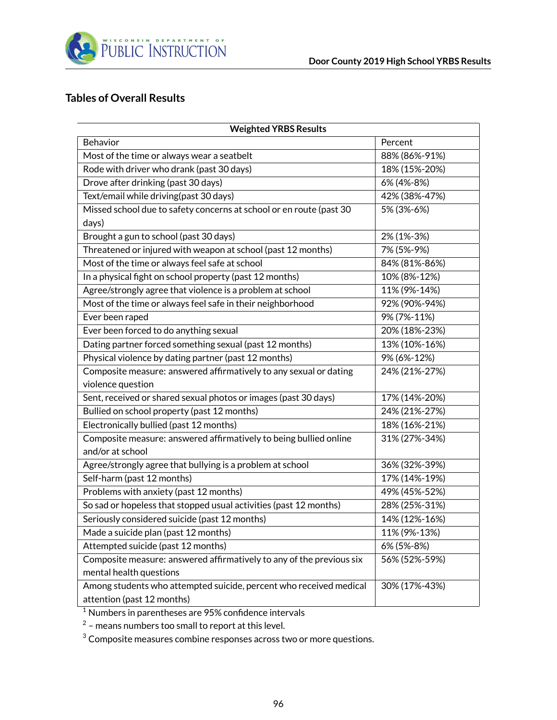

#### **Tables of Overall Results**

| <b>Weighted YRBS Results</b>                                         |               |  |  |
|----------------------------------------------------------------------|---------------|--|--|
| Behavior                                                             | Percent       |  |  |
| Most of the time or always wear a seatbelt                           | 88% (86%-91%) |  |  |
| Rode with driver who drank (past 30 days)                            | 18% (15%-20%) |  |  |
| Drove after drinking (past 30 days)                                  | 6% (4%-8%)    |  |  |
| Text/email while driving(past 30 days)                               | 42% (38%-47%) |  |  |
| Missed school due to safety concerns at school or en route (past 30  | 5% (3%-6%)    |  |  |
| days)                                                                |               |  |  |
| Brought a gun to school (past 30 days)                               | 2% (1%-3%)    |  |  |
| Threatened or injured with weapon at school (past 12 months)         | 7% (5%-9%)    |  |  |
| Most of the time or always feel safe at school                       | 84% (81%-86%) |  |  |
| In a physical fight on school property (past 12 months)              | 10% (8%-12%)  |  |  |
| Agree/strongly agree that violence is a problem at school            | 11% (9%-14%)  |  |  |
| Most of the time or always feel safe in their neighborhood           | 92% (90%-94%) |  |  |
| Ever been raped                                                      | 9% (7%-11%)   |  |  |
| Ever been forced to do anything sexual                               | 20% (18%-23%) |  |  |
| Dating partner forced something sexual (past 12 months)              | 13% (10%-16%) |  |  |
| Physical violence by dating partner (past 12 months)                 | 9% (6%-12%)   |  |  |
| Composite measure: answered affirmatively to any sexual or dating    | 24% (21%-27%) |  |  |
| violence question                                                    |               |  |  |
| Sent, received or shared sexual photos or images (past 30 days)      | 17% (14%-20%) |  |  |
| Bullied on school property (past 12 months)                          | 24% (21%-27%) |  |  |
| Electronically bullied (past 12 months)                              | 18% (16%-21%) |  |  |
| Composite measure: answered affirmatively to being bullied online    | 31% (27%-34%) |  |  |
| and/or at school                                                     |               |  |  |
| Agree/strongly agree that bullying is a problem at school            | 36% (32%-39%) |  |  |
| Self-harm (past 12 months)                                           | 17% (14%-19%) |  |  |
| Problems with anxiety (past 12 months)                               | 49% (45%-52%) |  |  |
| So sad or hopeless that stopped usual activities (past 12 months)    | 28% (25%-31%) |  |  |
| Seriously considered suicide (past 12 months)                        | 14% (12%-16%) |  |  |
| Made a suicide plan (past 12 months)                                 | 11% (9%-13%)  |  |  |
| Attempted suicide (past 12 months)                                   | 6% (5%-8%)    |  |  |
| Composite measure: answered affirmatively to any of the previous six | 56% (52%-59%) |  |  |
| mental health questions                                              |               |  |  |
| Among students who attempted suicide, percent who received medical   | 30% (17%-43%) |  |  |
| attention (past 12 months)                                           |               |  |  |

<sup>1</sup> Numbers in parentheses are 95% confidence intervals

 $^2$  – means numbers too small to report at this level.

 $3$  Composite measures combine responses across two or more questions.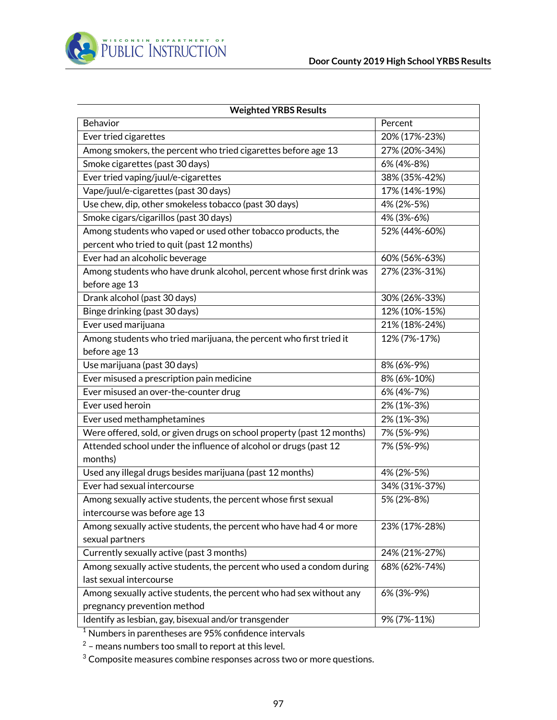

| <b>Weighted YRBS Results</b>                                                          |               |  |  |  |
|---------------------------------------------------------------------------------------|---------------|--|--|--|
| Behavior                                                                              | Percent       |  |  |  |
| Ever tried cigarettes                                                                 | 20% (17%-23%) |  |  |  |
| Among smokers, the percent who tried cigarettes before age 13                         | 27% (20%-34%) |  |  |  |
| Smoke cigarettes (past 30 days)                                                       | 6% (4%-8%)    |  |  |  |
| Ever tried vaping/juul/e-cigarettes                                                   | 38% (35%-42%) |  |  |  |
| Vape/juul/e-cigarettes (past 30 days)                                                 | 17% (14%-19%) |  |  |  |
| Use chew, dip, other smokeless tobacco (past 30 days)                                 | 4% (2%-5%)    |  |  |  |
| Smoke cigars/cigarillos (past 30 days)                                                | 4% (3%-6%)    |  |  |  |
| Among students who vaped or used other tobacco products, the                          | 52% (44%-60%) |  |  |  |
| percent who tried to quit (past 12 months)                                            |               |  |  |  |
| Ever had an alcoholic beverage                                                        | 60% (56%-63%) |  |  |  |
| Among students who have drunk alcohol, percent whose first drink was<br>before age 13 | 27% (23%-31%) |  |  |  |
| Drank alcohol (past 30 days)                                                          | 30% (26%-33%) |  |  |  |
| Binge drinking (past 30 days)                                                         | 12% (10%-15%) |  |  |  |
| Ever used marijuana                                                                   | 21% (18%-24%) |  |  |  |
| Among students who tried marijuana, the percent who first tried it                    | 12% (7%-17%)  |  |  |  |
| before age 13                                                                         |               |  |  |  |
| Use marijuana (past 30 days)                                                          | 8% (6%-9%)    |  |  |  |
| Ever misused a prescription pain medicine                                             | 8% (6%-10%)   |  |  |  |
| Ever misused an over-the-counter drug                                                 | 6% (4%-7%)    |  |  |  |
| Ever used heroin                                                                      | 2% (1%-3%)    |  |  |  |
| Ever used methamphetamines                                                            | 2% (1%-3%)    |  |  |  |
| Were offered, sold, or given drugs on school property (past 12 months)                | 7% (5%-9%)    |  |  |  |
| Attended school under the influence of alcohol or drugs (past 12<br>months)           | 7% (5%-9%)    |  |  |  |
| Used any illegal drugs besides marijuana (past 12 months)                             | 4% (2%-5%)    |  |  |  |
| Ever had sexual intercourse                                                           | 34% (31%-37%) |  |  |  |
| Among sexually active students, the percent whose first sexual                        | 5% (2%-8%)    |  |  |  |
| intercourse was before age 13                                                         |               |  |  |  |
| Among sexually active students, the percent who have had 4 or more                    | 23% (17%-28%) |  |  |  |
| sexual partners                                                                       |               |  |  |  |
| Currently sexually active (past 3 months)                                             | 24% (21%-27%) |  |  |  |
| Among sexually active students, the percent who used a condom during                  | 68% (62%-74%) |  |  |  |
| last sexual intercourse                                                               |               |  |  |  |
| Among sexually active students, the percent who had sex without any                   | 6% (3%-9%)    |  |  |  |
| pregnancy prevention method                                                           |               |  |  |  |
| Identify as lesbian, gay, bisexual and/or transgender                                 | 9% (7%-11%)   |  |  |  |

 $^2$  – means numbers too small to report at this level.

<sup>3</sup> Composite measures combine responses across two or more questions.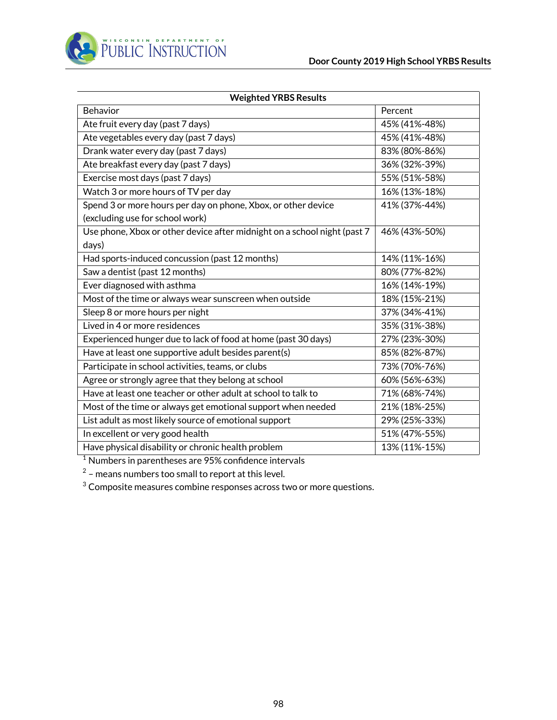

| <b>Weighted YRBS Results</b>                                             |               |  |  |  |
|--------------------------------------------------------------------------|---------------|--|--|--|
| <b>Behavior</b>                                                          | Percent       |  |  |  |
| Ate fruit every day (past 7 days)                                        | 45% (41%-48%) |  |  |  |
| Ate vegetables every day (past 7 days)                                   | 45% (41%-48%) |  |  |  |
| Drank water every day (past 7 days)                                      | 83% (80%-86%) |  |  |  |
| Ate breakfast every day (past 7 days)                                    | 36% (32%-39%) |  |  |  |
| Exercise most days (past 7 days)                                         | 55% (51%-58%) |  |  |  |
| Watch 3 or more hours of TV per day                                      | 16% (13%-18%) |  |  |  |
| Spend 3 or more hours per day on phone, Xbox, or other device            | 41% (37%-44%) |  |  |  |
| (excluding use for school work)                                          |               |  |  |  |
| Use phone, Xbox or other device after midnight on a school night (past 7 | 46% (43%-50%) |  |  |  |
| days)                                                                    |               |  |  |  |
| Had sports-induced concussion (past 12 months)                           | 14% (11%-16%) |  |  |  |
| Saw a dentist (past 12 months)                                           | 80% (77%-82%) |  |  |  |
| Ever diagnosed with asthma                                               | 16% (14%-19%) |  |  |  |
| Most of the time or always wear sunscreen when outside                   | 18% (15%-21%) |  |  |  |
| Sleep 8 or more hours per night                                          | 37% (34%-41%) |  |  |  |
| Lived in 4 or more residences                                            | 35% (31%-38%) |  |  |  |
| Experienced hunger due to lack of food at home (past 30 days)            | 27% (23%-30%) |  |  |  |
| Have at least one supportive adult besides parent(s)                     | 85% (82%-87%) |  |  |  |
| Participate in school activities, teams, or clubs                        | 73% (70%-76%) |  |  |  |
| Agree or strongly agree that they belong at school                       | 60% (56%-63%) |  |  |  |
| Have at least one teacher or other adult at school to talk to            | 71% (68%-74%) |  |  |  |
| Most of the time or always get emotional support when needed             | 21% (18%-25%) |  |  |  |
| List adult as most likely source of emotional support                    | 29% (25%-33%) |  |  |  |
| In excellent or very good health                                         | 51% (47%-55%) |  |  |  |
| Have physical disability or chronic health problem                       | 13% (11%-15%) |  |  |  |

 $^2$  – means numbers too small to report at this level.

<sup>3</sup> Composite measures combine responses across two or more questions.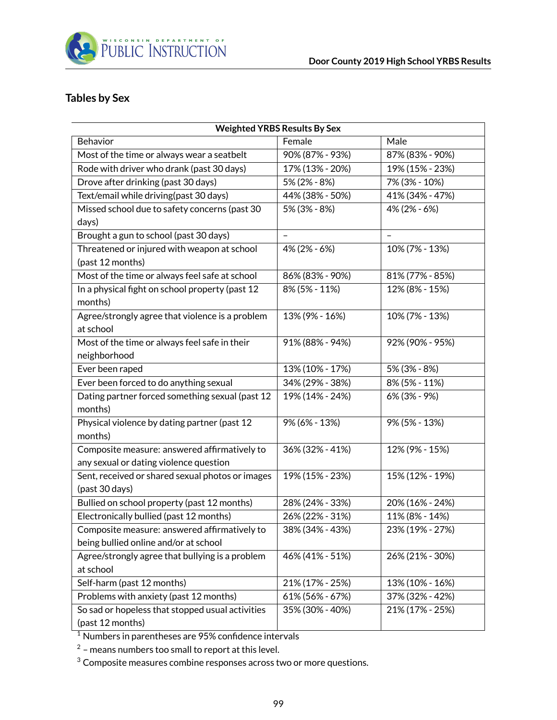

## **Tables by Sex**

| <b>Weighted YRBS Results By Sex</b>                                                    |                 |                 |  |  |
|----------------------------------------------------------------------------------------|-----------------|-----------------|--|--|
| Behavior                                                                               | Female          | Male            |  |  |
| Most of the time or always wear a seatbelt                                             | 90% (87% - 93%) | 87% (83% - 90%) |  |  |
| Rode with driver who drank (past 30 days)                                              | 17% (13% - 20%) | 19% (15% - 23%) |  |  |
| Drove after drinking (past 30 days)                                                    | 5% (2% - 8%)    | 7% (3% - 10%)   |  |  |
| Text/email while driving(past 30 days)                                                 | 44% (38% - 50%) | 41% (34% - 47%) |  |  |
| Missed school due to safety concerns (past 30                                          | 5% (3% - 8%)    | 4% (2% - 6%)    |  |  |
| days)<br>Brought a gun to school (past 30 days)                                        |                 |                 |  |  |
| Threatened or injured with weapon at school                                            |                 | 10% (7% - 13%)  |  |  |
| (past 12 months)                                                                       | 4% (2% - 6%)    |                 |  |  |
| Most of the time or always feel safe at school                                         | 86% (83% - 90%) | 81% (77% - 85%) |  |  |
| In a physical fight on school property (past 12<br>months)                             | 8% (5% - 11%)   | 12% (8% - 15%)  |  |  |
| Agree/strongly agree that violence is a problem<br>at school                           | 13% (9% - 16%)  | 10% (7% - 13%)  |  |  |
| Most of the time or always feel safe in their<br>neighborhood                          | 91% (88% - 94%) | 92% (90% - 95%) |  |  |
| Ever been raped                                                                        | 13% (10% - 17%) | 5% (3% - 8%)    |  |  |
| Ever been forced to do anything sexual                                                 | 34% (29% - 38%) | 8% (5% - 11%)   |  |  |
| Dating partner forced something sexual (past 12<br>months)                             | 19% (14% - 24%) | 6% (3% - 9%)    |  |  |
| Physical violence by dating partner (past 12<br>months)                                | 9% (6% - 13%)   | 9% (5% - 13%)   |  |  |
| Composite measure: answered affirmatively to<br>any sexual or dating violence question | 36% (32% - 41%) | 12% (9% - 15%)  |  |  |
| Sent, received or shared sexual photos or images<br>(past 30 days)                     | 19% (15% - 23%) | 15% (12% - 19%) |  |  |
| Bullied on school property (past 12 months)                                            | 28% (24% - 33%) | 20% (16% - 24%) |  |  |
| Electronically bullied (past 12 months)                                                | 26% (22% - 31%) | 11% (8% - 14%)  |  |  |
| Composite measure: answered affirmatively to<br>being bullied online and/or at school  | 38% (34% - 43%) | 23% (19% - 27%) |  |  |
| Agree/strongly agree that bullying is a problem<br>at school                           | 46% (41% - 51%) | 26% (21% - 30%) |  |  |
| Self-harm (past 12 months)                                                             | 21% (17% - 25%) | 13% (10% - 16%) |  |  |
| Problems with anxiety (past 12 months)                                                 | 61% (56% - 67%) | 37% (32% - 42%) |  |  |
| So sad or hopeless that stopped usual activities<br>(past 12 months)                   | 35% (30% - 40%) | 21% (17% - 25%) |  |  |

<sup>1</sup> Numbers in parentheses are 95% confidence intervals

 $2$  – means numbers too small to report at this level.

 $3$  Composite measures combine responses across two or more questions.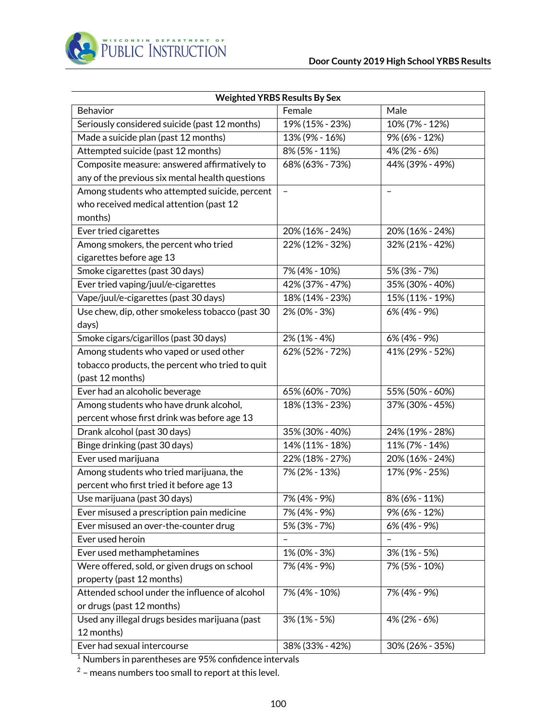

| <b>Weighted YRBS Results By Sex</b>             |                          |                          |  |  |
|-------------------------------------------------|--------------------------|--------------------------|--|--|
| Behavior                                        | Female                   | Male                     |  |  |
| Seriously considered suicide (past 12 months)   | 19% (15% - 23%)          | 10% (7% - 12%)           |  |  |
| Made a suicide plan (past 12 months)            | 13% (9% - 16%)           | 9% (6% - 12%)            |  |  |
| Attempted suicide (past 12 months)              | 8% (5% - 11%)            | 4% (2% - 6%)             |  |  |
| Composite measure: answered affirmatively to    | 68% (63% - 73%)          | 44% (39% - 49%)          |  |  |
| any of the previous six mental health questions |                          |                          |  |  |
| Among students who attempted suicide, percent   | $\overline{\phantom{a}}$ | $\overline{\phantom{0}}$ |  |  |
| who received medical attention (past 12         |                          |                          |  |  |
| months)                                         |                          |                          |  |  |
| Ever tried cigarettes                           | 20% (16% - 24%)          | 20% (16% - 24%)          |  |  |
| Among smokers, the percent who tried            | 22% (12% - 32%)          | 32% (21% - 42%)          |  |  |
| cigarettes before age 13                        |                          |                          |  |  |
| Smoke cigarettes (past 30 days)                 | 7% (4% - 10%)            | 5% (3% - 7%)             |  |  |
| Ever tried vaping/juul/e-cigarettes             | 42% (37% - 47%)          | 35% (30% - 40%)          |  |  |
| Vape/juul/e-cigarettes (past 30 days)           | 18% (14% - 23%)          | 15% (11% - 19%)          |  |  |
| Use chew, dip, other smokeless tobacco (past 30 | 2% (0% - 3%)             | 6% (4% - 9%)             |  |  |
| days)                                           |                          |                          |  |  |
| Smoke cigars/cigarillos (past 30 days)          | $2\%$ (1% - 4%)          | 6% (4% - 9%)             |  |  |
| Among students who vaped or used other          | 62% (52% - 72%)          | 41% (29% - 52%)          |  |  |
| tobacco products, the percent who tried to quit |                          |                          |  |  |
| (past 12 months)                                |                          |                          |  |  |
| Ever had an alcoholic beverage                  | 65% (60% - 70%)          | 55% (50% - 60%)          |  |  |
| Among students who have drunk alcohol,          | 18% (13% - 23%)          | 37% (30% - 45%)          |  |  |
| percent whose first drink was before age 13     |                          |                          |  |  |
| Drank alcohol (past 30 days)                    | 35% (30% - 40%)          | 24% (19% - 28%)          |  |  |
| Binge drinking (past 30 days)                   | 14% (11% - 18%)          | 11% (7% - 14%)           |  |  |
| Ever used marijuana                             | 22% (18% - 27%)          | 20% (16% - 24%)          |  |  |
| Among students who tried marijuana, the         | 7% (2% - 13%)            | 17% (9% - 25%)           |  |  |
| percent who first tried it before age 13        |                          |                          |  |  |
| Use marijuana (past 30 days)                    | 7% (4% - 9%)             | 8% (6% - 11%)            |  |  |
| Ever misused a prescription pain medicine       | 7% (4% - 9%)             | 9% (6% - 12%)            |  |  |
| Ever misused an over-the-counter drug           | 5% (3% - 7%)             | 6% (4% - 9%)             |  |  |
| Ever used heroin                                |                          |                          |  |  |
| Ever used methamphetamines                      | 1% (0% - 3%)             | $3\%$ (1% - 5%)          |  |  |
| Were offered, sold, or given drugs on school    | 7% (4% - 9%)             | 7% (5% - 10%)            |  |  |
| property (past 12 months)                       |                          |                          |  |  |
| Attended school under the influence of alcohol  | 7% (4% - 10%)            | 7% (4% - 9%)             |  |  |
| or drugs (past 12 months)                       |                          |                          |  |  |
| Used any illegal drugs besides marijuana (past  | $3\%$ (1% - 5%)          | 4% (2% - 6%)             |  |  |
| 12 months)                                      |                          |                          |  |  |
| Ever had sexual intercourse                     | 38% (33% - 42%)          | 30% (26% - 35%)          |  |  |

 $^2$  – means numbers too small to report at this level.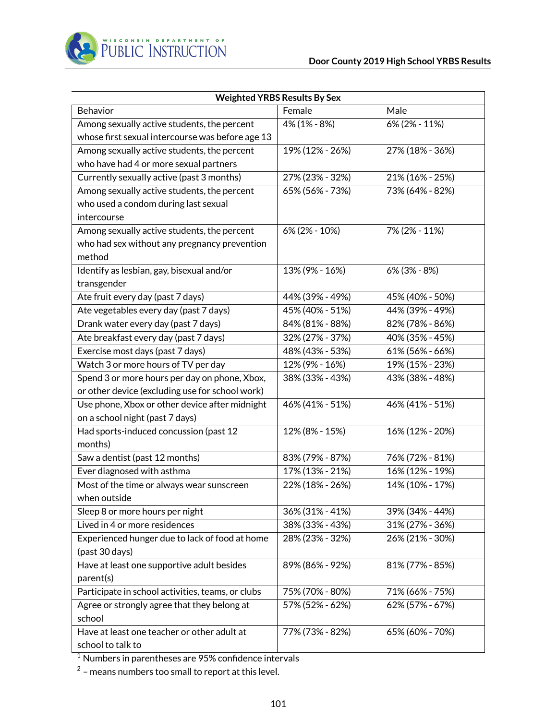

| <b>Weighted YRBS Results By Sex</b>               |                 |                 |  |  |
|---------------------------------------------------|-----------------|-----------------|--|--|
| <b>Behavior</b>                                   | Female          | Male            |  |  |
| Among sexually active students, the percent       | 4% (1% - 8%)    | 6% (2% - 11%)   |  |  |
| whose first sexual intercourse was before age 13  |                 |                 |  |  |
| Among sexually active students, the percent       | 19% (12% - 26%) | 27% (18% - 36%) |  |  |
| who have had 4 or more sexual partners            |                 |                 |  |  |
| Currently sexually active (past 3 months)         | 27% (23% - 32%) | 21% (16% - 25%) |  |  |
| Among sexually active students, the percent       | 65% (56% - 73%) | 73% (64% - 82%) |  |  |
| who used a condom during last sexual              |                 |                 |  |  |
| intercourse                                       |                 |                 |  |  |
| Among sexually active students, the percent       | 6% (2% - 10%)   | 7% (2% - 11%)   |  |  |
| who had sex without any pregnancy prevention      |                 |                 |  |  |
| method                                            |                 |                 |  |  |
| Identify as lesbian, gay, bisexual and/or         | 13% (9% - 16%)  | 6% (3% - 8%)    |  |  |
| transgender                                       |                 |                 |  |  |
| Ate fruit every day (past 7 days)                 | 44% (39% - 49%) | 45% (40% - 50%) |  |  |
| Ate vegetables every day (past 7 days)            | 45% (40% - 51%) | 44% (39% - 49%) |  |  |
| Drank water every day (past 7 days)               | 84% (81% - 88%) | 82% (78% - 86%) |  |  |
| Ate breakfast every day (past 7 days)             | 32% (27% - 37%) | 40% (35% - 45%) |  |  |
| Exercise most days (past 7 days)                  | 48% (43% - 53%) | 61% (56% - 66%) |  |  |
| Watch 3 or more hours of TV per day               | 12% (9% - 16%)  | 19% (15% - 23%) |  |  |
| Spend 3 or more hours per day on phone, Xbox,     | 38% (33% - 43%) | 43% (38% - 48%) |  |  |
| or other device (excluding use for school work)   |                 |                 |  |  |
| Use phone, Xbox or other device after midnight    | 46% (41% - 51%) | 46% (41% - 51%) |  |  |
| on a school night (past 7 days)                   |                 |                 |  |  |
| Had sports-induced concussion (past 12            | 12% (8% - 15%)  | 16% (12% - 20%) |  |  |
| months)                                           |                 |                 |  |  |
| Saw a dentist (past 12 months)                    | 83% (79% - 87%) | 76% (72% - 81%) |  |  |
| Ever diagnosed with asthma                        | 17% (13% - 21%) | 16% (12% - 19%) |  |  |
| Most of the time or always wear sunscreen         | 22% (18% - 26%) | 14% (10% - 17%) |  |  |
| when outside                                      |                 |                 |  |  |
| Sleep 8 or more hours per night                   | 36% (31% - 41%) | 39% (34% - 44%) |  |  |
| Lived in 4 or more residences                     | 38% (33% - 43%) | 31% (27% - 36%) |  |  |
| Experienced hunger due to lack of food at home    | 28% (23% - 32%) | 26% (21% - 30%) |  |  |
| (past 30 days)                                    |                 |                 |  |  |
| Have at least one supportive adult besides        | 89% (86% - 92%) | 81% (77% - 85%) |  |  |
| parent(s)                                         |                 |                 |  |  |
| Participate in school activities, teams, or clubs | 75% (70% - 80%) | 71% (66% - 75%) |  |  |
| Agree or strongly agree that they belong at       | 57% (52% - 62%) | 62% (57% - 67%) |  |  |
| school                                            |                 |                 |  |  |
| Have at least one teacher or other adult at       | 77% (73% - 82%) | 65% (60% - 70%) |  |  |
| school to talk to                                 |                 |                 |  |  |

 $^2$  – means numbers too small to report at this level.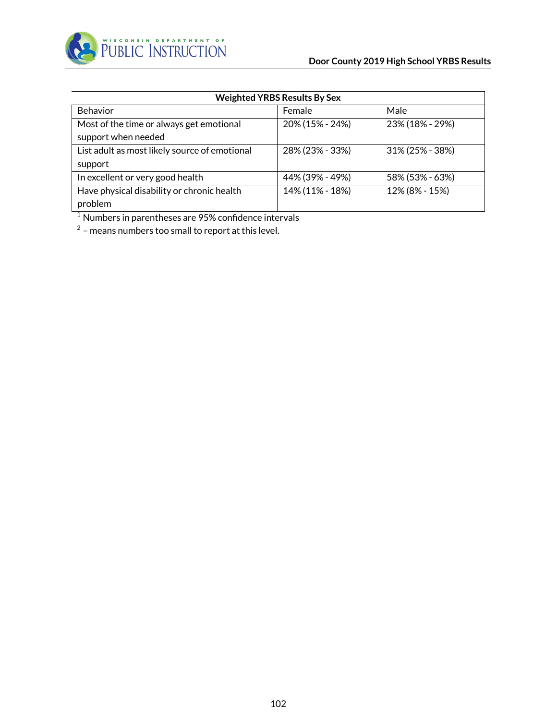

| <b>Weighted YRBS Results By Sex</b>           |                 |                 |  |  |  |  |
|-----------------------------------------------|-----------------|-----------------|--|--|--|--|
| <b>Behavior</b>                               | Male<br>Female  |                 |  |  |  |  |
| Most of the time or always get emotional      | 20% (15% - 24%) | 23% (18% - 29%) |  |  |  |  |
| support when needed                           |                 |                 |  |  |  |  |
| List adult as most likely source of emotional | 28% (23% - 33%) | 31% (25% - 38%) |  |  |  |  |
| support                                       |                 |                 |  |  |  |  |
| In excellent or very good health              | 44% (39% - 49%) | 58% (53% - 63%) |  |  |  |  |
| Have physical disability or chronic health    | 14% (11% - 18%) | 12% (8% - 15%)  |  |  |  |  |
| problem                                       |                 |                 |  |  |  |  |

 $2$  – means numbers too small to report at this level.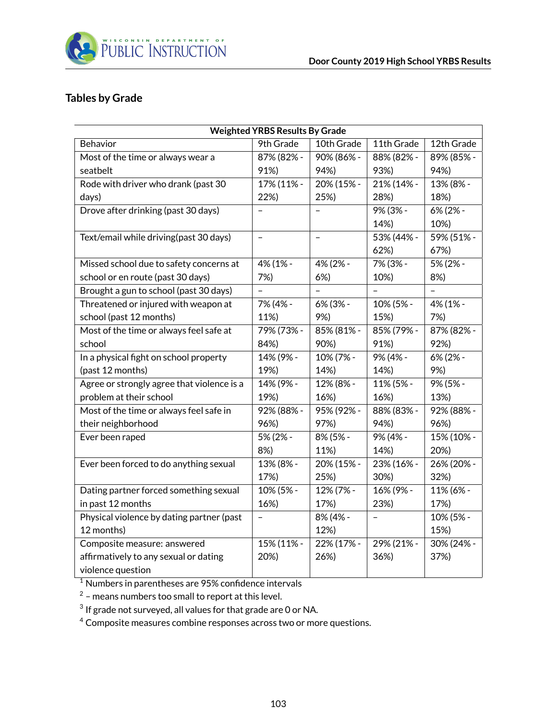

#### **Tables by Grade**

| <b>Weighted YRBS Results By Grade</b>      |                          |                   |                |                   |
|--------------------------------------------|--------------------------|-------------------|----------------|-------------------|
| Behavior                                   | 9th Grade                | 10th Grade        | 11th Grade     | 12th Grade        |
| Most of the time or always wear a          | 87% (82% -               | 90% (86% -        | 88% (82% -     | 89% (85% -        |
| seatbelt                                   | 91%)                     | 94%)              | 93%)           | 94%)              |
| Rode with driver who drank (past 30        | 17% (11% -               | 20% (15% -        | 21% (14% -     | 13% (8% -         |
| days)                                      | 22%)                     | 25%)              | 28%)           | 18%)              |
| Drove after drinking (past 30 days)        | $\overline{\phantom{0}}$ | $\qquad \qquad -$ | 9% (3% -       | 6% (2% -          |
|                                            |                          |                   | 14%)           | 10%)              |
| Text/email while driving(past 30 days)     | $\blacksquare$           | $\qquad \qquad -$ | 53% (44% -     | 59% (51% -        |
|                                            |                          |                   | 62%)           | 67%)              |
| Missed school due to safety concerns at    | 4% (1% -                 | 4% (2% -          | 7% (3% -       | 5% (2% -          |
| school or en route (past 30 days)          | 7%)                      | 6%                | 10%)           | 8%)               |
| Brought a gun to school (past 30 days)     | $\qquad \qquad -$        |                   |                | $\qquad \qquad -$ |
| Threatened or injured with weapon at       | 7% (4% -                 | 6% (3% -          | 10% (5% -      | 4% (1% -          |
| school (past 12 months)                    | 11%)                     | 9%)               | 15%)           | 7%)               |
| Most of the time or always feel safe at    | 79% (73% -               | 85% (81% -        | 85% (79% -     | 87% (82% -        |
| school                                     | 84%)                     | 90%)              | 91%)           | 92%)              |
| In a physical fight on school property     | 14% (9% -                | 10% (7% -         | 9% (4% -       | 6% (2% -          |
| (past 12 months)                           | 19%)                     | 14%)              | 14%)           | 9%)               |
| Agree or strongly agree that violence is a | 14% (9% -                | 12% (8% -         | 11% (5% -      | 9% (5% -          |
| problem at their school                    | 19%)                     | 16%)              | 16%)           | 13%)              |
| Most of the time or always feel safe in    | 92% (88% -               | 95% (92% -        | 88% (83% -     | 92% (88% -        |
| their neighborhood                         | 96%)                     | 97%)              | 94%)           | 96%)              |
| Ever been raped                            | 5% (2% -                 | 8% (5% -          | 9% (4% -       | 15% (10% -        |
|                                            | 8%)                      | 11%)              | 14%)           | 20%)              |
| Ever been forced to do anything sexual     | 13% (8% -                | 20% (15% -        | 23% (16% -     | 26% (20% -        |
|                                            | 17%)                     | 25%)              | 30%)           | 32%)              |
| Dating partner forced something sexual     | 10% (5% -                | 12% (7% -         | 16% (9% -      | 11% (6% -         |
| in past 12 months                          | 16%)                     | 17%)              | 23%)           | 17%)              |
| Physical violence by dating partner (past  | $\overline{\phantom{0}}$ | 8% (4% -          | $\overline{a}$ | 10% (5% -         |
| 12 months)                                 |                          | 12%)              |                | 15%)              |
| Composite measure: answered                | 15% (11% -               | 22% (17% -        | 29% (21% -     | 30% (24% -        |
| affirmatively to any sexual or dating      | 20%)                     | 26%)              | 36%)           | 37%)              |
| violence question                          |                          |                   |                |                   |

<sup>1</sup> Numbers in parentheses are 95% confidence intervals

 $^2$  – means numbers too small to report at this level.

 $^3$  If grade not surveyed, all values for that grade are 0 or NA.

<sup>4</sup> Composite measures combine responses across two or more questions.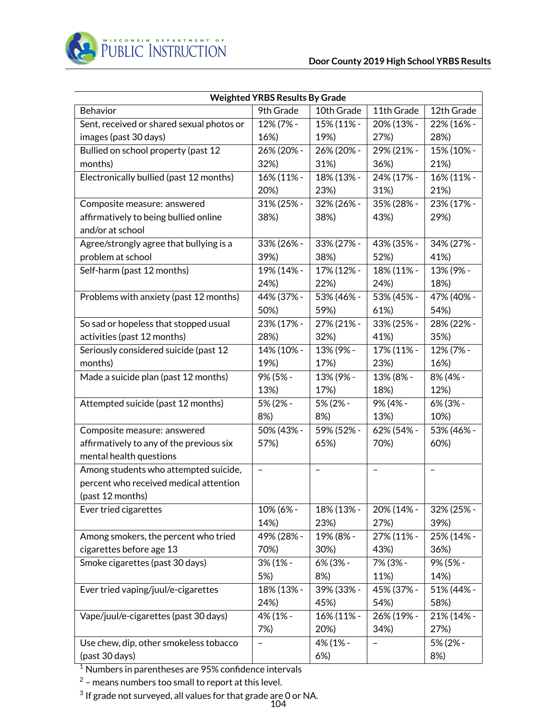

| <b>Weighted YRBS Results By Grade</b>                               |                   |            |            |            |
|---------------------------------------------------------------------|-------------------|------------|------------|------------|
| Behavior                                                            | 9th Grade         | 10th Grade | 11th Grade | 12th Grade |
| Sent, received or shared sexual photos or                           | 12% (7% -         | 15% (11% - | 20% (13% - | 22% (16% - |
| images (past 30 days)                                               | 16%)              | 19%)       | 27%)       | 28%)       |
| Bullied on school property (past 12                                 | 26% (20% -        | 26% (20% - | 29% (21% - | 15% (10% - |
| months)                                                             | 32%)              | 31%)       | 36%)       | 21%)       |
| Electronically bullied (past 12 months)                             | 16% (11% -        | 18% (13% - | 24% (17% - | 16% (11% - |
|                                                                     | 20%)              | 23%)       | 31%)       | 21%)       |
| Composite measure: answered                                         | 31% (25% -        | 32% (26% - | 35% (28% - | 23% (17% - |
| affirmatively to being bullied online<br>and/or at school           | 38%)              | 38%)       | 43%)       | 29%)       |
| Agree/strongly agree that bullying is a                             | 33% (26% -        | 33% (27% - | 43% (35% - | 34% (27% - |
| problem at school                                                   | 39%)              | 38%)       | 52%)       | 41%)       |
| Self-harm (past 12 months)                                          | 19% (14% -        | 17% (12% - | 18% (11% - | 13% (9% -  |
|                                                                     | 24%)              | 22%)       | 24%)       | 18%)       |
| Problems with anxiety (past 12 months)                              | 44% (37% -        | 53% (46% - | 53% (45% - | 47% (40% - |
|                                                                     | 50%)              | 59%)       | 61%)       | 54%)       |
| So sad or hopeless that stopped usual                               | 23% (17% -        | 27% (21% - | 33% (25% - | 28% (22% - |
| activities (past 12 months)                                         | 28%)              | 32%)       | 41%)       | 35%)       |
| Seriously considered suicide (past 12                               | 14% (10% -        | 13% (9% -  | 17% (11% - | 12% (7% -  |
| months)                                                             | 19%)              | 17%)       | 23%)       | 16%)       |
| Made a suicide plan (past 12 months)                                | 9% (5% -          | 13% (9% -  | 13% (8% -  | 8% (4% -   |
|                                                                     | 13%)              | 17%)       | 18%)       | 12%)       |
| Attempted suicide (past 12 months)                                  | 5% (2% -          | 5% (2% -   | 9% (4% -   | 6% (3% -   |
|                                                                     | 8%)               | 8%)        | 13%)       | 10%)       |
| Composite measure: answered                                         | 50% (43% -        | 59% (52% - | 62% (54% - | 53% (46% - |
| affirmatively to any of the previous six<br>mental health questions | 57%)              | 65%)       | 70%)       | 60%)       |
| Among students who attempted suicide,                               | $\qquad \qquad -$ | -          | -          | -          |
| percent who received medical attention                              |                   |            |            |            |
| (past 12 months)                                                    |                   |            |            |            |
| Ever tried cigarettes                                               | 10% (6% -         | 18% (13% - | 20% (14% - | 32% (25% - |
|                                                                     | 14%)              | 23%)       | 27%)       | 39%)       |
| Among smokers, the percent who tried                                | 49% (28% -        | 19% (8% -  | 27% (11% - | 25% (14% - |
| cigarettes before age 13                                            | 70%)              | 30%)       | 43%)       | 36%)       |
| Smoke cigarettes (past 30 days)                                     | 3% (1% -          | 6% (3% -   | 7% (3% -   | 9% (5% -   |
|                                                                     | 5%)               | 8%)        | 11%)       | 14%)       |
| Ever tried vaping/juul/e-cigarettes                                 | 18% (13% -        | 39% (33% - | 45% (37% - | 51% (44% - |
|                                                                     | 24%)              | 45%)       | 54%)       | 58%)       |
| Vape/juul/e-cigarettes (past 30 days)                               | 4% (1% -          | 16% (11% - | 26% (19% - | 21% (14% - |
|                                                                     | 7%)               | 20%)       | 34%)       | 27%)       |
| Use chew, dip, other smokeless tobacco                              |                   | 4% (1% -   |            | 5% (2% -   |
| (past 30 days)                                                      |                   | 6%         |            | 8%)        |

 $^{\rm 2}$  – means numbers too small to report at this level.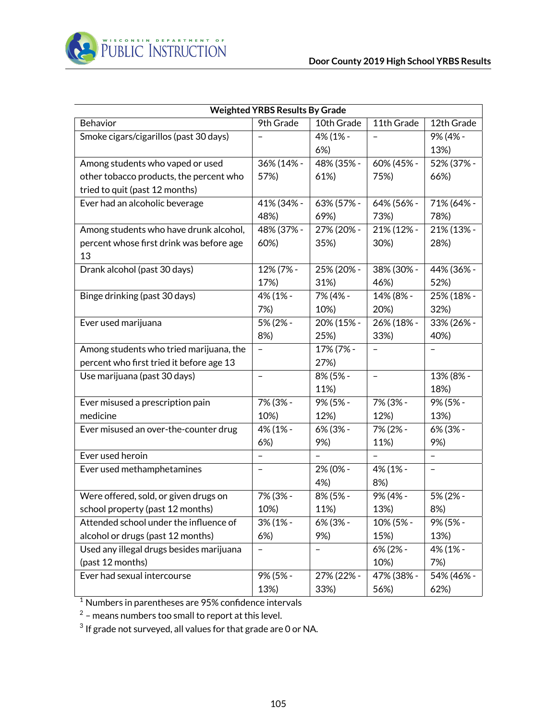

|                                          | <b>Weighted YRBS Results By Grade</b> |            |                          |                          |
|------------------------------------------|---------------------------------------|------------|--------------------------|--------------------------|
| Behavior                                 | 9th Grade                             | 10th Grade | 11th Grade               | 12th Grade               |
| Smoke cigars/cigarillos (past 30 days)   |                                       | 4% (1% -   | $\overline{\phantom{0}}$ | 9% (4% -                 |
|                                          |                                       | 6%         |                          | 13%)                     |
| Among students who vaped or used         | 36% (14% -                            | 48% (35% - | 60% (45% -               | 52% (37% -               |
| other tobacco products, the percent who  | 57%)                                  | 61%)       | 75%)                     | 66%)                     |
| tried to quit (past 12 months)           |                                       |            |                          |                          |
| Ever had an alcoholic beverage           | 41% (34% -                            | 63% (57% - | 64% (56% -               | 71% (64% -               |
|                                          | 48%)                                  | 69%)       | 73%)                     | 78%)                     |
| Among students who have drunk alcohol,   | 48% (37% -                            | 27% (20% - | 21% (12% -               | 21% (13% -               |
| percent whose first drink was before age | 60%)                                  | 35%)       | 30%)                     | 28%)                     |
| 13                                       |                                       |            |                          |                          |
| Drank alcohol (past 30 days)             | 12% (7% -                             | 25% (20% - | 38% (30% -               | 44% (36% -               |
|                                          | 17%)                                  | 31%)       | 46%)                     | 52%)                     |
| Binge drinking (past 30 days)            | 4% (1% -                              | 7% (4% -   | 14% (8% -                | 25% (18% -               |
|                                          | 7%)                                   | 10%)       | 20%)                     | 32%)                     |
| Ever used marijuana                      | 5% (2% -                              | 20% (15% - | 26% (18% -               | 33% (26% -               |
|                                          | 8%)                                   | 25%)       | 33%)                     | 40%)                     |
| Among students who tried marijuana, the  | $\overline{\phantom{0}}$              | 17% (7% -  |                          |                          |
| percent who first tried it before age 13 |                                       | 27%)       |                          |                          |
| Use marijuana (past 30 days)             | $\qquad \qquad -$                     | 8% (5% -   | $\qquad \qquad -$        | 13% (8% -                |
|                                          |                                       | 11%)       |                          | 18%)                     |
| Ever misused a prescription pain         | 7% (3% -                              | 9% (5% -   | 7% (3% -                 | 9% (5% -                 |
| medicine                                 | 10%)                                  | 12%)       | 12%)                     | 13%)                     |
| Ever misused an over-the-counter drug    | 4% (1% -                              | 6% (3% -   | 7% (2% -                 | 6% (3% -                 |
|                                          | 6%)                                   | 9%)        | 11%)                     | 9%)                      |
| Ever used heroin                         | $\overline{\phantom{0}}$              |            | $\overline{\phantom{0}}$ | $\overline{\phantom{0}}$ |
| Ever used methamphetamines               | -                                     | 2% (0% -   | 4% (1% -                 | $\overline{\phantom{0}}$ |
|                                          |                                       | 4%)        | 8%)                      |                          |
| Were offered, sold, or given drugs on    | 7% (3% -                              | 8% (5% -   | 9% (4% -                 | 5% (2% -                 |
| school property (past 12 months)         | 10%)                                  | 11%)       | 13%)                     | 8%)                      |
| Attended school under the influence of   | 3% (1% -                              | 6% (3% -   | 10% (5% -                | 9% (5% -                 |
| alcohol or drugs (past 12 months)        | 6%)                                   | 9%)        | 15%)                     | 13%)                     |
| Used any illegal drugs besides marijuana | -                                     | -          | 6% (2% -                 | 4% (1% -                 |
| (past 12 months)                         |                                       |            | 10%)                     | 7%)                      |
| Ever had sexual intercourse              | 9% (5% -                              | 27% (22% - | 47% (38% -               | 54% (46% -               |
|                                          | 13%)                                  | 33%)       | 56%)                     | 62%)                     |

 $^2$  – means numbers too small to report at this level.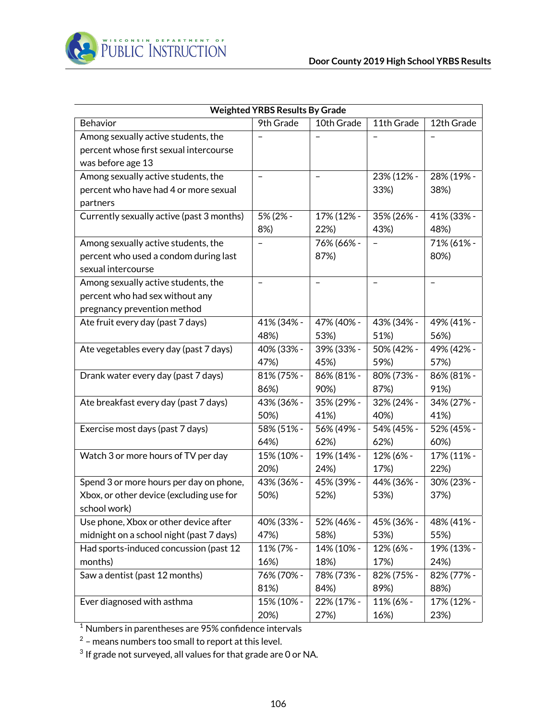

|                                           | <b>Weighted YRBS Results By Grade</b> |                          |                |                   |
|-------------------------------------------|---------------------------------------|--------------------------|----------------|-------------------|
| Behavior                                  | 9th Grade                             | 10th Grade               | 11th Grade     | 12th Grade        |
| Among sexually active students, the       |                                       |                          |                |                   |
| percent whose first sexual intercourse    |                                       |                          |                |                   |
| was before age 13                         |                                       |                          |                |                   |
| Among sexually active students, the       | $\equiv$                              | $\overline{\phantom{0}}$ | 23% (12% -     | 28% (19% -        |
| percent who have had 4 or more sexual     |                                       |                          | 33%)           | 38%)              |
| partners                                  |                                       |                          |                |                   |
| Currently sexually active (past 3 months) | 5% (2% -                              | 17% (12% -               | 35% (26% -     | 41% (33% -        |
|                                           | 8%)                                   | 22%)                     | 43%)           | 48%)              |
| Among sexually active students, the       | $\overline{\phantom{0}}$              | 76% (66% -               |                | 71% (61% -        |
| percent who used a condom during last     |                                       | 87%)                     |                | 80%)              |
| sexual intercourse                        |                                       |                          |                |                   |
| Among sexually active students, the       | $\qquad \qquad -$                     | $\overline{\phantom{0}}$ | $\overline{a}$ | $\qquad \qquad -$ |
| percent who had sex without any           |                                       |                          |                |                   |
| pregnancy prevention method               |                                       |                          |                |                   |
| Ate fruit every day (past 7 days)         | 41% (34% -                            | 47% (40% -               | 43% (34% -     | 49% (41% -        |
|                                           | 48%)                                  | 53%)                     | 51%)           | 56%)              |
| Ate vegetables every day (past 7 days)    | 40% (33% -                            | 39% (33% -               | 50% (42% -     | 49% (42% -        |
|                                           | 47%)                                  | 45%)                     | 59%)           | 57%)              |
| Drank water every day (past 7 days)       | 81% (75% -                            | 86% (81% -               | 80% (73% -     | 86% (81% -        |
|                                           | 86%)                                  | 90%)                     | 87%)           | 91%)              |
| Ate breakfast every day (past 7 days)     | 43% (36% -                            | 35% (29% -               | 32% (24% -     | 34% (27% -        |
|                                           | 50%)                                  | 41%)                     | 40%)           | 41%)              |
| Exercise most days (past 7 days)          | 58% (51% -                            | 56% (49% -               | 54% (45% -     | 52% (45% -        |
|                                           | 64%)                                  | 62%)                     | 62%)           | 60%)              |
| Watch 3 or more hours of TV per day       | 15% (10% -                            | 19% (14% -               | 12% (6% -      | 17% (11% -        |
|                                           | 20%)                                  | 24%)                     | 17%)           | 22%)              |
| Spend 3 or more hours per day on phone,   | 43% (36% -                            | 45% (39% -               | 44% (36% -     | 30% (23% -        |
| Xbox, or other device (excluding use for  | 50%)                                  | 52%)                     | 53%)           | 37%)              |
| school work)                              |                                       |                          |                |                   |
| Use phone, Xbox or other device after     | 40% (33% -                            | 52% (46% -               | 45% (36% -     | 48% (41% -        |
| midnight on a school night (past 7 days)  | 47%)                                  | 58%)                     | 53%)           | 55%)              |
| Had sports-induced concussion (past 12    | 11% (7% -                             | 14% (10% -               | 12% (6% -      | 19% (13% -        |
| months)                                   | 16%)                                  | 18%)                     | 17%)           | 24%)              |
| Saw a dentist (past 12 months)            | 76% (70% -                            | 78% (73% -               | 82% (75% -     | 82% (77% -        |
|                                           | 81%)                                  | 84%)                     | 89%)           | 88%)              |
| Ever diagnosed with asthma                | 15% (10% -                            | 22% (17% -               | 11% (6% -      | 17% (12% -        |
|                                           | 20%)                                  | 27%)                     | 16%)           | 23%)              |

 $^2$  – means numbers too small to report at this level.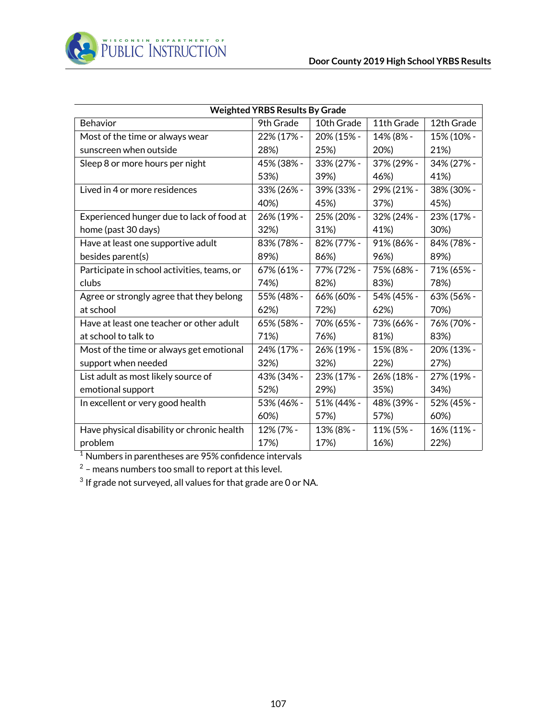

| <b>Weighted YRBS Results By Grade</b>       |            |            |            |            |
|---------------------------------------------|------------|------------|------------|------------|
| Behavior                                    | 9th Grade  | 10th Grade | 11th Grade | 12th Grade |
| Most of the time or always wear             | 22% (17% - | 20% (15% - | 14% (8% -  | 15% (10% - |
| sunscreen when outside                      | 28%)       | 25%)       | 20%)       | 21%)       |
| Sleep 8 or more hours per night             | 45% (38% - | 33% (27% - | 37% (29% - | 34% (27% - |
|                                             | 53%)       | 39%)       | 46%)       | 41%)       |
| Lived in 4 or more residences               | 33% (26% - | 39% (33% - | 29% (21% - | 38% (30% - |
|                                             | 40%)       | 45%)       | 37%)       | 45%)       |
| Experienced hunger due to lack of food at   | 26% (19% - | 25% (20% - | 32% (24% - | 23% (17% - |
| home (past 30 days)                         | 32%)       | 31%)       | 41%)       | 30%)       |
| Have at least one supportive adult          | 83% (78% - | 82% (77% - | 91% (86% - | 84% (78% - |
| besides parent(s)                           | 89%)       | 86%)       | 96%)       | 89%)       |
| Participate in school activities, teams, or | 67% (61% - | 77% (72% - | 75% (68% - | 71% (65% - |
| clubs                                       | 74%)       | 82%)       | 83%)       | 78%)       |
| Agree or strongly agree that they belong    | 55% (48% - | 66% (60% - | 54% (45% - | 63% (56% - |
| at school                                   | 62%)       | 72%)       | 62%)       | 70%)       |
| Have at least one teacher or other adult    | 65% (58% - | 70% (65% - | 73% (66% - | 76% (70% - |
| at school to talk to                        | 71%)       | 76%)       | 81%)       | 83%)       |
| Most of the time or always get emotional    | 24% (17% - | 26% (19% - | 15% (8% -  | 20% (13% - |
| support when needed                         | 32%)       | 32%)       | 22%)       | 27%)       |
| List adult as most likely source of         | 43% (34% - | 23% (17% - | 26% (18% - | 27% (19% - |
| emotional support                           | 52%)       | 29%)       | 35%)       | 34%)       |
| In excellent or very good health            | 53% (46% - | 51% (44% - | 48% (39% - | 52% (45% - |
|                                             | 60%)       | 57%)       | 57%)       | 60%)       |
| Have physical disability or chronic health  | 12% (7% -  | 13% (8% -  | 11% (5% -  | 16% (11% - |
| problem                                     | 17%)       | 17%)       | 16%)       | 22%)       |

 $^2$  – means numbers too small to report at this level.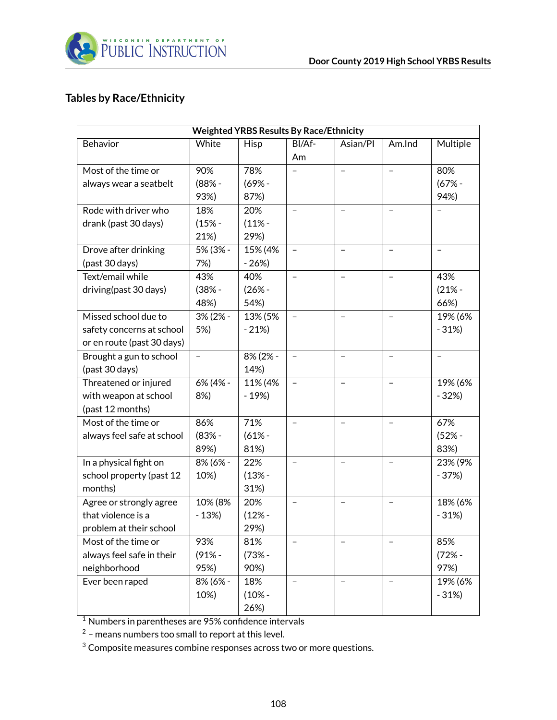

## **Tables by Race/Ethnicity**

| <b>Weighted YRBS Results By Race/Ethnicity</b> |                          |             |                          |                          |                          |                   |
|------------------------------------------------|--------------------------|-------------|--------------------------|--------------------------|--------------------------|-------------------|
| Behavior                                       | White                    | <b>Hisp</b> | BI/Af-                   | Asian/Pl                 | Am.Ind                   | Multiple          |
|                                                |                          |             | Am                       |                          |                          |                   |
| Most of the time or                            | 90%                      | 78%         |                          | $\qquad \qquad -$        | $\overline{\phantom{0}}$ | 80%               |
| always wear a seatbelt                         | $(88% -$                 | $(69% -$    |                          |                          |                          | $(67% -$          |
|                                                | 93%)                     | 87%)        |                          |                          |                          | 94%)              |
| Rode with driver who                           | 18%                      | 20%         | $\overline{\phantom{0}}$ | $\equiv$                 |                          |                   |
| drank (past 30 days)                           | $(15% -$                 | $(11% -$    |                          |                          |                          |                   |
|                                                | 21%)                     | 29%)        |                          |                          |                          |                   |
| Drove after drinking                           | 5% (3% -                 | 15% (4%     |                          |                          |                          |                   |
| (past 30 days)                                 | 7%)                      | $-26%$      |                          |                          |                          |                   |
| Text/email while                               | 43%                      | 40%         |                          | $\equiv$                 |                          | 43%               |
| driving(past 30 days)                          | $(38% -$                 | $(26% -$    |                          |                          |                          | $(21% -$          |
|                                                | 48%)                     | 54%)        |                          |                          |                          | 66%)              |
| Missed school due to                           | 3% (2% -                 | 13% (5%     |                          |                          |                          | 19% (6%           |
| safety concerns at school                      | 5%)                      | $-21%$      |                          |                          |                          | $-31%$            |
| or en route (past 30 days)                     |                          |             |                          |                          |                          |                   |
| Brought a gun to school                        | $\overline{\phantom{0}}$ | 8% (2% -    | $\overline{a}$           | $\overline{\phantom{0}}$ | $\overline{\phantom{0}}$ | $\qquad \qquad -$ |
| (past 30 days)                                 |                          | 14%)        |                          |                          |                          |                   |
| Threatened or injured                          | 6% (4% -                 | 11% (4%     | $\qquad \qquad -$        | $\equiv$                 | $\overline{\phantom{0}}$ | 19% (6%           |
| with weapon at school                          | 8%)                      | $-19%$      |                          |                          |                          | $-32%$            |
| (past 12 months)                               |                          |             |                          |                          |                          |                   |
| Most of the time or                            | 86%                      | 71%         | $\qquad \qquad -$        | $\qquad \qquad -$        | $\qquad \qquad -$        | 67%               |
| always feel safe at school                     | $(83% -$                 | $(61% -$    |                          |                          |                          | $(52% -$          |
|                                                | 89%)                     | 81%)        |                          |                          |                          | 83%)              |
| In a physical fight on                         | 8% (6% -                 | 22%         |                          |                          |                          | 23% (9%           |
| school property (past 12                       | 10%)                     | $(13% -$    |                          |                          |                          | $-37%$            |
| months)                                        |                          | 31%)        |                          |                          |                          |                   |
| Agree or strongly agree                        | 10% (8%                  | 20%         |                          |                          |                          | 18% (6%           |
| that violence is a                             | $-13%$                   | $(12% -$    |                          |                          |                          | $-31%$            |
| problem at their school                        |                          | 29%)        |                          |                          |                          |                   |
| Most of the time or                            | 93%                      | 81%         |                          |                          |                          | 85%               |
| always feel safe in their                      | $(91% -$                 | $(73% -$    |                          |                          |                          | $(72% -$          |
| neighborhood                                   | 95%)                     | 90%)        |                          |                          |                          | 97%)              |
| Ever been raped                                | 8% (6% -                 | 18%         | $\overline{\phantom{0}}$ |                          |                          | 19% (6%           |
|                                                | 10%)                     | $(10% -$    |                          |                          |                          | $-31%$            |
|                                                |                          | 26%)        |                          |                          |                          |                   |

 $^{\rm 1}$  Numbers in parentheses are 95% confidence intervals

 $^2$  – means numbers too small to report at this level.

 $3$  Composite measures combine responses across two or more questions.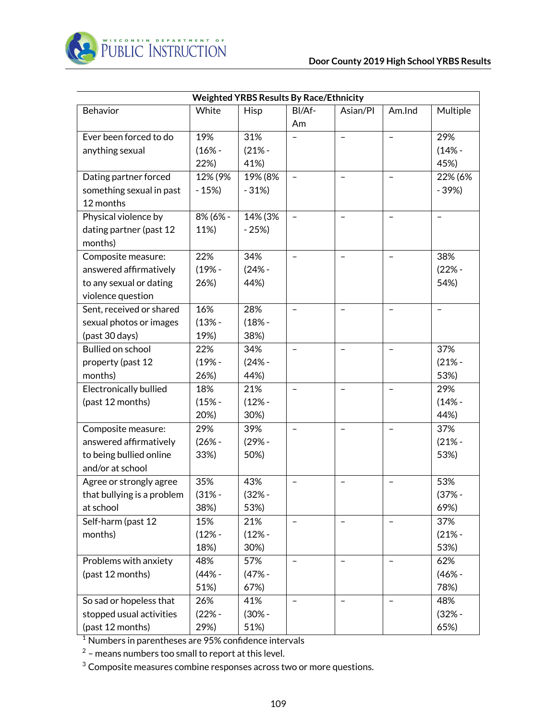| <b>Weighted YRBS Results By Race/Ethnicity</b> |          |          |                          |                          |                          |          |  |
|------------------------------------------------|----------|----------|--------------------------|--------------------------|--------------------------|----------|--|
| Behavior                                       | White    | Hisp     | BI/Af-                   | Asian/Pl                 | Am.Ind                   | Multiple |  |
|                                                |          |          | Am                       |                          |                          |          |  |
| Ever been forced to do                         | 19%      | 31%      |                          | $\overline{\phantom{0}}$ | $\overline{\phantom{0}}$ | 29%      |  |
| anything sexual                                | $(16% -$ | $(21% -$ |                          |                          |                          | $(14% -$ |  |
|                                                | 22%)     | 41%)     |                          |                          |                          | 45%)     |  |
| Dating partner forced                          | 12% (9%  | 19% (8%  |                          |                          |                          | 22% (6%  |  |
| something sexual in past                       | $-15%$   | $-31%$   |                          |                          |                          | $-39%$   |  |
| 12 months                                      |          |          |                          |                          |                          |          |  |
| Physical violence by                           | 8% (6% - | 14% (3%  | $\rightarrow$            | $\overline{\phantom{0}}$ |                          |          |  |
| dating partner (past 12                        | 11%)     | $-25%$   |                          |                          |                          |          |  |
| months)                                        |          |          |                          |                          |                          |          |  |
| Composite measure:                             | 22%      | 34%      | $\overline{\phantom{0}}$ | $\qquad \qquad -$        | $\qquad \qquad -$        | 38%      |  |
| answered affirmatively                         | $(19% -$ | $(24% -$ |                          |                          |                          | $(22% -$ |  |
| to any sexual or dating                        | 26%)     | 44%)     |                          |                          |                          | 54%)     |  |
| violence question                              |          |          |                          |                          |                          |          |  |
| Sent, received or shared                       | 16%      | 28%      | $\qquad \qquad -$        | $\overline{\phantom{0}}$ | $\qquad \qquad -$        |          |  |
| sexual photos or images                        | $(13% -$ | $(18% -$ |                          |                          |                          |          |  |
| (past 30 days)                                 | 19%)     | 38%)     |                          |                          |                          |          |  |
| <b>Bullied on school</b>                       | 22%      | 34%      |                          |                          |                          | 37%      |  |
| property (past 12                              | $(19% -$ | $(24% -$ |                          |                          |                          | $(21% -$ |  |
| months)                                        | 26%)     | 44%)     |                          |                          |                          | 53%)     |  |
| <b>Electronically bullied</b>                  | 18%      | 21%      |                          |                          |                          | 29%      |  |
| (past 12 months)                               | $(15% -$ | $(12% -$ |                          |                          |                          | $(14% -$ |  |
|                                                | 20%)     | 30%)     |                          |                          |                          | 44%)     |  |
| Composite measure:                             | 29%      | 39%      |                          |                          |                          | 37%      |  |
| answered affirmatively                         | $(26% -$ | $(29% -$ |                          |                          |                          | $(21% -$ |  |
| to being bullied online                        | 33%)     | 50%)     |                          |                          |                          | 53%)     |  |
| and/or at school                               |          |          |                          |                          |                          |          |  |
| Agree or strongly agree                        | 35%      | 43%      |                          |                          |                          | 53%      |  |
| that bullying is a problem                     | $(31% -$ | $(32% -$ |                          |                          |                          | $(37% -$ |  |
| at school                                      | 38%)     | 53%)     |                          |                          |                          | 69%)     |  |
| Self-harm (past 12                             | 15%      | 21%      |                          |                          |                          | 37%      |  |
| months)                                        | $(12% -$ | $(12% -$ |                          |                          |                          | $(21% -$ |  |
|                                                | 18%)     | 30%)     |                          |                          |                          | 53%)     |  |
| Problems with anxiety                          | 48%      | 57%      |                          |                          |                          | 62%      |  |
| (past 12 months)                               | $(44% -$ | $(47% -$ |                          |                          |                          | $(46% -$ |  |
|                                                | 51%)     | 67%)     |                          |                          |                          | 78%)     |  |
| So sad or hopeless that                        | 26%      | 41%      | $\overline{\phantom{0}}$ | $\overline{\phantom{0}}$ | $\overline{\phantom{0}}$ | 48%      |  |
| stopped usual activities                       | (22% -   | (30% -   |                          |                          |                          | $(32% -$ |  |
| (past 12 months)                               | 29%)     | 51%)     |                          |                          |                          | 65%)     |  |

 $^2$  – means numbers too small to report at this level.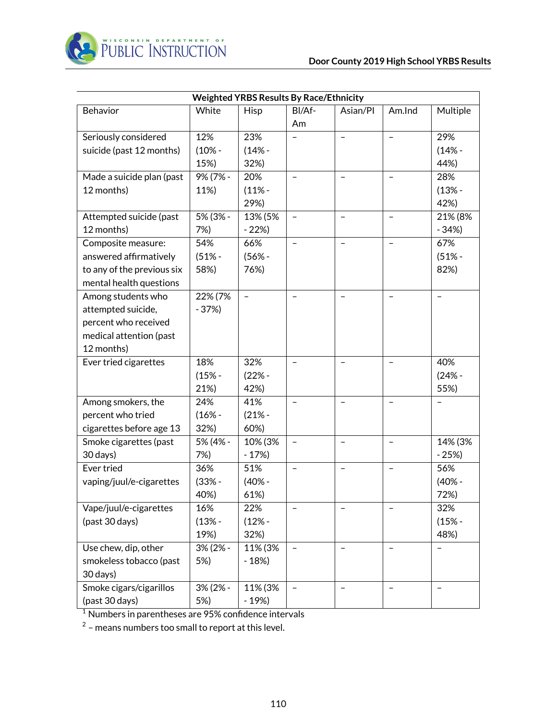

|                            |          | <b>Weighted YRBS Results By Race/Ethnicity</b> |                          |                          |                   |          |
|----------------------------|----------|------------------------------------------------|--------------------------|--------------------------|-------------------|----------|
| Behavior                   | White    | Hisp                                           | BI/Af-                   | Asian/Pl                 | Am.Ind            | Multiple |
|                            |          |                                                | Am                       |                          |                   |          |
| Seriously considered       | 12%      | 23%                                            |                          | $\overline{\phantom{0}}$ | $\qquad \qquad -$ | 29%      |
| suicide (past 12 months)   | $(10% -$ | $(14% -$                                       |                          |                          |                   | $(14% -$ |
|                            | 15%)     | 32%)                                           |                          |                          |                   | 44%)     |
| Made a suicide plan (past  | 9% (7% - | 20%                                            |                          |                          |                   | 28%      |
| 12 months)                 | 11%)     | $(11% -$                                       |                          |                          |                   | $(13% -$ |
|                            |          | 29%)                                           |                          |                          |                   | 42%)     |
| Attempted suicide (past    | 5% (3% - | 13% (5%                                        | $\qquad \qquad -$        | $\overline{\phantom{0}}$ | $\qquad \qquad -$ | 21% (8%  |
| 12 months)                 | 7%)      | $-22%$                                         |                          |                          |                   | $-34%$   |
| Composite measure:         | 54%      | 66%                                            |                          |                          |                   | 67%      |
| answered affirmatively     | $(51% -$ | $(56% -$                                       |                          |                          |                   | $(51% -$ |
| to any of the previous six | 58%)     | 76%)                                           |                          |                          |                   | 82%)     |
| mental health questions    |          |                                                |                          |                          |                   |          |
| Among students who         | 22% (7%  | -                                              |                          |                          |                   |          |
| attempted suicide,         | $-37%$   |                                                |                          |                          |                   |          |
| percent who received       |          |                                                |                          |                          |                   |          |
| medical attention (past    |          |                                                |                          |                          |                   |          |
| 12 months)                 |          |                                                |                          |                          |                   |          |
| Ever tried cigarettes      | 18%      | 32%                                            |                          |                          |                   | 40%      |
|                            | $(15% -$ | $(22% -$                                       |                          |                          |                   | $(24% -$ |
|                            | 21%)     | 42%)                                           |                          |                          |                   | 55%)     |
| Among smokers, the         | 24%      | 41%                                            | $\overline{\phantom{0}}$ |                          |                   |          |
| percent who tried          | $(16% -$ | $(21% -$                                       |                          |                          |                   |          |
| cigarettes before age 13   | 32%)     | 60%)                                           |                          |                          |                   |          |
| Smoke cigarettes (past     | 5% (4% - | 10% (3%                                        | -                        | $\overline{\phantom{m}}$ | $\qquad \qquad -$ | 14% (3%  |
| 30 days)                   | 7%)      | $-17%$                                         |                          |                          |                   | $-25%$   |
| Ever tried                 | 36%      | 51%                                            |                          |                          |                   | 56%      |
| vaping/juul/e-cigarettes   | $(33% -$ | $(40% -$                                       |                          |                          |                   | $(40% -$ |
|                            | 40%)     | 61%)                                           |                          |                          |                   | 72%)     |
| Vape/juul/e-cigarettes     | 16%      | 22%                                            |                          |                          |                   | 32%      |
| (past 30 days)             | $(13% -$ | $(12% -$                                       |                          |                          |                   | $(15% -$ |
|                            | 19%)     | 32%)                                           |                          |                          |                   | 48%)     |
| Use chew, dip, other       | 3% (2% - | 11% (3%                                        |                          |                          |                   |          |
| smokeless tobacco (past    | 5%)      | $-18%$                                         |                          |                          |                   |          |
| 30 days)                   |          |                                                |                          |                          |                   |          |
| Smoke cigars/cigarillos    | 3% (2% - | 11% (3%                                        | $\overline{\phantom{0}}$ |                          |                   |          |
| (past 30 days)             | 5%)      | $-19%$                                         |                          |                          |                   |          |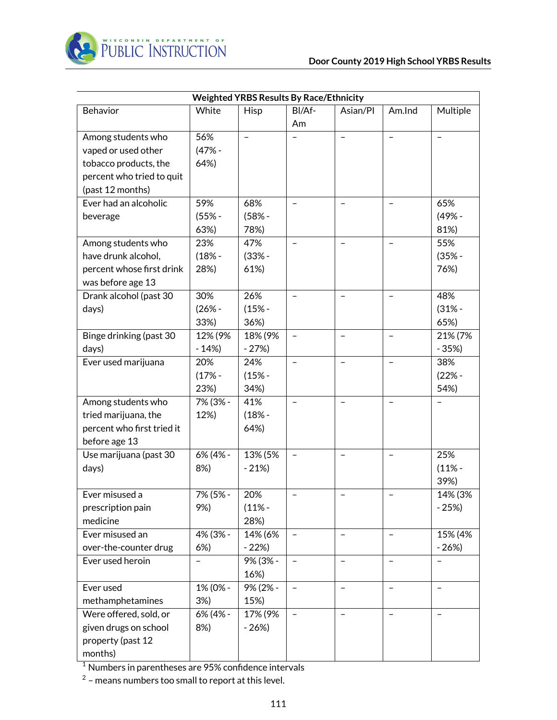

| <b>Weighted YRBS Results By Race/Ethnicity</b> |          |                   |                          |                   |                          |          |
|------------------------------------------------|----------|-------------------|--------------------------|-------------------|--------------------------|----------|
| Behavior                                       | White    | Hisp              | BI/Af-                   | Asian/Pl          | Am.Ind                   | Multiple |
|                                                |          |                   | Am                       |                   |                          |          |
| Among students who                             | 56%      | $\qquad \qquad -$ |                          | $\qquad \qquad -$ | $\qquad \qquad -$        |          |
| vaped or used other                            | $(47% -$ |                   |                          |                   |                          |          |
| tobacco products, the                          | 64%)     |                   |                          |                   |                          |          |
| percent who tried to quit                      |          |                   |                          |                   |                          |          |
| (past 12 months)                               |          |                   |                          |                   |                          |          |
| Ever had an alcoholic                          | 59%      | 68%               | $\overline{\phantom{a}}$ | $\qquad \qquad -$ | $\qquad \qquad -$        | 65%      |
| beverage                                       | $(55% -$ | $(58% -$          |                          |                   |                          | $(49% -$ |
|                                                | 63%)     | 78%)              |                          |                   |                          | 81%)     |
| Among students who                             | 23%      | 47%               |                          | $\equiv$          |                          | 55%      |
| have drunk alcohol,                            | $(18% -$ | $(33% -$          |                          |                   |                          | $(35% -$ |
| percent whose first drink                      | 28%)     | 61%)              |                          |                   |                          | 76%)     |
| was before age 13                              |          |                   |                          |                   |                          |          |
| Drank alcohol (past 30                         | 30%      | 26%               | $\qquad \qquad -$        | $\qquad \qquad -$ | $\qquad \qquad -$        | 48%      |
| days)                                          | $(26% -$ | $(15% -$          |                          |                   |                          | $(31% -$ |
|                                                | 33%)     | 36%)              |                          |                   |                          | 65%)     |
| Binge drinking (past 30                        | 12% (9%  | 18% (9%           | $\overline{\phantom{0}}$ | $\qquad \qquad -$ | $\overline{\phantom{0}}$ | 21% (7%  |
| days)                                          | $-14%$   | $-27%$            |                          |                   |                          | $-35%$   |
| Ever used marijuana                            | 20%      | 24%               | $\rightarrow$            | $\equiv$          | $\equiv$                 | 38%      |
|                                                | $(17% -$ | $(15% -$          |                          |                   |                          | $(22% -$ |
|                                                | 23%)     | 34%)              |                          |                   |                          | 54%)     |
| Among students who                             | 7% (3% - | 41%               |                          |                   |                          |          |
| tried marijuana, the                           | 12%)     | $(18% -$          |                          |                   |                          |          |
| percent who first tried it                     |          | 64%)              |                          |                   |                          |          |
| before age 13                                  |          |                   |                          |                   |                          |          |
| Use marijuana (past 30                         | 6% (4% - | 13% (5%           | $\qquad \qquad -$        | $\qquad \qquad -$ | $\qquad \qquad -$        | 25%      |
| days)                                          | 8%)      | $-21%$            |                          |                   |                          | $(11% -$ |
|                                                |          |                   |                          |                   |                          | 39%)     |
| Ever misused a                                 | 7% (5% - | 20%               |                          |                   |                          | 14% (3%  |
| prescription pain                              | 9%)      | $(11% -$          |                          |                   |                          | $-25%$   |
| medicine                                       |          | 28%)              |                          |                   |                          |          |
| Ever misused an                                | 4% (3% - | 14% (6%           | $\overline{\phantom{a}}$ | $\qquad \qquad -$ | $\qquad \qquad -$        | 15% (4%  |
| over-the-counter drug                          | 6%       | $-22%$            |                          |                   |                          | $-26%$   |
| Ever used heroin                               |          | 9% (3% -          |                          |                   | $\overline{\phantom{0}}$ |          |
|                                                |          | 16%)              |                          |                   |                          |          |
| Ever used                                      | 1% (0% - | 9% (2% -          |                          |                   |                          |          |
| methamphetamines                               | 3%)      | 15%)              |                          |                   |                          |          |
| Were offered, sold, or                         | 6% (4% - | 17% (9%           |                          |                   |                          |          |
| given drugs on school                          | 8%)      | $-26%$            |                          |                   |                          |          |
| property (past 12                              |          |                   |                          |                   |                          |          |
| months)                                        |          |                   |                          |                   |                          |          |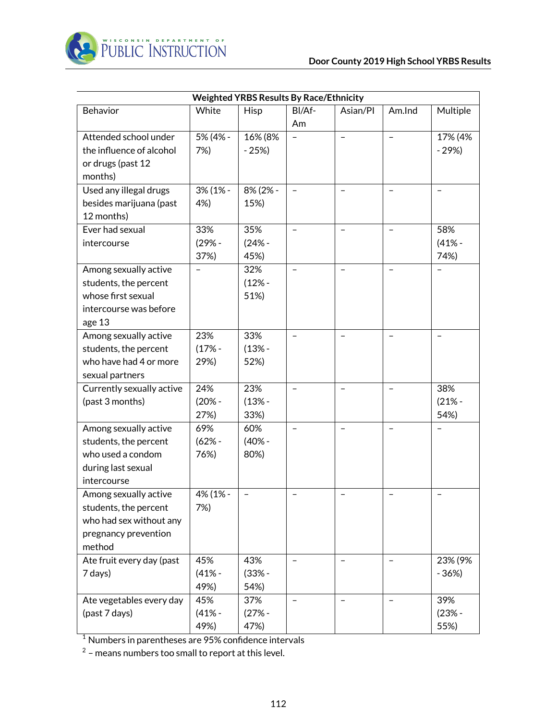

| <b>Weighted YRBS Results By Race/Ethnicity</b> |          |          |                   |                          |                   |          |  |
|------------------------------------------------|----------|----------|-------------------|--------------------------|-------------------|----------|--|
| Behavior                                       | White    | Hisp     | BI/Af-            | Asian/Pl                 | Am.Ind            | Multiple |  |
|                                                |          |          | Am                |                          |                   |          |  |
| Attended school under                          | 5% (4% - | 16% (8%  | $\qquad \qquad -$ | $\qquad \qquad -$        | $\qquad \qquad -$ | 17% (4%  |  |
| the influence of alcohol                       | 7%)      | $-25%$   |                   |                          |                   | $-29%$   |  |
| or drugs (past 12                              |          |          |                   |                          |                   |          |  |
| months)                                        |          |          |                   |                          |                   |          |  |
| Used any illegal drugs                         | 3% (1% - | 8% (2% - |                   |                          |                   |          |  |
| besides marijuana (past                        | 4%)      | 15%)     |                   |                          |                   |          |  |
| 12 months)                                     |          |          |                   |                          |                   |          |  |
| Ever had sexual                                | 33%      | 35%      | $\qquad \qquad -$ | $\overline{\phantom{0}}$ |                   | 58%      |  |
| intercourse                                    | $(29% -$ | $(24% -$ |                   |                          |                   | $(41% -$ |  |
|                                                | 37%)     | 45%)     |                   |                          |                   | 74%)     |  |
| Among sexually active                          |          | 32%      |                   |                          |                   |          |  |
| students, the percent                          |          | $(12% -$ |                   |                          |                   |          |  |
| whose first sexual                             |          | 51%)     |                   |                          |                   |          |  |
| intercourse was before                         |          |          |                   |                          |                   |          |  |
| age 13                                         |          |          |                   |                          |                   |          |  |
| Among sexually active                          | 23%      | 33%      |                   |                          |                   |          |  |
| students, the percent                          | $(17% -$ | $(13% -$ |                   |                          |                   |          |  |
| who have had 4 or more                         | 29%)     | 52%)     |                   |                          |                   |          |  |
| sexual partners                                |          |          |                   |                          |                   |          |  |
| Currently sexually active                      | 24%      | 23%      | $\qquad \qquad -$ | $\overline{\phantom{0}}$ | $\qquad \qquad -$ | 38%      |  |
| (past 3 months)                                | $(20% -$ | $(13% -$ |                   |                          |                   | $(21% -$ |  |
|                                                | 27%)     | 33%)     |                   |                          |                   | 54%)     |  |
| Among sexually active                          | 69%      | 60%      |                   |                          |                   |          |  |
| students, the percent                          | $(62% -$ | $(40% -$ |                   |                          |                   |          |  |
| who used a condom                              | 76%)     | 80%)     |                   |                          |                   |          |  |
| during last sexual                             |          |          |                   |                          |                   |          |  |
| intercourse                                    |          |          |                   |                          |                   |          |  |
| Among sexually active                          | 4% (1% - |          |                   |                          |                   |          |  |
| students, the percent                          | 7%)      |          |                   |                          |                   |          |  |
| who had sex without any                        |          |          |                   |                          |                   |          |  |
| pregnancy prevention                           |          |          |                   |                          |                   |          |  |
| method                                         |          |          |                   |                          |                   |          |  |
| Ate fruit every day (past                      | 45%      | 43%      |                   |                          |                   | 23% (9%  |  |
| 7 days)                                        | $(41% -$ | $(33% -$ |                   |                          |                   | $-36%$   |  |
|                                                | 49%)     | 54%)     |                   |                          |                   |          |  |
| Ate vegetables every day                       | 45%      | 37%      |                   |                          |                   | 39%      |  |
| (past 7 days)                                  | $(41% -$ | $(27% -$ |                   |                          |                   | $(23% -$ |  |
|                                                | 49%)     | 47%)     |                   |                          |                   | 55%)     |  |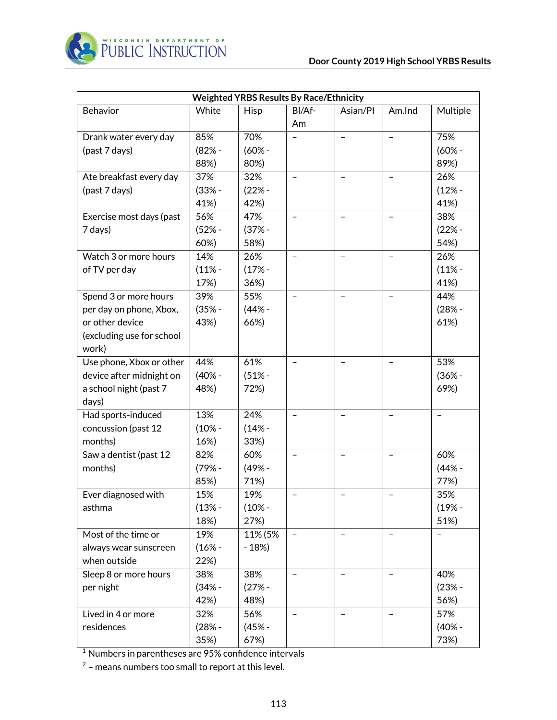

| <b>Weighted YRBS Results By Race/Ethnicity</b> |          |          |                          |                          |                          |          |  |
|------------------------------------------------|----------|----------|--------------------------|--------------------------|--------------------------|----------|--|
| Behavior                                       | White    | Hisp     | BI/Af-                   | Asian/Pl                 | Am.Ind                   | Multiple |  |
|                                                |          |          | Am                       |                          |                          |          |  |
| Drank water every day                          | 85%      | 70%      |                          | $\overline{\phantom{a}}$ | $\qquad \qquad -$        | 75%      |  |
| (past 7 days)                                  | $(82% -$ | $(60% -$ |                          |                          |                          | $(60% -$ |  |
|                                                | 88%)     | 80%)     |                          |                          |                          | 89%)     |  |
| Ate breakfast every day                        | 37%      | 32%      |                          | $\equiv$                 |                          | 26%      |  |
| (past 7 days)                                  | $(33% -$ | $(22% -$ |                          |                          |                          | $(12% -$ |  |
|                                                | 41%)     | 42%)     |                          |                          |                          | 41%)     |  |
| Exercise most days (past                       | 56%      | 47%      | $\qquad \qquad -$        | $\qquad \qquad -$        |                          | 38%      |  |
| 7 days)                                        | $(52% -$ | $(37% -$ |                          |                          |                          | $(22% -$ |  |
|                                                | 60%)     | 58%)     |                          |                          |                          | 54%)     |  |
| Watch 3 or more hours                          | 14%      | 26%      | $\qquad \qquad -$        | $\qquad \qquad -$        | $\overline{\phantom{0}}$ | 26%      |  |
| of TV per day                                  | $(11% -$ | $(17% -$ |                          |                          |                          | $(11% -$ |  |
|                                                | 17%)     | 36%)     |                          |                          |                          | 41%)     |  |
| Spend 3 or more hours                          | 39%      | 55%      |                          |                          |                          | 44%      |  |
| per day on phone, Xbox,                        | $(35% -$ | $(44% -$ |                          |                          |                          | $(28% -$ |  |
| or other device                                | 43%)     | 66%)     |                          |                          |                          | 61%)     |  |
| (excluding use for school                      |          |          |                          |                          |                          |          |  |
| work)                                          |          |          |                          |                          |                          |          |  |
| Use phone, Xbox or other                       | 44%      | 61%      |                          | $\equiv$                 |                          | 53%      |  |
| device after midnight on                       | $(40% -$ | $(51% -$ |                          |                          |                          | $(36% -$ |  |
| a school night (past 7                         | 48%)     | 72%)     |                          |                          |                          | 69%)     |  |
| days)                                          |          |          |                          |                          |                          |          |  |
| Had sports-induced                             | 13%      | 24%      | $\qquad \qquad -$        | $\qquad \qquad -$        | $\qquad \qquad -$        |          |  |
| concussion (past 12                            | $(10% -$ | $(14% -$ |                          |                          |                          |          |  |
| months)                                        | 16%)     | 33%)     |                          |                          |                          |          |  |
| Saw a dentist (past 12                         | 82%      | 60%      | $\qquad \qquad -$        | $\qquad \qquad -$        | $\overline{\phantom{0}}$ | 60%      |  |
| months)                                        | $(79% -$ | (49% -   |                          |                          |                          | $(44% -$ |  |
|                                                | 85%)     | 71%)     |                          |                          |                          | 77%)     |  |
| Ever diagnosed with                            | 15%      | 19%      |                          |                          |                          | 35%      |  |
| asthma                                         | $(13% -$ | $(10% -$ |                          |                          |                          | $(19% -$ |  |
|                                                | 18%)     | 27%)     |                          |                          |                          | 51%)     |  |
| Most of the time or                            | 19%      | 11% (5%  | $\overline{\phantom{a}}$ | $\overline{\phantom{a}}$ |                          |          |  |
| always wear sunscreen                          | $(16% -$ | $-18%$   |                          |                          |                          |          |  |
| when outside                                   | 22%)     |          |                          |                          |                          |          |  |
| Sleep 8 or more hours                          | 38%      | 38%      | $\qquad \qquad -$        | $\qquad \qquad -$        |                          | 40%      |  |
| per night                                      | $(34% -$ | $(27% -$ |                          |                          |                          | $(23% -$ |  |
|                                                | 42%)     | 48%)     |                          |                          |                          | 56%)     |  |
| Lived in 4 or more                             | 32%      | 56%      |                          |                          |                          | 57%      |  |
| residences                                     | $(28% -$ | $(45% -$ |                          |                          |                          | $(40% -$ |  |
|                                                | 35%)     | 67%)     |                          |                          |                          | 73%)     |  |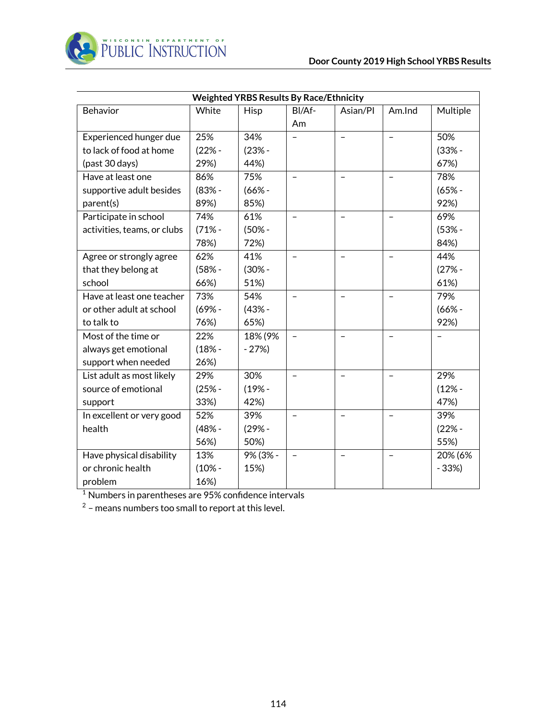

| <b>Weighted YRBS Results By Race/Ethnicity</b> |          |          |                          |                          |                          |          |
|------------------------------------------------|----------|----------|--------------------------|--------------------------|--------------------------|----------|
| Behavior                                       | White    | Hisp     | BI/Af-                   | Asian/Pl                 | Am.Ind                   | Multiple |
|                                                |          |          | Am                       |                          |                          |          |
| Experienced hunger due                         | 25%      | 34%      |                          | $\overline{\phantom{0}}$ | $\overline{\phantom{0}}$ | 50%      |
| to lack of food at home                        | $(22% -$ | $(23% -$ |                          |                          |                          | $(33% -$ |
| (past 30 days)                                 | 29%)     | 44%)     |                          |                          |                          | 67%)     |
| Have at least one                              | 86%      | 75%      | $\overline{\phantom{0}}$ |                          | $\qquad \qquad -$        | 78%      |
| supportive adult besides                       | $(83% -$ | $(66% -$ |                          |                          |                          | $(65% -$ |
| parent(s)                                      | 89%)     | 85%)     |                          |                          |                          | 92%)     |
| Participate in school                          | 74%      | 61%      |                          | $\overline{\phantom{0}}$ |                          | 69%      |
| activities, teams, or clubs                    | $(71% -$ | $(50% -$ |                          |                          |                          | $(53% -$ |
|                                                | 78%)     | 72%)     |                          |                          |                          | 84%)     |
| Agree or strongly agree                        | 62%      | 41%      | $\overline{\phantom{0}}$ |                          |                          | 44%      |
| that they belong at                            | $(58% -$ | $(30% -$ |                          |                          |                          | $(27% -$ |
| school                                         | 66%)     | 51%)     |                          |                          |                          | 61%)     |
| Have at least one teacher                      | 73%      | 54%      | $\overline{\phantom{0}}$ | $\equiv$                 |                          | 79%      |
| or other adult at school                       | $(69% -$ | $(43% -$ |                          |                          |                          | $(66% -$ |
| to talk to                                     | 76%)     | 65%)     |                          |                          |                          | 92%)     |
| Most of the time or                            | 22%      | 18% (9%  | $\equiv$                 | $\equiv$                 | $\qquad \qquad -$        |          |
| always get emotional                           | $(18% -$ | $-27%$   |                          |                          |                          |          |
| support when needed                            | 26%)     |          |                          |                          |                          |          |
| List adult as most likely                      | 29%      | 30%      |                          |                          |                          | 29%      |
| source of emotional                            | $(25% -$ | $(19% -$ |                          |                          |                          | $(12% -$ |
| support                                        | 33%)     | 42%)     |                          |                          |                          | 47%)     |
| In excellent or very good                      | 52%      | 39%      |                          |                          |                          | 39%      |
| health                                         | $(48% -$ | $(29% -$ |                          |                          |                          | $(22% -$ |
|                                                | 56%)     | 50%)     |                          |                          |                          | 55%)     |
| Have physical disability                       | 13%      | 9% (3% - |                          |                          |                          | 20% (6%  |
| or chronic health                              | $(10% -$ | 15%)     |                          |                          |                          | $-33%$   |
| problem                                        | 16%)     |          |                          |                          |                          |          |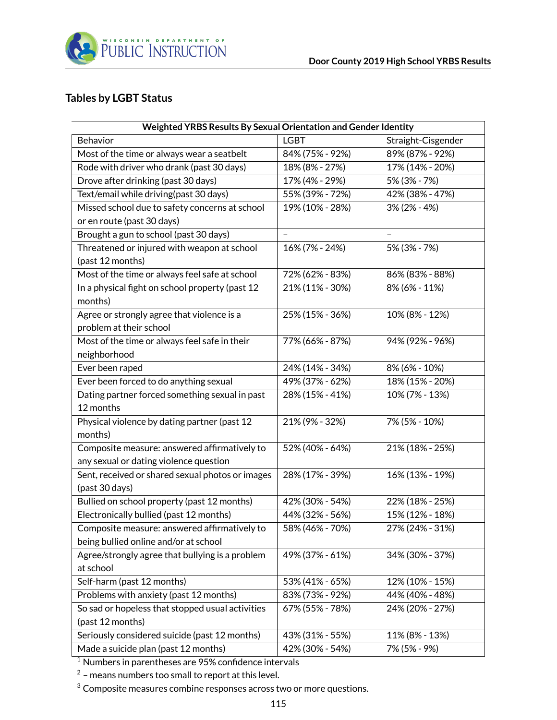

### **Tables by LGBT Status**

| Weighted YRBS Results By Sexual Orientation and Gender Identity |                 |                          |  |  |  |  |
|-----------------------------------------------------------------|-----------------|--------------------------|--|--|--|--|
| Behavior                                                        | <b>LGBT</b>     | Straight-Cisgender       |  |  |  |  |
| Most of the time or always wear a seatbelt                      | 84% (75% - 92%) | 89% (87% - 92%)          |  |  |  |  |
| Rode with driver who drank (past 30 days)                       | 18% (8% - 27%)  | 17% (14% - 20%)          |  |  |  |  |
| Drove after drinking (past 30 days)                             | 17% (4% - 29%)  | 5% (3% - 7%)             |  |  |  |  |
| Text/email while driving(past 30 days)                          | 55% (39% - 72%) | 42% (38% - 47%)          |  |  |  |  |
| Missed school due to safety concerns at school                  | 19% (10% - 28%) | 3% (2% - 4%)             |  |  |  |  |
| or en route (past 30 days)                                      |                 |                          |  |  |  |  |
| Brought a gun to school (past 30 days)                          | $\overline{a}$  | $\overline{\phantom{0}}$ |  |  |  |  |
| Threatened or injured with weapon at school                     | 16% (7% - 24%)  | 5% (3% - 7%)             |  |  |  |  |
| (past 12 months)                                                |                 |                          |  |  |  |  |
| Most of the time or always feel safe at school                  | 72% (62% - 83%) | 86% (83% - 88%)          |  |  |  |  |
| In a physical fight on school property (past 12                 | 21% (11% - 30%) | 8% (6% - 11%)            |  |  |  |  |
| months)                                                         |                 |                          |  |  |  |  |
| Agree or strongly agree that violence is a                      | 25% (15% - 36%) | 10% (8% - 12%)           |  |  |  |  |
| problem at their school                                         |                 |                          |  |  |  |  |
| Most of the time or always feel safe in their                   | 77% (66% - 87%) | 94% (92% - 96%)          |  |  |  |  |
| neighborhood                                                    |                 |                          |  |  |  |  |
| Ever been raped                                                 | 24% (14% - 34%) | 8% (6% - 10%)            |  |  |  |  |
| Ever been forced to do anything sexual                          | 49% (37% - 62%) | 18% (15% - 20%)          |  |  |  |  |
| Dating partner forced something sexual in past                  | 28% (15% - 41%) | 10% (7% - 13%)           |  |  |  |  |
| 12 months                                                       |                 |                          |  |  |  |  |
| Physical violence by dating partner (past 12                    | 21% (9% - 32%)  | 7% (5% - 10%)            |  |  |  |  |
| months)                                                         |                 |                          |  |  |  |  |
| Composite measure: answered affirmatively to                    | 52% (40% - 64%) | 21% (18% - 25%)          |  |  |  |  |
| any sexual or dating violence question                          |                 |                          |  |  |  |  |
| Sent, received or shared sexual photos or images                | 28% (17% - 39%) | 16% (13% - 19%)          |  |  |  |  |
| (past 30 days)                                                  |                 |                          |  |  |  |  |
| Bullied on school property (past 12 months)                     | 42% (30% - 54%) | 22% (18% - 25%)          |  |  |  |  |
| Electronically bullied (past 12 months)                         | 44% (32% - 56%) | 15% (12% - 18%)          |  |  |  |  |
| Composite measure: answered affirmatively to                    | 58% (46% - 70%) | 27% (24% - 31%)          |  |  |  |  |
| being bullied online and/or at school                           |                 |                          |  |  |  |  |
| Agree/strongly agree that bullying is a problem                 | 49% (37% - 61%) | 34% (30% - 37%)          |  |  |  |  |
| at school                                                       |                 |                          |  |  |  |  |
| Self-harm (past 12 months)                                      | 53% (41% - 65%) | 12% (10% - 15%)          |  |  |  |  |
| Problems with anxiety (past 12 months)                          | 83% (73% - 92%) | 44% (40% - 48%)          |  |  |  |  |
| So sad or hopeless that stopped usual activities                | 67% (55% - 78%) | 24% (20% - 27%)          |  |  |  |  |
| (past 12 months)                                                |                 |                          |  |  |  |  |
| Seriously considered suicide (past 12 months)                   | 43% (31% - 55%) | 11% (8% - 13%)           |  |  |  |  |
| Made a suicide plan (past 12 months)                            | 42% (30% - 54%) | 7% (5% - 9%)             |  |  |  |  |

<sup>1</sup> Numbers in parentheses are 95% confidence intervals

 $^2$  – means numbers too small to report at this level.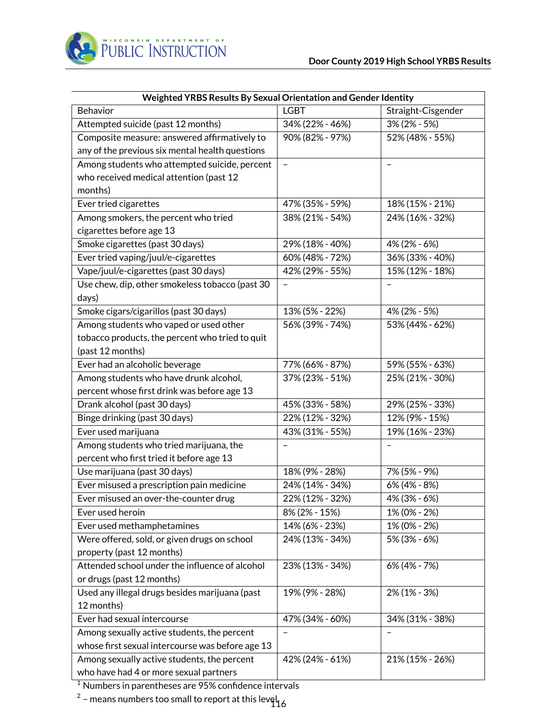

| Weighted YRBS Results By Sexual Orientation and Gender Identity |                   |                    |  |  |  |  |
|-----------------------------------------------------------------|-------------------|--------------------|--|--|--|--|
| Behavior                                                        | <b>LGBT</b>       | Straight-Cisgender |  |  |  |  |
| Attempted suicide (past 12 months)                              | 34% (22% - 46%)   | $3\%$ (2% - 5%)    |  |  |  |  |
| Composite measure: answered affirmatively to                    | 90% (82% - 97%)   | 52% (48% - 55%)    |  |  |  |  |
| any of the previous six mental health questions                 |                   |                    |  |  |  |  |
| Among students who attempted suicide, percent                   | $\qquad \qquad -$ |                    |  |  |  |  |
| who received medical attention (past 12                         |                   |                    |  |  |  |  |
| months)                                                         |                   |                    |  |  |  |  |
| Ever tried cigarettes                                           | 47% (35% - 59%)   | 18% (15% - 21%)    |  |  |  |  |
| Among smokers, the percent who tried                            | 38% (21% - 54%)   | 24% (16% - 32%)    |  |  |  |  |
| cigarettes before age 13                                        |                   |                    |  |  |  |  |
| Smoke cigarettes (past 30 days)                                 | 29% (18% - 40%)   | 4% (2% - 6%)       |  |  |  |  |
| Ever tried vaping/juul/e-cigarettes                             | 60% (48% - 72%)   | 36% (33% - 40%)    |  |  |  |  |
| Vape/juul/e-cigarettes (past 30 days)                           | 42% (29% - 55%)   | 15% (12% - 18%)    |  |  |  |  |
| Use chew, dip, other smokeless tobacco (past 30                 |                   |                    |  |  |  |  |
| days)                                                           |                   |                    |  |  |  |  |
| Smoke cigars/cigarillos (past 30 days)                          | 13% (5% - 22%)    | 4% (2% - 5%)       |  |  |  |  |
| Among students who vaped or used other                          | 56% (39% - 74%)   | 53% (44% - 62%)    |  |  |  |  |
| tobacco products, the percent who tried to quit                 |                   |                    |  |  |  |  |
| (past 12 months)                                                |                   |                    |  |  |  |  |
| Ever had an alcoholic beverage                                  | 77% (66% - 87%)   | 59% (55% - 63%)    |  |  |  |  |
| Among students who have drunk alcohol,                          | 37% (23% - 51%)   | 25% (21% - 30%)    |  |  |  |  |
| percent whose first drink was before age 13                     |                   |                    |  |  |  |  |
| Drank alcohol (past 30 days)                                    | 45% (33% - 58%)   | 29% (25% - 33%)    |  |  |  |  |
| Binge drinking (past 30 days)                                   | 22% (12% - 32%)   | 12% (9% - 15%)     |  |  |  |  |
| Ever used marijuana                                             | 43% (31% - 55%)   | 19% (16% - 23%)    |  |  |  |  |
| Among students who tried marijuana, the                         |                   |                    |  |  |  |  |
| percent who first tried it before age 13                        |                   |                    |  |  |  |  |
| Use marijuana (past 30 days)                                    | 18% (9% - 28%)    | 7% (5% - 9%)       |  |  |  |  |
| Ever misused a prescription pain medicine                       | 24% (14% - 34%)   | 6% (4% - 8%)       |  |  |  |  |
| Ever misused an over-the-counter drug                           | 22% (12% - 32%)   | 4% (3% - 6%)       |  |  |  |  |
| Ever used heroin                                                | 8% (2% - 15%)     | 1% (0% - 2%)       |  |  |  |  |
| Ever used methamphetamines                                      | 14% (6% - 23%)    | 1% (0% - 2%)       |  |  |  |  |
| Were offered, sold, or given drugs on school                    | 24% (13% - 34%)   | 5% (3% - 6%)       |  |  |  |  |
| property (past 12 months)                                       |                   |                    |  |  |  |  |
| Attended school under the influence of alcohol                  | 23% (13% - 34%)   | 6% (4% - 7%)       |  |  |  |  |
| or drugs (past 12 months)                                       |                   |                    |  |  |  |  |
| Used any illegal drugs besides marijuana (past                  | 19% (9% - 28%)    | 2% (1% - 3%)       |  |  |  |  |
| 12 months)                                                      |                   |                    |  |  |  |  |
| Ever had sexual intercourse                                     | 47% (34% - 60%)   | 34% (31% - 38%)    |  |  |  |  |
| Among sexually active students, the percent                     | $\qquad \qquad -$ |                    |  |  |  |  |
| whose first sexual intercourse was before age 13                |                   |                    |  |  |  |  |
| Among sexually active students, the percent                     | 42% (24% - 61%)   | 21% (15% - 26%)    |  |  |  |  |
| who have had 4 or more sexual partners                          |                   |                    |  |  |  |  |

 $^2$  – means numbers too small to report at this level  $_{\rm 16}^{\rm 2}$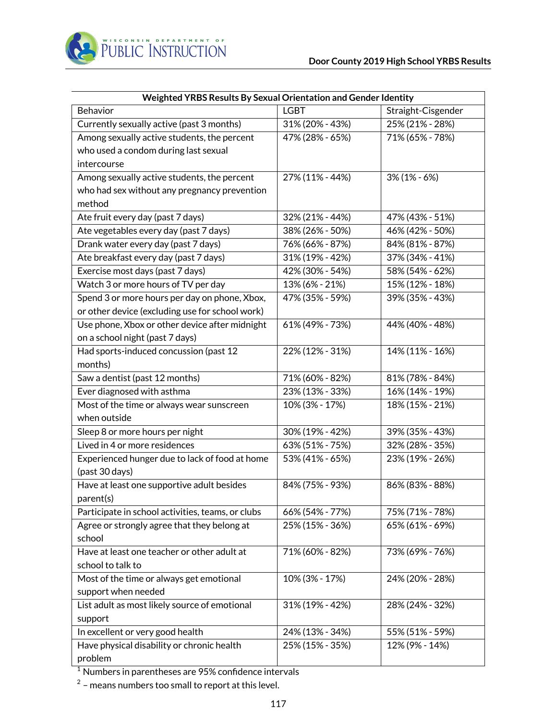

| Weighted YRBS Results By Sexual Orientation and Gender Identity |                 |                    |  |  |  |  |
|-----------------------------------------------------------------|-----------------|--------------------|--|--|--|--|
| Behavior                                                        | <b>LGBT</b>     | Straight-Cisgender |  |  |  |  |
| Currently sexually active (past 3 months)                       | 31% (20% - 43%) | 25% (21% - 28%)    |  |  |  |  |
| Among sexually active students, the percent                     | 47% (28% - 65%) | 71% (65% - 78%)    |  |  |  |  |
| who used a condom during last sexual                            |                 |                    |  |  |  |  |
| intercourse                                                     |                 |                    |  |  |  |  |
| Among sexually active students, the percent                     | 27% (11% - 44%) | $3\%$ (1% - 6%)    |  |  |  |  |
| who had sex without any pregnancy prevention                    |                 |                    |  |  |  |  |
| method                                                          |                 |                    |  |  |  |  |
| Ate fruit every day (past 7 days)                               | 32% (21% - 44%) | 47% (43% - 51%)    |  |  |  |  |
| Ate vegetables every day (past 7 days)                          | 38% (26% - 50%) | 46% (42% - 50%)    |  |  |  |  |
| Drank water every day (past 7 days)                             | 76% (66% - 87%) | 84% (81% - 87%)    |  |  |  |  |
| Ate breakfast every day (past 7 days)                           | 31% (19% - 42%) | 37% (34% - 41%)    |  |  |  |  |
| Exercise most days (past 7 days)                                | 42% (30% - 54%) | 58% (54% - 62%)    |  |  |  |  |
| Watch 3 or more hours of TV per day                             | 13% (6% - 21%)  | 15% (12% - 18%)    |  |  |  |  |
| Spend 3 or more hours per day on phone, Xbox,                   | 47% (35% - 59%) | 39% (35% - 43%)    |  |  |  |  |
| or other device (excluding use for school work)                 |                 |                    |  |  |  |  |
| Use phone, Xbox or other device after midnight                  | 61% (49% - 73%) | 44% (40% - 48%)    |  |  |  |  |
| on a school night (past 7 days)                                 |                 |                    |  |  |  |  |
| Had sports-induced concussion (past 12                          | 22% (12% - 31%) | 14% (11% - 16%)    |  |  |  |  |
| months)                                                         |                 |                    |  |  |  |  |
| Saw a dentist (past 12 months)                                  | 71% (60% - 82%) | 81% (78% - 84%)    |  |  |  |  |
| Ever diagnosed with asthma                                      | 23% (13% - 33%) | 16% (14% - 19%)    |  |  |  |  |
| Most of the time or always wear sunscreen                       | 10% (3% - 17%)  | 18% (15% - 21%)    |  |  |  |  |
| when outside                                                    |                 |                    |  |  |  |  |
| Sleep 8 or more hours per night                                 | 30% (19% - 42%) | 39% (35% - 43%)    |  |  |  |  |
| Lived in 4 or more residences                                   | 63% (51% - 75%) | 32% (28% - 35%)    |  |  |  |  |
| Experienced hunger due to lack of food at home                  | 53% (41% - 65%) | 23% (19% - 26%)    |  |  |  |  |
| (past 30 days)                                                  |                 |                    |  |  |  |  |
| Have at least one supportive adult besides                      | 84% (75% - 93%) | 86% (83% - 88%)    |  |  |  |  |
| parent(s)                                                       |                 |                    |  |  |  |  |
| Participate in school activities, teams, or clubs               | 66% (54% - 77%) | 75% (71% - 78%)    |  |  |  |  |
| Agree or strongly agree that they belong at                     | 25% (15% - 36%) | 65% (61% - 69%)    |  |  |  |  |
| school                                                          |                 |                    |  |  |  |  |
| Have at least one teacher or other adult at                     | 71% (60% - 82%) | 73% (69% - 76%)    |  |  |  |  |
| school to talk to                                               |                 |                    |  |  |  |  |
| Most of the time or always get emotional                        | 10% (3% - 17%)  | 24% (20% - 28%)    |  |  |  |  |
| support when needed                                             |                 |                    |  |  |  |  |
| List adult as most likely source of emotional                   | 31% (19% - 42%) | 28% (24% - 32%)    |  |  |  |  |
| support                                                         |                 |                    |  |  |  |  |
| In excellent or very good health                                | 24% (13% - 34%) | 55% (51% - 59%)    |  |  |  |  |
| Have physical disability or chronic health                      | 25% (15% - 35%) | 12% (9% - 14%)     |  |  |  |  |
| problem                                                         |                 |                    |  |  |  |  |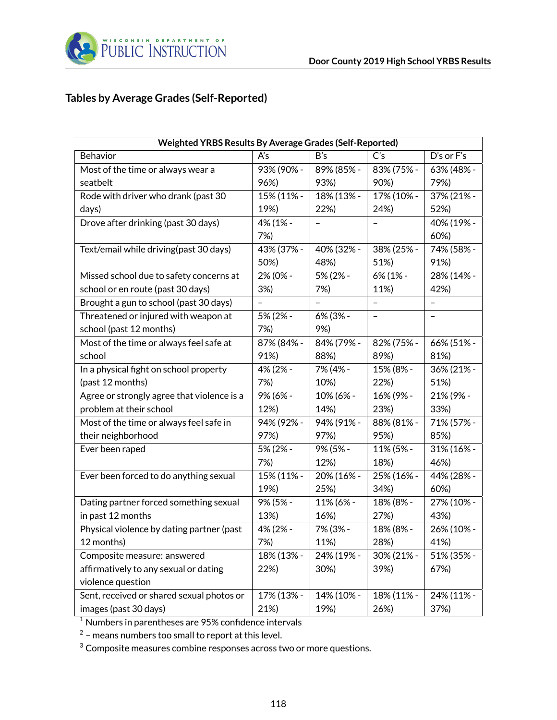

# **Tables by Average Grades (Self-Reported)**

| Weighted YRBS Results By Average Grades (Self-Reported) |                          |            |                |            |  |  |
|---------------------------------------------------------|--------------------------|------------|----------------|------------|--|--|
| Behavior                                                | A's                      | B's        | C <sub>s</sub> | D's or F's |  |  |
| Most of the time or always wear a                       | 93% (90% -               | 89% (85% - | 83% (75% -     | 63% (48% - |  |  |
| seatbelt                                                | 96%)                     | 93%)       | 90%)           | 79%)       |  |  |
| Rode with driver who drank (past 30                     | 15% (11% -               | 18% (13% - | 17% (10% -     | 37% (21% - |  |  |
| days)                                                   | 19%)                     | 22%)       | 24%)           | 52%)       |  |  |
| Drove after drinking (past 30 days)                     | 4% (1% -                 |            |                | 40% (19% - |  |  |
|                                                         | 7%)                      |            |                | 60%)       |  |  |
| Text/email while driving(past 30 days)                  | 43% (37% -               | 40% (32% - | 38% (25% -     | 74% (58% - |  |  |
|                                                         | 50%)                     | 48%)       | 51%)           | 91%)       |  |  |
| Missed school due to safety concerns at                 | 2% (0% -                 | 5% (2% -   | 6% (1% -       | 28% (14% - |  |  |
| school or en route (past 30 days)                       | 3%)                      | 7%)        | 11%)           | 42%)       |  |  |
| Brought a gun to school (past 30 days)                  | $\overline{\phantom{0}}$ |            | $\overline{a}$ |            |  |  |
| Threatened or injured with weapon at                    | 5% (2% -                 | 6% (3% -   |                |            |  |  |
| school (past 12 months)                                 | 7%)                      | 9%)        |                |            |  |  |
| Most of the time or always feel safe at                 | 87% (84% -               | 84% (79% - | 82% (75% -     | 66% (51% - |  |  |
| school                                                  | 91%)                     | 88%)       | 89%)           | 81%)       |  |  |
| In a physical fight on school property                  | 4% (2% -                 | 7% (4% -   | 15% (8% -      | 36% (21% - |  |  |
| (past 12 months)                                        | 7%)                      | 10%)       | 22%)           | 51%)       |  |  |
| Agree or strongly agree that violence is a              | 9% (6% -                 | 10% (6% -  | 16% (9% -      | 21% (9% -  |  |  |
| problem at their school                                 | 12%)                     | 14%)       | 23%)           | 33%)       |  |  |
| Most of the time or always feel safe in                 | 94% (92% -               | 94% (91% - | 88% (81% -     | 71% (57% - |  |  |
| their neighborhood                                      | 97%)                     | 97%)       | 95%)           | 85%)       |  |  |
| Ever been raped                                         | 5% (2% -                 | 9% (5% -   | 11% (5% -      | 31% (16% - |  |  |
|                                                         | 7%)                      | 12%)       | 18%)           | 46%)       |  |  |
| Ever been forced to do anything sexual                  | 15% (11% -               | 20% (16% - | 25% (16% -     | 44% (28% - |  |  |
|                                                         | 19%)                     | 25%)       | 34%)           | 60%)       |  |  |
| Dating partner forced something sexual                  | 9% (5% -                 | 11% (6% -  | 18% (8% -      | 27% (10% - |  |  |
| in past 12 months                                       | 13%)                     | 16%)       | 27%)           | 43%)       |  |  |
| Physical violence by dating partner (past               | 4% (2% -                 | 7% (3% -   | 18% (8% -      | 26% (10% - |  |  |
| 12 months)                                              | 7%)                      | 11%)       | 28%)           | 41%)       |  |  |
| Composite measure: answered                             | 18% (13% -               | 24% (19% - | 30% (21% -     | 51% (35% - |  |  |
| affirmatively to any sexual or dating                   | 22%)                     | 30%)       | 39%)           | 67%)       |  |  |
| violence question                                       |                          |            |                |            |  |  |
| Sent, received or shared sexual photos or               | 17% (13% -               | 14% (10% - | 18% (11% -     | 24% (11% - |  |  |
| images (past 30 days)                                   | 21%)                     | 19%)       | 26%)           | 37%)       |  |  |

 $\frac{1}{1}$  Numbers in parentheses are 95% confidence intervals

 $^2$  – means numbers too small to report at this level.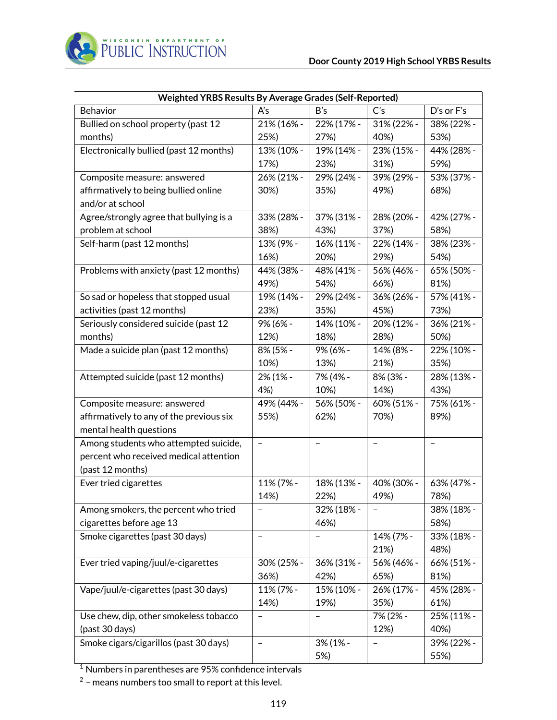| Weighted YRBS Results By Average Grades (Self-Reported) |                   |             |                          |            |  |  |
|---------------------------------------------------------|-------------------|-------------|--------------------------|------------|--|--|
| Behavior                                                | A's               | B's         | C's                      | D's or F's |  |  |
| Bullied on school property (past 12                     | 21% (16% -        | 22% (17% -  | 31% (22% -               | 38% (22% - |  |  |
| months)                                                 | 25%)              | 27%)        | 40%)                     | 53%)       |  |  |
| Electronically bullied (past 12 months)                 | 13% (10% -        | 19% (14% -  | 23% (15% -               | 44% (28% - |  |  |
|                                                         | 17%)              | 23%)        | 31%)                     | 59%)       |  |  |
| Composite measure: answered                             | 26% (21% -        | 29% (24% -  | 39% (29% -               | 53% (37% - |  |  |
| affirmatively to being bullied online                   | 30%)              | 35%)        | 49%)                     | 68%)       |  |  |
| and/or at school                                        |                   |             |                          |            |  |  |
| Agree/strongly agree that bullying is a                 | 33% (28% -        | 37% (31% -  | 28% (20% -               | 42% (27% - |  |  |
| problem at school                                       | 38%)              | 43%)        | 37%)                     | 58%)       |  |  |
| Self-harm (past 12 months)                              | 13% (9% -         | 16% (11% -  | 22% (14% -               | 38% (23% - |  |  |
|                                                         | 16%)              | 20%)        | 29%)                     | 54%)       |  |  |
| Problems with anxiety (past 12 months)                  | 44% (38% -        | 48% (41% -  | 56% (46% -               | 65% (50% - |  |  |
|                                                         | 49%)              | 54%)        | 66%)                     | 81%)       |  |  |
| So sad or hopeless that stopped usual                   | 19% (14% -        | 29% (24% -  | 36% (26% -               | 57% (41% - |  |  |
| activities (past 12 months)                             | 23%)              | 35%)        | 45%)                     | 73%)       |  |  |
| Seriously considered suicide (past 12                   | 9% (6% -          | 14% (10% -  | 20% (12% -               | 36% (21% - |  |  |
| months)                                                 | 12%)              | 18%)        | 28%)                     | 50%)       |  |  |
| Made a suicide plan (past 12 months)                    | 8% (5% -          | 9% (6% -    | 14% (8% -                | 22% (10% - |  |  |
|                                                         | 10%)              | 13%)        | 21%)                     | 35%)       |  |  |
| Attempted suicide (past 12 months)                      | 2% (1% -          | 7% (4% -    | 8% (3% -                 | 28% (13% - |  |  |
|                                                         | 4%)               | 10%)        | 14%)                     | 43%)       |  |  |
| Composite measure: answered                             | 49% (44% -        | 56% (50% -  | 60% (51% -               | 75% (61% - |  |  |
| affirmatively to any of the previous six                | 55%)              | 62%)        | 70%)                     | 89%)       |  |  |
| mental health questions                                 |                   |             |                          |            |  |  |
| Among students who attempted suicide,                   | $\qquad \qquad -$ | -           | $\overline{\phantom{0}}$ | -          |  |  |
| percent who received medical attention                  |                   |             |                          |            |  |  |
| (past 12 months)                                        |                   |             |                          |            |  |  |
| Ever tried cigarettes                                   | 11% (7% -         | 18% (13% -  | 40% (30% -               | 63% (47% - |  |  |
|                                                         | 14%)              | 22%)        | 49%)                     | 78%)       |  |  |
| Among smokers, the percent who tried                    | $\qquad \qquad -$ | 32% (18% -  | $\qquad \qquad -$        | 38% (18% - |  |  |
| cigarettes before age 13                                |                   | 46%)        |                          | 58%)       |  |  |
| Smoke cigarettes (past 30 days)                         | $\qquad \qquad -$ |             | 14% (7% -                | 33% (18% - |  |  |
|                                                         |                   |             | 21%)                     | 48%)       |  |  |
| Ever tried vaping/juul/e-cigarettes                     | 30% (25% -        | 36% (31% -  | 56% (46% -               | 66% (51% - |  |  |
|                                                         | 36%)              | 42%)        | 65%)                     | 81%)       |  |  |
| Vape/juul/e-cigarettes (past 30 days)                   | 11% (7% -         | 15% (10% -  | 26% (17% -               | 45% (28% - |  |  |
|                                                         | 14%)              | 19%)        | 35%)                     | 61%)       |  |  |
| Use chew, dip, other smokeless tobacco                  | -                 | -           | 7% (2% -                 | 25% (11% - |  |  |
| (past 30 days)                                          |                   |             | 12%)                     | 40%)       |  |  |
| Smoke cigars/cigarillos (past 30 days)                  |                   | $3\%$ (1% - |                          | 39% (22% - |  |  |
|                                                         |                   | 5%)         |                          | 55%)       |  |  |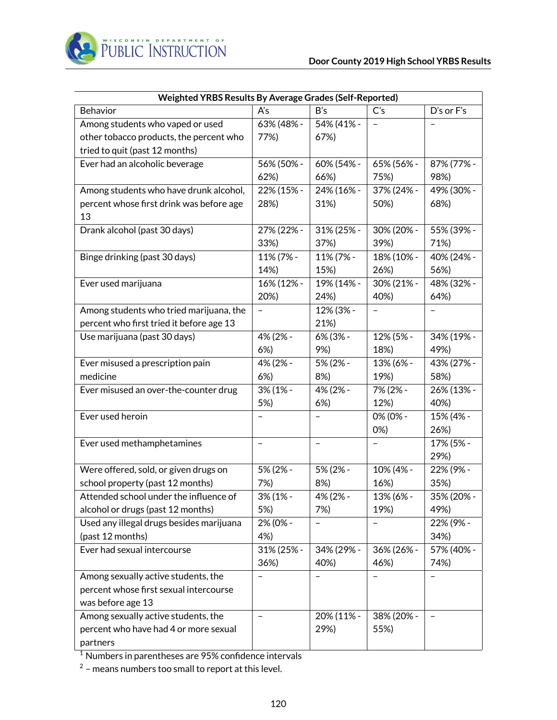

|                                          | Weighted YRBS Results By Average Grades (Self-Reported) |                   |                          |            |  |  |  |
|------------------------------------------|---------------------------------------------------------|-------------------|--------------------------|------------|--|--|--|
| Behavior                                 | A's                                                     | B's               | C's                      | D's or F's |  |  |  |
| Among students who vaped or used         | 63% (48% -                                              | 54% (41% -        |                          |            |  |  |  |
| other tobacco products, the percent who  | 77%)                                                    | 67%)              |                          |            |  |  |  |
| tried to quit (past 12 months)           |                                                         |                   |                          |            |  |  |  |
| Ever had an alcoholic beverage           | 56% (50% -                                              | 60% (54% -        | 65% (56% -               | 87% (77% - |  |  |  |
|                                          | 62%)                                                    | 66%)              | 75%)                     | 98%)       |  |  |  |
| Among students who have drunk alcohol,   | 22% (15% -                                              | 24% (16% -        | 37% (24% -               | 49% (30% - |  |  |  |
| percent whose first drink was before age | 28%)                                                    | 31%)              | 50%)                     | 68%)       |  |  |  |
| 13                                       |                                                         |                   |                          |            |  |  |  |
| Drank alcohol (past 30 days)             | 27% (22% -                                              | 31% (25% -        | 30% (20% -               | 55% (39% - |  |  |  |
|                                          | 33%)                                                    | 37%)              | 39%)                     | 71%)       |  |  |  |
| Binge drinking (past 30 days)            | 11% (7% -                                               | 11% (7% -         | 18% (10% -               | 40% (24% - |  |  |  |
|                                          | 14%)                                                    | 15%)              | 26%)                     | 56%)       |  |  |  |
| Ever used marijuana                      | 16% (12% -                                              | 19% (14% -        | 30% (21% -               | 48% (32% - |  |  |  |
|                                          | 20%)                                                    | 24%)              | 40%)                     | 64%)       |  |  |  |
| Among students who tried marijuana, the  | -                                                       | 12% (3% -         |                          |            |  |  |  |
| percent who first tried it before age 13 |                                                         | 21%)              |                          |            |  |  |  |
| Use marijuana (past 30 days)             | 4% (2% -                                                | 6% (3% -          | 12% (5% -                | 34% (19% - |  |  |  |
|                                          | 6%)                                                     | 9%)               | 18%)                     | 49%)       |  |  |  |
| Ever misused a prescription pain         | 4% (2% -                                                | 5% (2% -          | 13% (6% -                | 43% (27% - |  |  |  |
| medicine                                 | 6%                                                      | 8%)               | 19%)                     | 58%)       |  |  |  |
| Ever misused an over-the-counter drug    | 3% (1% -                                                | 4% (2% -          | 7% (2% -                 | 26% (13% - |  |  |  |
|                                          | 5%)                                                     | 6%)               | 12%)                     | 40%)       |  |  |  |
| Ever used heroin                         |                                                         |                   | 0% (0% -                 | 15% (4% -  |  |  |  |
|                                          |                                                         |                   | $0\%)$                   | 26%)       |  |  |  |
| Ever used methamphetamines               | $\qquad \qquad -$                                       | $\qquad \qquad -$ |                          | 17% (5% -  |  |  |  |
|                                          |                                                         |                   |                          | 29%)       |  |  |  |
| Were offered, sold, or given drugs on    | 5% (2% -                                                | 5% (2% -          | 10% (4% -                | 22% (9% -  |  |  |  |
| school property (past 12 months)         | 7%)                                                     | 8%)               | 16%)                     | 35%)       |  |  |  |
| Attended school under the influence of   | 3% (1% -                                                | 4% (2% -          | 13% (6% -                | 35% (20% - |  |  |  |
| alcohol or drugs (past 12 months)        | 5%)                                                     | 7%)               | 19%)                     | 49%)       |  |  |  |
| Used any illegal drugs besides marijuana | 2% (0% -                                                | $\qquad \qquad -$ | $\overline{\phantom{0}}$ | 22% (9% -  |  |  |  |
| (past 12 months)                         | 4%)                                                     |                   |                          | 34%)       |  |  |  |
| Ever had sexual intercourse              | 31% (25% -                                              | 34% (29% -        | 36% (26% -               | 57% (40% - |  |  |  |
|                                          | 36%)                                                    | 40%)              | 46%)                     | 74%)       |  |  |  |
| Among sexually active students, the      |                                                         |                   |                          |            |  |  |  |
| percent whose first sexual intercourse   |                                                         |                   |                          |            |  |  |  |
| was before age 13                        |                                                         |                   |                          |            |  |  |  |
| Among sexually active students, the      | $\qquad \qquad -$                                       | 20% (11% -        | 38% (20% -               |            |  |  |  |
| percent who have had 4 or more sexual    |                                                         | 29%)              | 55%)                     |            |  |  |  |
| partners                                 |                                                         |                   |                          |            |  |  |  |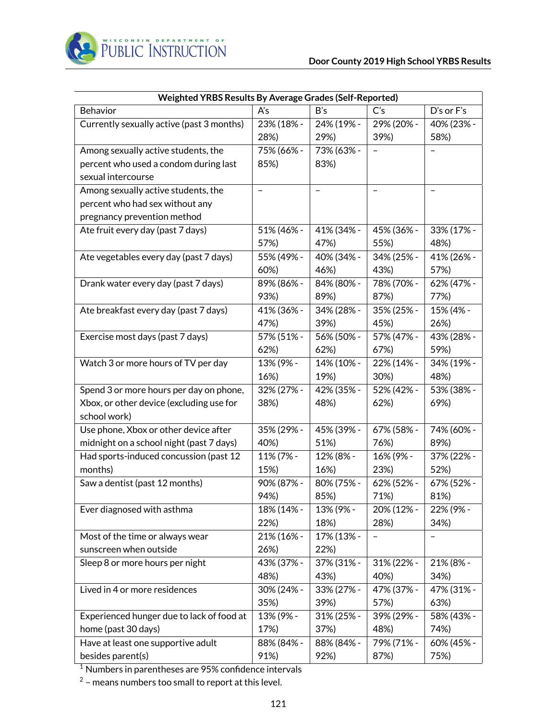| Weighted YRBS Results By Average Grades (Self-Reported) |                          |                          |                          |                   |
|---------------------------------------------------------|--------------------------|--------------------------|--------------------------|-------------------|
| Behavior                                                | A's                      | B's                      | C's                      | D's or F's        |
| Currently sexually active (past 3 months)               | 23% (18% -               | 24% (19% -               | 29% (20% -               | 40% (23% -        |
|                                                         | 28%)                     | 29%)                     | 39%)                     | 58%)              |
| Among sexually active students, the                     | 75% (66% -               | 73% (63% -               |                          |                   |
| percent who used a condom during last                   | 85%)                     | 83%)                     |                          |                   |
| sexual intercourse                                      |                          |                          |                          |                   |
| Among sexually active students, the                     | $\overline{\phantom{0}}$ | $\overline{\phantom{0}}$ | $\overline{\phantom{0}}$ | $\qquad \qquad -$ |
| percent who had sex without any                         |                          |                          |                          |                   |
| pregnancy prevention method                             |                          |                          |                          |                   |
| Ate fruit every day (past 7 days)                       | 51% (46% -               | 41% (34% -               | 45% (36% -               | 33% (17% -        |
|                                                         | 57%)                     | 47%)                     | 55%)                     | 48%)              |
| Ate vegetables every day (past 7 days)                  | 55% (49% -               | 40% (34% -               | 34% (25% -               | 41% (26% -        |
|                                                         | 60%)                     | 46%)                     | 43%)                     | 57%)              |
| Drank water every day (past 7 days)                     | 89% (86% -               | 84% (80% -               | 78% (70% -               | 62% (47% -        |
|                                                         | 93%)                     | 89%)                     | 87%)                     | 77%)              |
| Ate breakfast every day (past 7 days)                   | 41% (36% -               | 34% (28% -               | 35% (25% -               | 15% (4% -         |
|                                                         | 47%)                     | 39%)                     | 45%)                     | 26%)              |
| Exercise most days (past 7 days)                        | 57% (51% -               | 56% (50% -               | 57% (47% -               | 43% (28% -        |
|                                                         | 62%)                     | 62%)                     | 67%)                     | 59%)              |
| Watch 3 or more hours of TV per day                     | 13% (9% -                | 14% (10% -               | 22% (14% -               | 34% (19% -        |
|                                                         | 16%)                     | 19%)                     | 30%)                     | 48%)              |
| Spend 3 or more hours per day on phone,                 | 32% (27% -               | 42% (35% -               | 52% (42% -               | 53% (38% -        |
| Xbox, or other device (excluding use for                | 38%)                     | 48%)                     | 62%)                     | 69%)              |
| school work)                                            |                          |                          |                          |                   |
| Use phone, Xbox or other device after                   | 35% (29% -               | 45% (39% -               | 67% (58% -               | 74% (60% -        |
| midnight on a school night (past 7 days)                | 40%)                     | 51%)                     | 76%)                     | 89%)              |
| Had sports-induced concussion (past 12                  | 11% (7% -                | 12% (8% -                | 16% (9% -                | 37% (22% -        |
| months)                                                 | 15%)                     | 16%)                     | 23%)                     | 52%)              |
| Saw a dentist (past 12 months)                          | 90% (87% -               | 80% (75% -               | 62% (52% -               | 67% (52% -        |
|                                                         | 94%)                     | 85%)                     | 71%)                     | 81%)              |
| Ever diagnosed with asthma                              | 18% (14% -               | 13% (9% -                | 20% (12% -               | 22% (9% -         |
|                                                         | 22%)                     | 18%)                     | 28%)                     | 34%)              |
| Most of the time or always wear                         | 21% (16% -               | 17% (13% -               |                          |                   |
| sunscreen when outside                                  | 26%)                     | 22%)                     |                          |                   |
| Sleep 8 or more hours per night                         | 43% (37% -               | 37% (31% -               | 31% (22% -               | 21% (8% -         |
|                                                         | 48%)                     | 43%)                     | 40%)                     | 34%)              |
| Lived in 4 or more residences                           | 30% (24% -               | 33% (27% -               | 47% (37% -               | 47% (31% -        |
|                                                         | 35%)                     | 39%)                     | 57%)                     | 63%)              |
| Experienced hunger due to lack of food at               | 13% (9% -                | 31% (25% -               | 39% (29% -               | 58% (43% -        |
| home (past 30 days)                                     | 17%)                     | 37%)                     | 48%)                     | 74%)              |
| Have at least one supportive adult                      | 88% (84% -               | 88% (84% -               | 79% (71% -               | 60% (45% -        |
| besides parent(s)                                       | 91%)                     | 92%)                     | 87%)                     | 75%)              |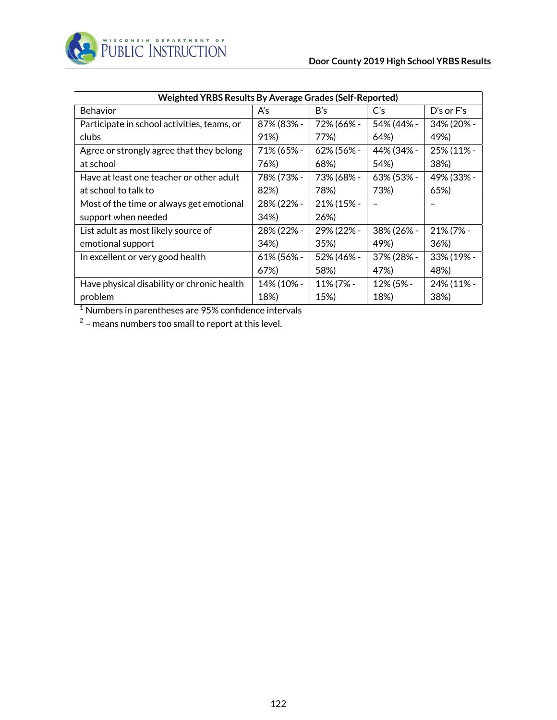

| Weighted YRBS Results By Average Grades (Self-Reported) |            |            |                |                |
|---------------------------------------------------------|------------|------------|----------------|----------------|
| Behavior                                                | A's        | B's        | C <sub>S</sub> | $D's$ or $F's$ |
| Participate in school activities, teams, or             | 87% (83% - | 72% (66% - | 54% (44% -     | 34% (20% -     |
| clubs                                                   | 91%)       | 77%)       | 64%)           | 49%)           |
| Agree or strongly agree that they belong                | 71% (65% - | 62% (56% - | 44% (34% -     | 25% (11% -     |
| at school                                               | 76%)       | 68%)       | 54%)           | 38%)           |
| Have at least one teacher or other adult                | 78% (73% - | 73% (68% - | 63% (53% -     | 49% (33% -     |
| at school to talk to                                    | 82%)       | 78%)       | 73%)           | 65%)           |
| Most of the time or always get emotional                | 28% (22% - | 21% (15% - |                |                |
| support when needed                                     | 34%)       | 26%)       |                |                |
| List adult as most likely source of                     | 28% (22% - | 29% (22% - | 38% (26% -     | 21% (7% -      |
| emotional support                                       | 34%)       | 35%)       | 49%)           | 36%)           |
| In excellent or very good health                        | 61% (56% - | 52% (46% - | 37% (28% -     | 33% (19% -     |
|                                                         | 67%)       | 58%)       | 47%)           | 48%)           |
| Have physical disability or chronic health              | 14% (10% - | 11% (7% -  | 12% (5% -      | 24% (11% -     |
| problem                                                 | 18%)       | 15%)       | 18%)           | 38%)           |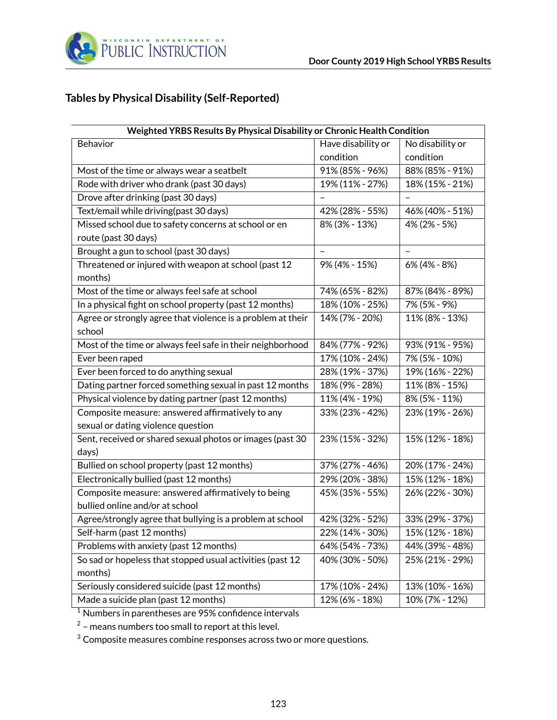

# **Tables by Physical Disability (Self-Reported)**

| Weighted YRBS Results By Physical Disability or Chronic Health Condition |                          |                  |  |
|--------------------------------------------------------------------------|--------------------------|------------------|--|
| Behavior                                                                 | Have disability or       | No disability or |  |
|                                                                          | condition                | condition        |  |
| Most of the time or always wear a seatbelt                               | 91% (85% - 96%)          | 88% (85% - 91%)  |  |
| Rode with driver who drank (past 30 days)                                | 19% (11% - 27%)          | 18% (15% - 21%)  |  |
| Drove after drinking (past 30 days)                                      |                          |                  |  |
| Text/email while driving(past 30 days)                                   | 42% (28% - 55%)          | 46% (40% - 51%)  |  |
| Missed school due to safety concerns at school or en                     | 8% (3% - 13%)            | 4% (2% - 5%)     |  |
| route (past 30 days)                                                     |                          |                  |  |
| Brought a gun to school (past 30 days)                                   | $\overline{\phantom{0}}$ |                  |  |
| Threatened or injured with weapon at school (past 12                     | 9% (4% - 15%)            | 6% (4% - 8%)     |  |
| months)                                                                  |                          |                  |  |
| Most of the time or always feel safe at school                           | 74% (65% - 82%)          | 87% (84% - 89%)  |  |
| In a physical fight on school property (past 12 months)                  | 18% (10% - 25%)          | 7% (5% - 9%)     |  |
| Agree or strongly agree that violence is a problem at their              | 14% (7% - 20%)           | 11% (8% - 13%)   |  |
| school                                                                   |                          |                  |  |
| Most of the time or always feel safe in their neighborhood               | 84% (77% - 92%)          | 93% (91% - 95%)  |  |
| Ever been raped                                                          | 17% (10% - 24%)          | 7% (5% - 10%)    |  |
| Ever been forced to do anything sexual                                   | 28% (19% - 37%)          | 19% (16% - 22%)  |  |
| Dating partner forced something sexual in past 12 months                 | 18% (9% - 28%)           | 11% (8% - 15%)   |  |
| Physical violence by dating partner (past 12 months)                     | 11% (4% - 19%)           | 8% (5% - 11%)    |  |
| Composite measure: answered affirmatively to any                         | 33% (23% - 42%)          | 23% (19% - 26%)  |  |
| sexual or dating violence question                                       |                          |                  |  |
| Sent, received or shared sexual photos or images (past 30                | 23% (15% - 32%)          | 15% (12% - 18%)  |  |
| days)                                                                    |                          |                  |  |
| Bullied on school property (past 12 months)                              | 37% (27% - 46%)          | 20% (17% - 24%)  |  |
| Electronically bullied (past 12 months)                                  | 29% (20% - 38%)          | 15% (12% - 18%)  |  |
| Composite measure: answered affirmatively to being                       | 45% (35% - 55%)          | 26% (22% - 30%)  |  |
| bullied online and/or at school                                          |                          |                  |  |
| Agree/strongly agree that bullying is a problem at school                | 42% (32% - 52%)          | 33% (29% - 37%)  |  |
| Self-harm (past 12 months)                                               | 22% (14% - 30%)          | 15% (12% - 18%)  |  |
| Problems with anxiety (past 12 months)                                   | 64% (54% - 73%)          | 44% (39% - 48%)  |  |
| So sad or hopeless that stopped usual activities (past 12                | 40% (30% - 50%)          | 25% (21% - 29%)  |  |
| months)                                                                  |                          |                  |  |
| Seriously considered suicide (past 12 months)                            | 17% (10% - 24%)          | 13% (10% - 16%)  |  |
| Made a suicide plan (past 12 months)                                     | 12% (6% - 18%)           | 10% (7% - 12%)   |  |

<sup>1</sup> Numbers in parentheses are 95% confidence intervals

 $2$  – means numbers too small to report at this level.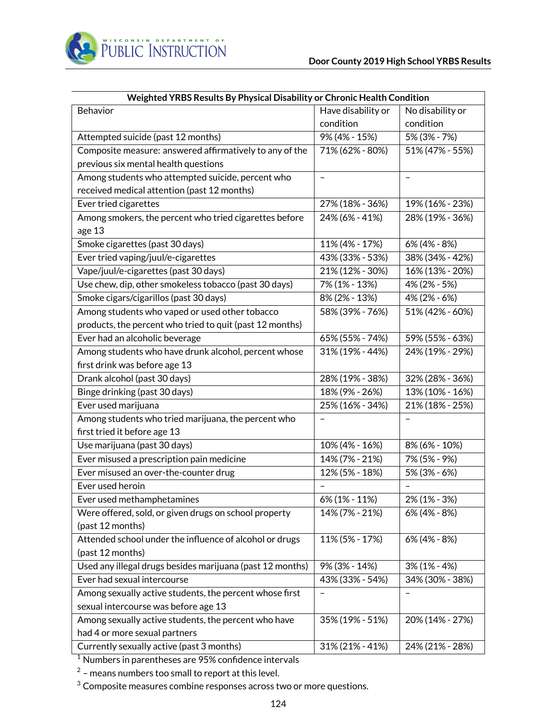

| Weighted YRBS Results By Physical Disability or Chronic Health Condition |                    |                          |  |
|--------------------------------------------------------------------------|--------------------|--------------------------|--|
| Behavior                                                                 | Have disability or | No disability or         |  |
|                                                                          | condition          | condition                |  |
| Attempted suicide (past 12 months)                                       | 9% (4% - 15%)      | $5\%$ (3% - 7%)          |  |
| Composite measure: answered affirmatively to any of the                  | 71% (62% - 80%)    | 51% (47% - 55%)          |  |
| previous six mental health questions                                     |                    |                          |  |
| Among students who attempted suicide, percent who                        |                    | $\overline{\phantom{0}}$ |  |
| received medical attention (past 12 months)                              |                    |                          |  |
| Ever tried cigarettes                                                    | 27% (18% - 36%)    | 19% (16% - 23%)          |  |
| Among smokers, the percent who tried cigarettes before                   | 24% (6% - 41%)     | 28% (19% - 36%)          |  |
| age 13                                                                   |                    |                          |  |
| Smoke cigarettes (past 30 days)                                          | 11% (4% - 17%)     | $6\%$ (4% - 8%)          |  |
| Ever tried vaping/juul/e-cigarettes                                      | 43% (33% - 53%)    | 38% (34% - 42%)          |  |
| Vape/juul/e-cigarettes (past 30 days)                                    | 21% (12% - 30%)    | 16% (13% - 20%)          |  |
| Use chew, dip, other smokeless tobacco (past 30 days)                    | 7% (1% - 13%)      | 4% (2% - 5%)             |  |
| Smoke cigars/cigarillos (past 30 days)                                   | 8% (2% - 13%)      | 4% (2% - 6%)             |  |
| Among students who vaped or used other tobacco                           | 58% (39% - 76%)    | 51% (42% - 60%)          |  |
| products, the percent who tried to quit (past 12 months)                 |                    |                          |  |
| Ever had an alcoholic beverage                                           | 65% (55% - 74%)    | 59% (55% - 63%)          |  |
| Among students who have drunk alcohol, percent whose                     | 31% (19% - 44%)    | 24% (19% - 29%)          |  |
| first drink was before age 13                                            |                    |                          |  |
| Drank alcohol (past 30 days)                                             | 28% (19% - 38%)    | 32% (28% - 36%)          |  |
| Binge drinking (past 30 days)                                            | 18% (9% - 26%)     | 13% (10% - 16%)          |  |
| Ever used marijuana                                                      | 25% (16% - 34%)    | 21% (18% - 25%)          |  |
| Among students who tried marijuana, the percent who                      |                    |                          |  |
| first tried it before age 13                                             |                    |                          |  |
| Use marijuana (past 30 days)                                             | 10% (4% - 16%)     | 8% (6% - 10%)            |  |
| Ever misused a prescription pain medicine                                | 14% (7% - 21%)     | 7% (5% - 9%)             |  |
| Ever misused an over-the-counter drug                                    | 12% (5% - 18%)     | 5% (3% - 6%)             |  |
| Ever used heroin                                                         |                    |                          |  |
| Ever used methamphetamines                                               | 6% (1% - 11%)      | 2% (1% - 3%)             |  |
| Were offered, sold, or given drugs on school property                    | 14% (7% - 21%)     | 6% (4% - 8%)             |  |
| (past 12 months)                                                         |                    |                          |  |
| Attended school under the influence of alcohol or drugs                  | 11% (5% - 17%)     | 6% (4% - 8%)             |  |
| (past 12 months)                                                         |                    |                          |  |
| Used any illegal drugs besides marijuana (past 12 months)                | 9% (3% - 14%)      | $3\%$ (1% - 4%)          |  |
| Ever had sexual intercourse                                              | 43% (33% - 54%)    | 34% (30% - 38%)          |  |
| Among sexually active students, the percent whose first                  |                    |                          |  |
| sexual intercourse was before age 13                                     |                    |                          |  |
| Among sexually active students, the percent who have                     | 35% (19% - 51%)    | 20% (14% - 27%)          |  |
| had 4 or more sexual partners                                            |                    |                          |  |
| Currently sexually active (past 3 months)                                | 31% (21% - 41%)    | 24% (21% - 28%)          |  |

 $^2$  – means numbers too small to report at this level.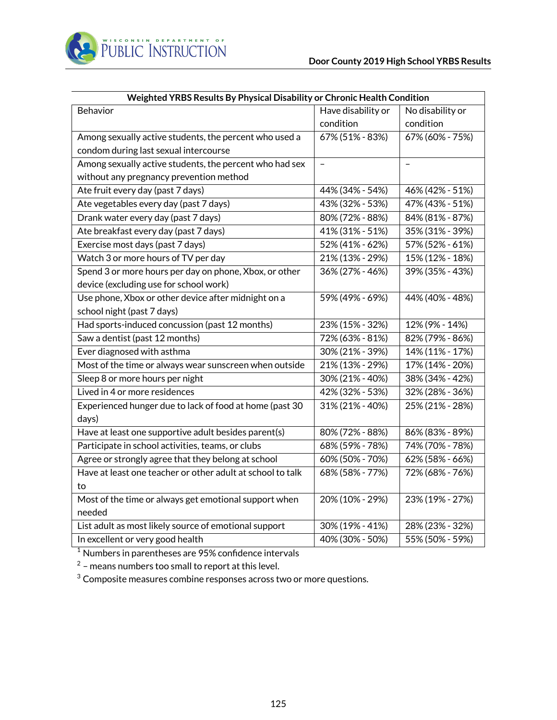

| Weighted YRBS Results By Physical Disability or Chronic Health Condition |                    |                  |  |
|--------------------------------------------------------------------------|--------------------|------------------|--|
| Behavior                                                                 | Have disability or | No disability or |  |
|                                                                          | condition          | condition        |  |
| Among sexually active students, the percent who used a                   | 67% (51% - 83%)    | 67% (60% - 75%)  |  |
| condom during last sexual intercourse                                    |                    |                  |  |
| Among sexually active students, the percent who had sex                  |                    |                  |  |
| without any pregnancy prevention method                                  |                    |                  |  |
| Ate fruit every day (past 7 days)                                        | 44% (34% - 54%)    | 46% (42% - 51%)  |  |
| Ate vegetables every day (past 7 days)                                   | 43% (32% - 53%)    | 47% (43% - 51%)  |  |
| Drank water every day (past 7 days)                                      | 80% (72% - 88%)    | 84% (81% - 87%)  |  |
| Ate breakfast every day (past 7 days)                                    | 41% (31% - 51%)    | 35% (31% - 39%)  |  |
| Exercise most days (past 7 days)                                         | 52% (41% - 62%)    | 57% (52% - 61%)  |  |
| Watch 3 or more hours of TV per day                                      | 21% (13% - 29%)    | 15% (12% - 18%)  |  |
| Spend 3 or more hours per day on phone, Xbox, or other                   | 36% (27% - 46%)    | 39% (35% - 43%)  |  |
| device (excluding use for school work)                                   |                    |                  |  |
| Use phone, Xbox or other device after midnight on a                      | 59% (49% - 69%)    | 44% (40% - 48%)  |  |
| school night (past 7 days)                                               |                    |                  |  |
| Had sports-induced concussion (past 12 months)                           | 23% (15% - 32%)    | 12% (9% - 14%)   |  |
| Saw a dentist (past 12 months)                                           | 72% (63% - 81%)    | 82% (79% - 86%)  |  |
| Ever diagnosed with asthma                                               | 30% (21% - 39%)    | 14% (11% - 17%)  |  |
| Most of the time or always wear sunscreen when outside                   | 21% (13% - 29%)    | 17% (14% - 20%)  |  |
| Sleep 8 or more hours per night                                          | 30% (21% - 40%)    | 38% (34% - 42%)  |  |
| Lived in 4 or more residences                                            | 42% (32% - 53%)    | 32% (28% - 36%)  |  |
| Experienced hunger due to lack of food at home (past 30                  | 31% (21% - 40%)    | 25% (21% - 28%)  |  |
| days)                                                                    |                    |                  |  |
| Have at least one supportive adult besides parent(s)                     | 80% (72% - 88%)    | 86% (83% - 89%)  |  |
| Participate in school activities, teams, or clubs                        | 68% (59% - 78%)    | 74% (70% - 78%)  |  |
| Agree or strongly agree that they belong at school                       | 60% (50% - 70%)    | 62% (58% - 66%)  |  |
| Have at least one teacher or other adult at school to talk               | 68% (58% - 77%)    | 72% (68% - 76%)  |  |
| to                                                                       |                    |                  |  |
| Most of the time or always get emotional support when                    | 20% (10% - 29%)    | 23% (19% - 27%)  |  |
| needed                                                                   |                    |                  |  |
| List adult as most likely source of emotional support                    | 30% (19% - 41%)    | 28% (23% - 32%)  |  |
| In excellent or very good health                                         | 40% (30% - 50%)    | 55% (50% - 59%)  |  |

 $^2$  – means numbers too small to report at this level.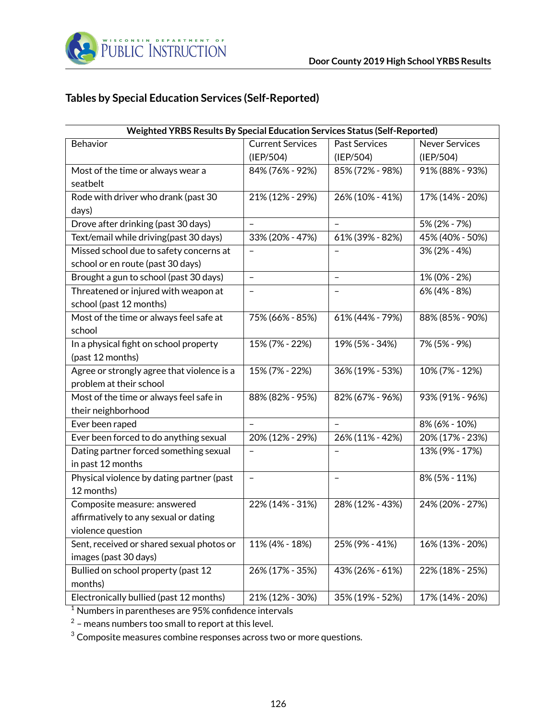

# **Tables by Special Education Services (Self-Reported)**

| Weighted YRBS Results By Special Education Services Status (Self-Reported) |                          |                          |                       |
|----------------------------------------------------------------------------|--------------------------|--------------------------|-----------------------|
| Behavior                                                                   | <b>Current Services</b>  | <b>Past Services</b>     | <b>Never Services</b> |
|                                                                            | (IEP/504)                | (IEP/504)                | (IEP/504)             |
| Most of the time or always wear a                                          | 84% (76% - 92%)          | 85% (72% - 98%)          | 91% (88% - 93%)       |
| seatbelt                                                                   |                          |                          |                       |
| Rode with driver who drank (past 30                                        | 21% (12% - 29%)          | 26% (10% - 41%)          | 17% (14% - 20%)       |
| days)                                                                      |                          |                          |                       |
| Drove after drinking (past 30 days)                                        |                          |                          | 5% (2% - 7%)          |
| Text/email while driving(past 30 days)                                     | 33% (20% - 47%)          | 61% (39% - 82%)          | 45% (40% - 50%)       |
| Missed school due to safety concerns at                                    |                          |                          | 3% (2% - 4%)          |
| school or en route (past 30 days)                                          |                          |                          |                       |
| Brought a gun to school (past 30 days)                                     | $\overline{\phantom{0}}$ | $\overline{\phantom{0}}$ | 1% (0% - 2%)          |
| Threatened or injured with weapon at                                       | $\qquad \qquad -$        | $\qquad \qquad -$        | 6% (4% - 8%)          |
| school (past 12 months)                                                    |                          |                          |                       |
| Most of the time or always feel safe at                                    | 75% (66% - 85%)          | 61% (44% - 79%)          | 88% (85% - 90%)       |
| school                                                                     |                          |                          |                       |
| In a physical fight on school property                                     | 15% (7% - 22%)           | 19% (5% - 34%)           | 7% (5% - 9%)          |
| (past 12 months)                                                           |                          |                          |                       |
| Agree or strongly agree that violence is a                                 | 15% (7% - 22%)           | 36% (19% - 53%)          | 10% (7% - 12%)        |
| problem at their school                                                    |                          |                          |                       |
| Most of the time or always feel safe in                                    | 88% (82% - 95%)          | 82% (67% - 96%)          | 93% (91% - 96%)       |
| their neighborhood                                                         |                          |                          |                       |
| Ever been raped                                                            | $\overline{\phantom{0}}$ | $\overline{\phantom{0}}$ | 8% (6% - 10%)         |
| Ever been forced to do anything sexual                                     | 20% (12% - 29%)          | 26% (11% - 42%)          | 20% (17% - 23%)       |
| Dating partner forced something sexual                                     |                          |                          | 13% (9% - 17%)        |
| in past 12 months                                                          |                          |                          |                       |
| Physical violence by dating partner (past                                  | $\overline{\phantom{a}}$ | $\overline{\phantom{a}}$ | 8% (5% - 11%)         |
| 12 months)                                                                 |                          |                          |                       |
| Composite measure: answered                                                | 22% (14% - 31%)          | 28% (12% - 43%)          | 24% (20% - 27%)       |
| affirmatively to any sexual or dating                                      |                          |                          |                       |
| violence question                                                          |                          |                          |                       |
| Sent, received or shared sexual photos or                                  | 11% (4% - 18%)           | 25% (9% - 41%)           | 16% (13% - 20%)       |
| images (past 30 days)                                                      |                          |                          |                       |
| Bullied on school property (past 12                                        | 26% (17% - 35%)          | 43% (26% - 61%)          | 22% (18% - 25%)       |
| months)                                                                    |                          |                          |                       |
| Electronically bullied (past 12 months)                                    | 21% (12% - 30%)          | 35% (19% - 52%)          | 17% (14% - 20%)       |

<sup>1</sup> Numbers in parentheses are 95% confidence intervals

 $^2$  – means numbers too small to report at this level.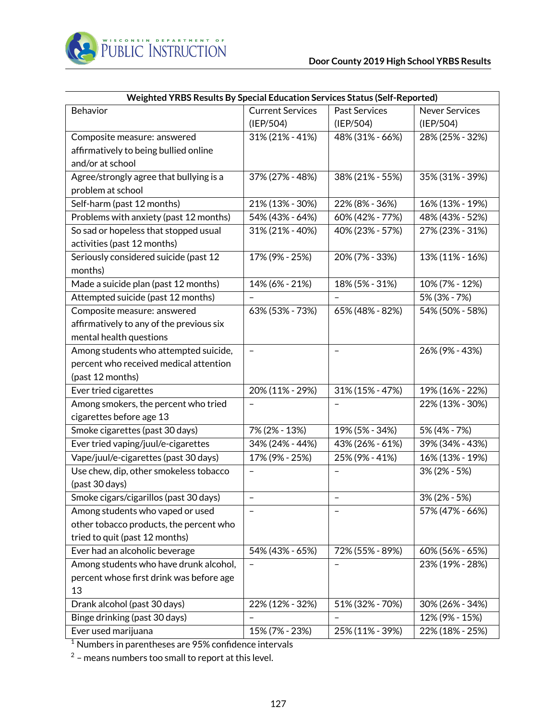

| Weighted YRBS Results By Special Education Services Status (Self-Reported) |                          |                      |                       |
|----------------------------------------------------------------------------|--------------------------|----------------------|-----------------------|
| Behavior                                                                   | <b>Current Services</b>  | <b>Past Services</b> | <b>Never Services</b> |
|                                                                            | (IEP/504)                | (IEP/504)            | (IEP/504)             |
| Composite measure: answered                                                | 31% (21% - 41%)          | 48% (31% - 66%)      | 28% (25% - 32%)       |
| affirmatively to being bullied online                                      |                          |                      |                       |
| and/or at school                                                           |                          |                      |                       |
| Agree/strongly agree that bullying is a                                    | 37% (27% - 48%)          | 38% (21% - 55%)      | 35% (31% - 39%)       |
| problem at school                                                          |                          |                      |                       |
| Self-harm (past 12 months)                                                 | 21% (13% - 30%)          | 22% (8% - 36%)       | 16% (13% - 19%)       |
| Problems with anxiety (past 12 months)                                     | 54% (43% - 64%)          | 60% (42% - 77%)      | 48% (43% - 52%)       |
| So sad or hopeless that stopped usual                                      | 31% (21% - 40%)          | 40% (23% - 57%)      | 27% (23% - 31%)       |
| activities (past 12 months)                                                |                          |                      |                       |
| Seriously considered suicide (past 12                                      | 17% (9% - 25%)           | 20% (7% - 33%)       | 13% (11% - 16%)       |
| months)                                                                    |                          |                      |                       |
| Made a suicide plan (past 12 months)                                       | 14% (6% - 21%)           | 18% (5% - 31%)       | 10% (7% - 12%)        |
| Attempted suicide (past 12 months)                                         |                          |                      | 5% (3% - 7%)          |
| Composite measure: answered                                                | 63% (53% - 73%)          | 65% (48% - 82%)      | 54% (50% - 58%)       |
| affirmatively to any of the previous six                                   |                          |                      |                       |
| mental health questions                                                    |                          |                      |                       |
| Among students who attempted suicide,                                      | $\overline{\phantom{0}}$ |                      | 26% (9% - 43%)        |
| percent who received medical attention                                     |                          |                      |                       |
| (past 12 months)                                                           |                          |                      |                       |
| Ever tried cigarettes                                                      | 20% (11% - 29%)          | 31% (15% - 47%)      | 19% (16% - 22%)       |
| Among smokers, the percent who tried                                       |                          |                      | 22% (13% - 30%)       |
| cigarettes before age 13                                                   |                          |                      |                       |
| Smoke cigarettes (past 30 days)                                            | 7% (2% - 13%)            | 19% (5% - 34%)       | 5% (4% - 7%)          |
| Ever tried vaping/juul/e-cigarettes                                        | 34% (24% - 44%)          | 43% (26% - 61%)      | 39% (34% - 43%)       |
| Vape/juul/e-cigarettes (past 30 days)                                      | 17% (9% - 25%)           | 25% (9% - 41%)       | 16% (13% - 19%)       |
| Use chew, dip, other smokeless tobacco                                     |                          |                      | $3\%$ (2% - 5%)       |
| (past 30 days)                                                             |                          |                      |                       |
| Smoke cigars/cigarillos (past 30 days)                                     |                          |                      | 3% (2% - 5%)          |
| Among students who vaped or used                                           |                          |                      | 57% (47% - 66%)       |
| other tobacco products, the percent who                                    |                          |                      |                       |
| tried to quit (past 12 months)                                             |                          |                      |                       |
| Ever had an alcoholic beverage                                             | 54% (43% - 65%)          | 72% (55% - 89%)      | 60% (56% - 65%)       |
| Among students who have drunk alcohol,                                     |                          |                      | 23% (19% - 28%)       |
| percent whose first drink was before age                                   |                          |                      |                       |
| 13                                                                         |                          |                      |                       |
| Drank alcohol (past 30 days)                                               | 22% (12% - 32%)          | 51% (32% - 70%)      | 30% (26% - 34%)       |
| Binge drinking (past 30 days)                                              |                          |                      | 12% (9% - 15%)        |
| Ever used marijuana                                                        | 15% (7% - 23%)           | 25% (11% - 39%)      | 22% (18% - 25%)       |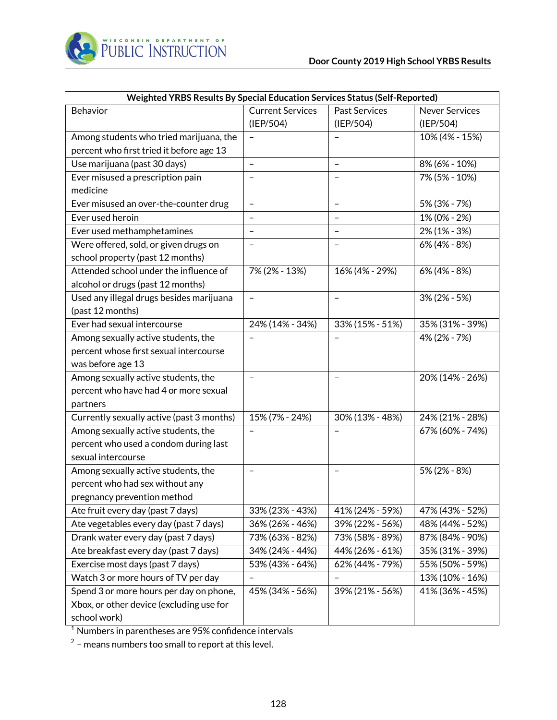

| Weighted YRBS Results By Special Education Services Status (Self-Reported) |                          |                          |                       |
|----------------------------------------------------------------------------|--------------------------|--------------------------|-----------------------|
| Behavior                                                                   | <b>Current Services</b>  | <b>Past Services</b>     | <b>Never Services</b> |
|                                                                            | (IEP/504)                | (IEP/504)                | (IEP/504)             |
| Among students who tried marijuana, the                                    |                          |                          | 10% (4% - 15%)        |
| percent who first tried it before age 13                                   |                          |                          |                       |
| Use marijuana (past 30 days)                                               | $\overline{\phantom{0}}$ | $\qquad \qquad -$        | 8% (6% - 10%)         |
| Ever misused a prescription pain                                           |                          |                          | 7% (5% - 10%)         |
| medicine                                                                   |                          |                          |                       |
| Ever misused an over-the-counter drug                                      | $\qquad \qquad -$        | $\overline{\phantom{a}}$ | 5% (3% - 7%)          |
| Ever used heroin                                                           | $\qquad \qquad -$        | $\qquad \qquad -$        | 1% (0% - 2%)          |
| Ever used methamphetamines                                                 | $\overline{\phantom{0}}$ | $\qquad \qquad -$        | $2\%$ (1% - 3%)       |
| Were offered, sold, or given drugs on                                      | $\qquad \qquad -$        |                          | 6% (4% - 8%)          |
| school property (past 12 months)                                           |                          |                          |                       |
| Attended school under the influence of                                     | 7% (2% - 13%)            | 16% (4% - 29%)           | 6% (4% - 8%)          |
| alcohol or drugs (past 12 months)                                          |                          |                          |                       |
| Used any illegal drugs besides marijuana                                   |                          |                          | $3\% (2\% - 5\%)$     |
| (past 12 months)                                                           |                          |                          |                       |
| Ever had sexual intercourse                                                | 24% (14% - 34%)          | 33% (15% - 51%)          | 35% (31% - 39%)       |
| Among sexually active students, the                                        |                          |                          | 4% (2% - 7%)          |
| percent whose first sexual intercourse                                     |                          |                          |                       |
| was before age 13                                                          |                          |                          |                       |
| Among sexually active students, the                                        | $\qquad \qquad -$        | $\overline{\phantom{a}}$ | 20% (14% - 26%)       |
| percent who have had 4 or more sexual                                      |                          |                          |                       |
| partners                                                                   |                          |                          |                       |
| Currently sexually active (past 3 months)                                  | 15% (7% - 24%)           | 30% (13% - 48%)          | 24% (21% - 28%)       |
| Among sexually active students, the                                        | $\qquad \qquad -$        |                          | 67% (60% - 74%)       |
| percent who used a condom during last                                      |                          |                          |                       |
| sexual intercourse                                                         |                          |                          |                       |
| Among sexually active students, the                                        | $\overline{\phantom{0}}$ | $\qquad \qquad -$        | 5% (2% - 8%)          |
| percent who had sex without any                                            |                          |                          |                       |
| pregnancy prevention method                                                |                          |                          |                       |
| Ate fruit every day (past 7 days)                                          | 33% (23% - 43%)          | 41% (24% - 59%)          | 47% (43% - 52%)       |
| Ate vegetables every day (past 7 days)                                     | 36% (26% - 46%)          | 39% (22% - 56%)          | 48% (44% - 52%)       |
| Drank water every day (past 7 days)                                        | 73% (63% - 82%)          | 73% (58% - 89%)          | 87% (84% - 90%)       |
| Ate breakfast every day (past 7 days)                                      | 34% (24% - 44%)          | 44% (26% - 61%)          | 35% (31% - 39%)       |
| Exercise most days (past 7 days)                                           | 53% (43% - 64%)          | 62% (44% - 79%)          | 55% (50% - 59%)       |
| Watch 3 or more hours of TV per day                                        | $\qquad \qquad -$        | $\qquad \qquad -$        | 13% (10% - 16%)       |
| Spend 3 or more hours per day on phone,                                    | 45% (34% - 56%)          | 39% (21% - 56%)          | 41% (36% - 45%)       |
| Xbox, or other device (excluding use for                                   |                          |                          |                       |
| school work)                                                               |                          |                          |                       |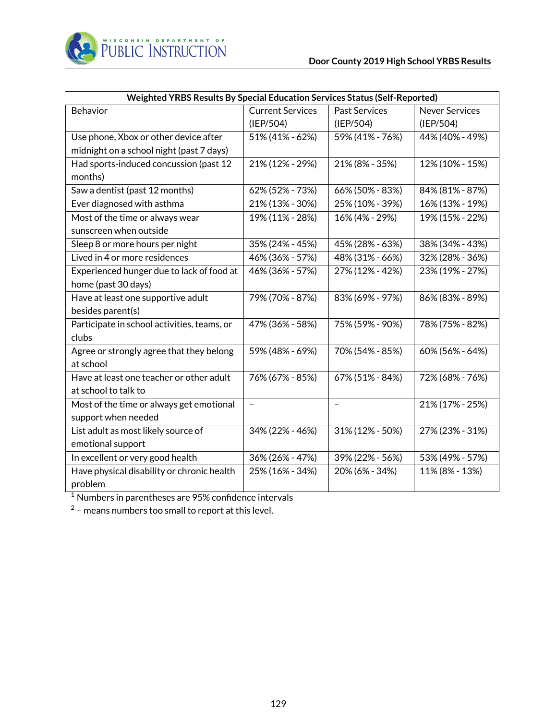

| Weighted YRBS Results By Special Education Services Status (Self-Reported) |                         |                      |                       |
|----------------------------------------------------------------------------|-------------------------|----------------------|-----------------------|
| Behavior                                                                   | <b>Current Services</b> | <b>Past Services</b> | <b>Never Services</b> |
|                                                                            | (IEP/504)               | (IEP/504)            | (IEP/504)             |
| Use phone, Xbox or other device after                                      | 51% (41% - 62%)         | 59% (41% - 76%)      | 44% (40% - 49%)       |
| midnight on a school night (past 7 days)                                   |                         |                      |                       |
| Had sports-induced concussion (past 12                                     | 21% (12% - 29%)         | 21% (8% - 35%)       | 12% (10% - 15%)       |
| months)                                                                    |                         |                      |                       |
| Saw a dentist (past 12 months)                                             | 62% (52% - 73%)         | 66% (50% - 83%)      | 84% (81% - 87%)       |
| Ever diagnosed with asthma                                                 | 21% (13% - 30%)         | 25% (10% - 39%)      | 16% (13% - 19%)       |
| Most of the time or always wear                                            | 19% (11% - 28%)         | 16% (4% - 29%)       | 19% (15% - 22%)       |
| sunscreen when outside                                                     |                         |                      |                       |
| Sleep 8 or more hours per night                                            | 35% (24% - 45%)         | 45% (28% - 63%)      | 38% (34% - 43%)       |
| Lived in 4 or more residences                                              | 46% (36% - 57%)         | 48% (31% - 66%)      | 32% (28% - 36%)       |
| Experienced hunger due to lack of food at                                  | 46% (36% - 57%)         | 27% (12% - 42%)      | 23% (19% - 27%)       |
| home (past 30 days)                                                        |                         |                      |                       |
| Have at least one supportive adult                                         | 79% (70% - 87%)         | 83% (69% - 97%)      | 86% (83% - 89%)       |
| besides parent(s)                                                          |                         |                      |                       |
| Participate in school activities, teams, or                                | 47% (36% - 58%)         | 75% (59% - 90%)      | 78% (75% - 82%)       |
| clubs                                                                      |                         |                      |                       |
| Agree or strongly agree that they belong                                   | 59% (48% - 69%)         | 70% (54% - 85%)      | 60% (56% - 64%)       |
| at school                                                                  |                         |                      |                       |
| Have at least one teacher or other adult                                   | 76% (67% - 85%)         | 67% (51% - 84%)      | 72% (68% - 76%)       |
| at school to talk to                                                       |                         |                      |                       |
| Most of the time or always get emotional                                   | $\qquad \qquad -$       |                      | 21% (17% - 25%)       |
| support when needed                                                        |                         |                      |                       |
| List adult as most likely source of                                        | 34% (22% - 46%)         | 31% (12% - 50%)      | 27% (23% - 31%)       |
| emotional support                                                          |                         |                      |                       |
| In excellent or very good health                                           | 36% (26% - 47%)         | 39% (22% - 56%)      | 53% (49% - 57%)       |
| Have physical disability or chronic health                                 | 25% (16% - 34%)         | 20% (6% - 34%)       | 11% (8% - 13%)        |
| problem                                                                    |                         |                      |                       |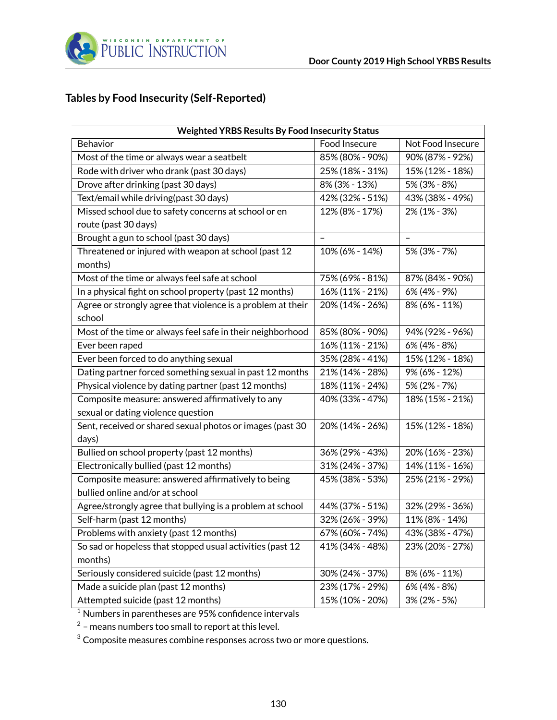

# **Tables by Food Insecurity (Self-Reported)**

| <b>Weighted YRBS Results By Food Insecurity Status</b>      |                 |                   |  |
|-------------------------------------------------------------|-----------------|-------------------|--|
| Behavior                                                    | Food Insecure   | Not Food Insecure |  |
| Most of the time or always wear a seatbelt                  | 85% (80% - 90%) | 90% (87% - 92%)   |  |
| Rode with driver who drank (past 30 days)                   | 25% (18% - 31%) | 15% (12% - 18%)   |  |
| Drove after drinking (past 30 days)                         | 8% (3% - 13%)   | 5% (3% - 8%)      |  |
| Text/email while driving(past 30 days)                      | 42% (32% - 51%) | 43% (38% - 49%)   |  |
| Missed school due to safety concerns at school or en        | 12% (8% - 17%)  | 2% (1% - 3%)      |  |
| route (past 30 days)                                        |                 |                   |  |
| Brought a gun to school (past 30 days)                      | $\equiv$        |                   |  |
| Threatened or injured with weapon at school (past 12        | 10% (6% - 14%)  | 5% (3% - 7%)      |  |
| months)                                                     |                 |                   |  |
| Most of the time or always feel safe at school              | 75% (69% - 81%) | 87% (84% - 90%)   |  |
| In a physical fight on school property (past 12 months)     | 16% (11% - 21%) | 6% (4% - 9%)      |  |
| Agree or strongly agree that violence is a problem at their | 20% (14% - 26%) | 8% (6% - 11%)     |  |
| school                                                      |                 |                   |  |
| Most of the time or always feel safe in their neighborhood  | 85% (80% - 90%) | 94% (92% - 96%)   |  |
| Ever been raped                                             | 16% (11% - 21%) | 6% (4% - 8%)      |  |
| Ever been forced to do anything sexual                      | 35% (28% - 41%) | 15% (12% - 18%)   |  |
| Dating partner forced something sexual in past 12 months    | 21% (14% - 28%) | 9% (6% - 12%)     |  |
| Physical violence by dating partner (past 12 months)        | 18% (11% - 24%) | 5% (2% - 7%)      |  |
| Composite measure: answered affirmatively to any            | 40% (33% - 47%) | 18% (15% - 21%)   |  |
| sexual or dating violence question                          |                 |                   |  |
| Sent, received or shared sexual photos or images (past 30   | 20% (14% - 26%) | 15% (12% - 18%)   |  |
| days)                                                       |                 |                   |  |
| Bullied on school property (past 12 months)                 | 36% (29% - 43%) | 20% (16% - 23%)   |  |
| Electronically bullied (past 12 months)                     | 31% (24% - 37%) | 14% (11% - 16%)   |  |
| Composite measure: answered affirmatively to being          | 45% (38% - 53%) | 25% (21% - 29%)   |  |
| bullied online and/or at school                             |                 |                   |  |
| Agree/strongly agree that bullying is a problem at school   | 44% (37% - 51%) | 32% (29% - 36%)   |  |
| Self-harm (past 12 months)                                  | 32% (26% - 39%) | 11% (8% - 14%)    |  |
| Problems with anxiety (past 12 months)                      | 67% (60% - 74%) | 43% (38% - 47%)   |  |
| So sad or hopeless that stopped usual activities (past 12   | 41% (34% - 48%) | 23% (20% - 27%)   |  |
| months)                                                     |                 |                   |  |
| Seriously considered suicide (past 12 months)               | 30% (24% - 37%) | 8% (6% - 11%)     |  |
| Made a suicide plan (past 12 months)                        | 23% (17% - 29%) | 6% (4% - 8%)      |  |
| Attempted suicide (past 12 months)                          | 15% (10% - 20%) | 3% (2% - 5%)      |  |

 $^{\rm 1}$  Numbers in parentheses are 95% confidence intervals

 $2$  – means numbers too small to report at this level.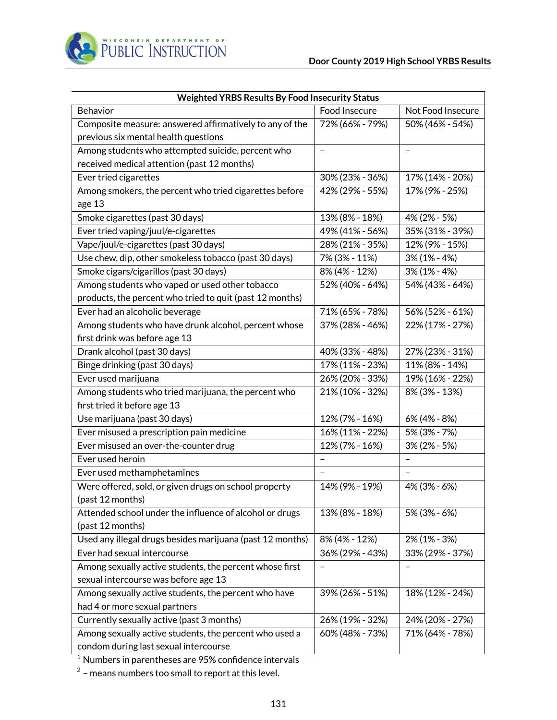| <b>Weighted YRBS Results By Food Insecurity Status</b>           |                          |                   |  |
|------------------------------------------------------------------|--------------------------|-------------------|--|
| Behavior                                                         | Food Insecure            | Not Food Insecure |  |
| Composite measure: answered affirmatively to any of the          | 72% (66% - 79%)          | 50% (46% - 54%)   |  |
| previous six mental health questions                             |                          |                   |  |
| Among students who attempted suicide, percent who                | $\overline{\phantom{0}}$ |                   |  |
| received medical attention (past 12 months)                      |                          |                   |  |
| Ever tried cigarettes                                            | 30% (23% - 36%)          | 17% (14% - 20%)   |  |
| Among smokers, the percent who tried cigarettes before<br>age 13 | 42% (29% - 55%)          | 17% (9% - 25%)    |  |
| Smoke cigarettes (past 30 days)                                  | 13% (8% - 18%)           | 4% (2% - 5%)      |  |
| Ever tried vaping/juul/e-cigarettes                              | 49% (41% - 56%)          | 35% (31% - 39%)   |  |
| Vape/juul/e-cigarettes (past 30 days)                            | 28% (21% - 35%)          | 12% (9% - 15%)    |  |
| Use chew, dip, other smokeless tobacco (past 30 days)            | 7% (3% - 11%)            | $3\%$ (1% - 4%)   |  |
| Smoke cigars/cigarillos (past 30 days)                           | 8% (4% - 12%)            | $3\%$ (1% - 4%)   |  |
| Among students who vaped or used other tobacco                   | 52% (40% - 64%)          | 54% (43% - 64%)   |  |
| products, the percent who tried to quit (past 12 months)         |                          |                   |  |
| Ever had an alcoholic beverage                                   | 71% (65% - 78%)          | 56% (52% - 61%)   |  |
| Among students who have drunk alcohol, percent whose             | 37% (28% - 46%)          | 22% (17% - 27%)   |  |
| first drink was before age 13                                    |                          |                   |  |
| Drank alcohol (past 30 days)                                     | 40% (33% - 48%)          | 27% (23% - 31%)   |  |
| Binge drinking (past 30 days)                                    | 17% (11% - 23%)          | 11% (8% - 14%)    |  |
| Ever used marijuana                                              | 26% (20% - 33%)          | 19% (16% - 22%)   |  |
| Among students who tried marijuana, the percent who              | 21% (10% - 32%)          | 8% (3% - 13%)     |  |
| first tried it before age 13                                     |                          |                   |  |
| Use marijuana (past 30 days)                                     | 12% (7% - 16%)           | 6% (4% - 8%)      |  |
| Ever misused a prescription pain medicine                        | 16% (11% - 22%)          | 5% (3% - 7%)      |  |
| Ever misused an over-the-counter drug                            | 12% (7% - 16%)           | 3% (2% - 5%)      |  |
| Ever used heroin                                                 |                          |                   |  |
| Ever used methamphetamines                                       |                          |                   |  |
| Were offered, sold, or given drugs on school property            | 14% (9% - 19%)           | 4% (3% - 6%)      |  |
| (past 12 months)                                                 |                          |                   |  |
| Attended school under the influence of alcohol or drugs          | 13% (8% - 18%)           | 5% (3% - 6%)      |  |
| (past 12 months)                                                 |                          |                   |  |
| Used any illegal drugs besides marijuana (past 12 months)        | 8% (4% - 12%)            | $2\%$ (1% - 3%)   |  |
| Ever had sexual intercourse                                      | 36% (29% - 43%)          | 33% (29% - 37%)   |  |
| Among sexually active students, the percent whose first          |                          |                   |  |
| sexual intercourse was before age 13                             |                          |                   |  |
| Among sexually active students, the percent who have             | 39% (26% - 51%)          | 18% (12% - 24%)   |  |
| had 4 or more sexual partners                                    |                          |                   |  |
| Currently sexually active (past 3 months)                        | 26% (19% - 32%)          | 24% (20% - 27%)   |  |
| Among sexually active students, the percent who used a           | 60% (48% - 73%)          | 71% (64% - 78%)   |  |
| condom during last sexual intercourse                            |                          |                   |  |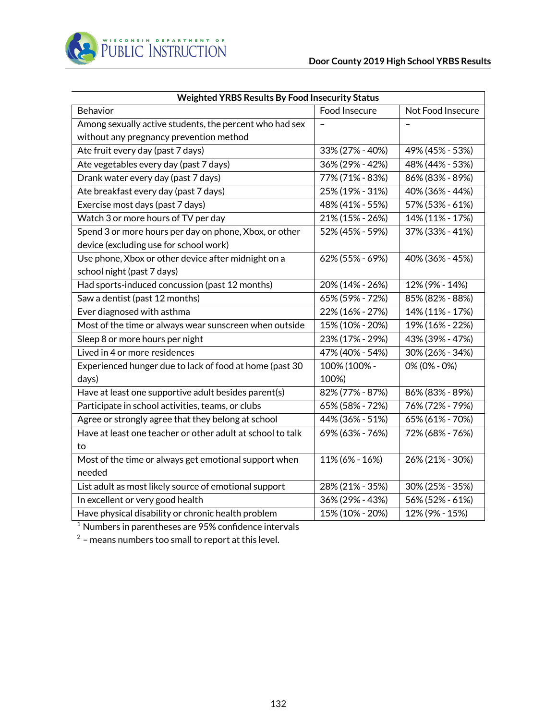| <b>Weighted YRBS Results By Food Insecurity Status</b>     |                 |                   |  |
|------------------------------------------------------------|-----------------|-------------------|--|
| Behavior                                                   | Food Insecure   | Not Food Insecure |  |
| Among sexually active students, the percent who had sex    |                 |                   |  |
| without any pregnancy prevention method                    |                 |                   |  |
| Ate fruit every day (past 7 days)                          | 33% (27% - 40%) | 49% (45% - 53%)   |  |
| Ate vegetables every day (past 7 days)                     | 36% (29% - 42%) | 48% (44% - 53%)   |  |
| Drank water every day (past 7 days)                        | 77% (71% - 83%) | 86% (83% - 89%)   |  |
| Ate breakfast every day (past 7 days)                      | 25% (19% - 31%) | 40% (36% - 44%)   |  |
| Exercise most days (past 7 days)                           | 48% (41% - 55%) | 57% (53% - 61%)   |  |
| Watch 3 or more hours of TV per day                        | 21% (15% - 26%) | 14% (11% - 17%)   |  |
| Spend 3 or more hours per day on phone, Xbox, or other     | 52% (45% - 59%) | 37% (33% - 41%)   |  |
| device (excluding use for school work)                     |                 |                   |  |
| Use phone, Xbox or other device after midnight on a        | 62% (55% - 69%) | 40% (36% - 45%)   |  |
| school night (past 7 days)                                 |                 |                   |  |
| Had sports-induced concussion (past 12 months)             | 20% (14% - 26%) | 12% (9% - 14%)    |  |
| Saw a dentist (past 12 months)                             | 65% (59% - 72%) | 85% (82% - 88%)   |  |
| Ever diagnosed with asthma                                 | 22% (16% - 27%) | 14% (11% - 17%)   |  |
| Most of the time or always wear sunscreen when outside     | 15% (10% - 20%) | 19% (16% - 22%)   |  |
| Sleep 8 or more hours per night                            | 23% (17% - 29%) | 43% (39% - 47%)   |  |
| Lived in 4 or more residences                              | 47% (40% - 54%) | 30% (26% - 34%)   |  |
| Experienced hunger due to lack of food at home (past 30    | 100% (100% -    | 0% (0% - 0%)      |  |
| days)                                                      | 100%)           |                   |  |
| Have at least one supportive adult besides parent(s)       | 82% (77% - 87%) | 86% (83% - 89%)   |  |
| Participate in school activities, teams, or clubs          | 65% (58% - 72%) | 76% (72% - 79%)   |  |
| Agree or strongly agree that they belong at school         | 44% (36% - 51%) | 65% (61% - 70%)   |  |
| Have at least one teacher or other adult at school to talk | 69% (63% - 76%) | 72% (68% - 76%)   |  |
| to                                                         |                 |                   |  |
| Most of the time or always get emotional support when      | 11% (6% - 16%)  | 26% (21% - 30%)   |  |
| needed                                                     |                 |                   |  |
| List adult as most likely source of emotional support      | 28% (21% - 35%) | 30% (25% - 35%)   |  |
| In excellent or very good health                           | 36% (29% - 43%) | 56% (52% - 61%)   |  |
| Have physical disability or chronic health problem         | 15% (10% - 20%) | 12% (9% - 15%)    |  |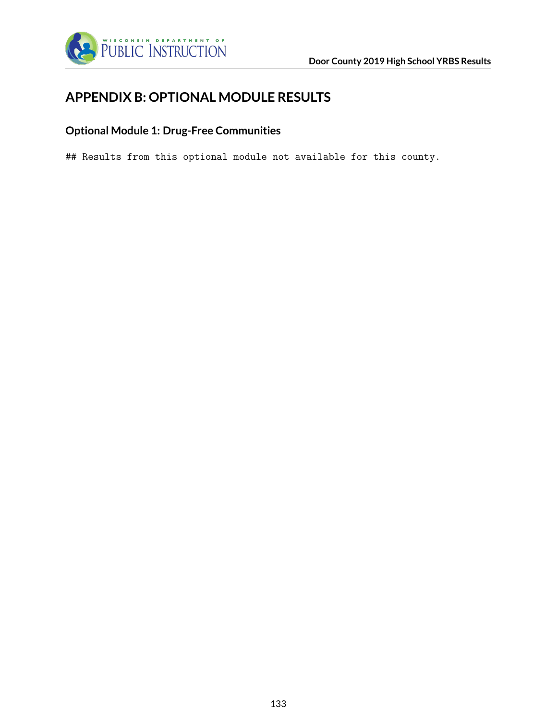

# **APPENDIX B: OPTIONAL MODULE RESULTS**

### **Optional Module 1: Drug-Free Communities**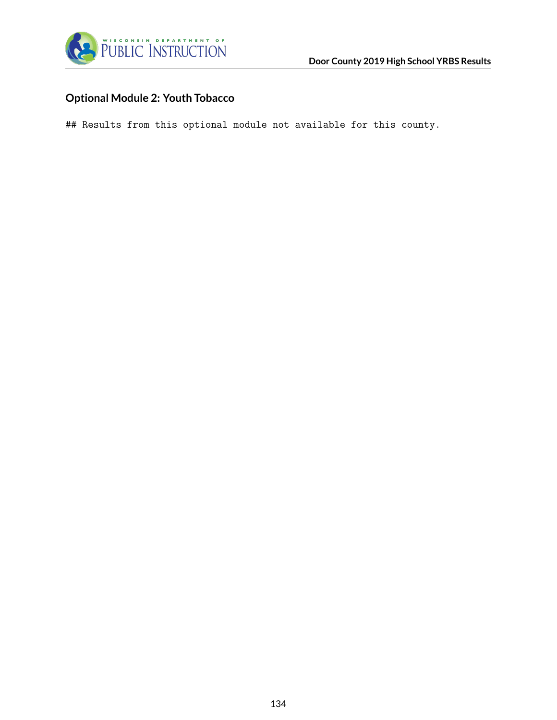

### **Optional Module 2: Youth Tobacco**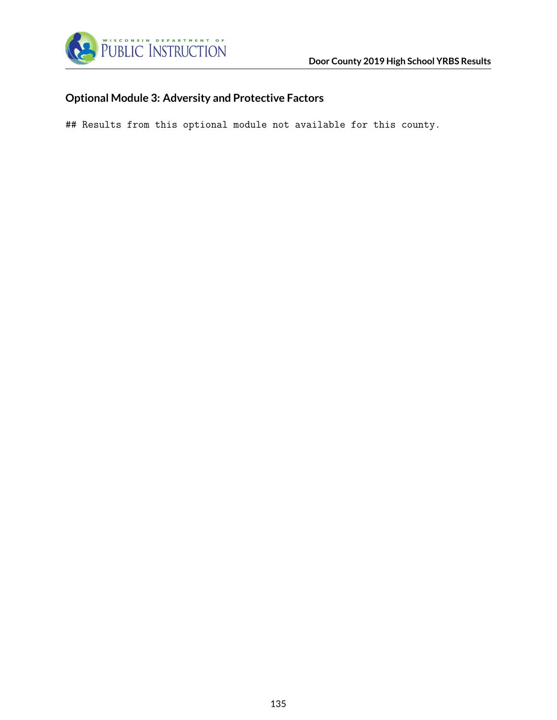

### **Optional Module 3: Adversity and Protective Factors**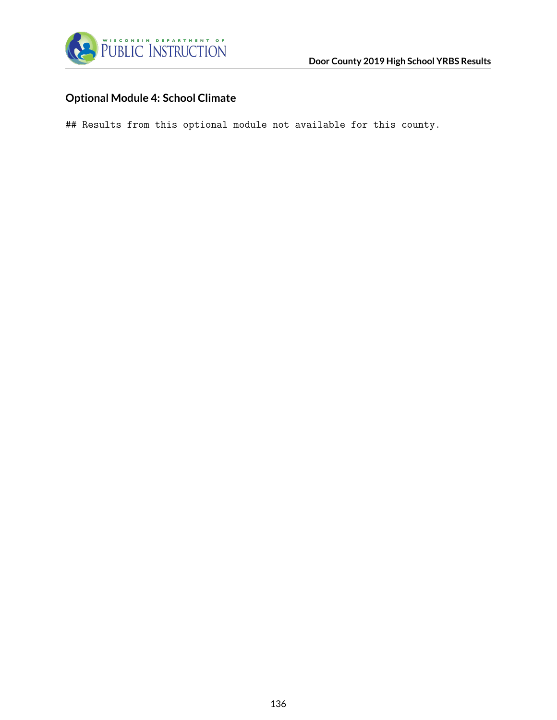

### **Optional Module 4: School Climate**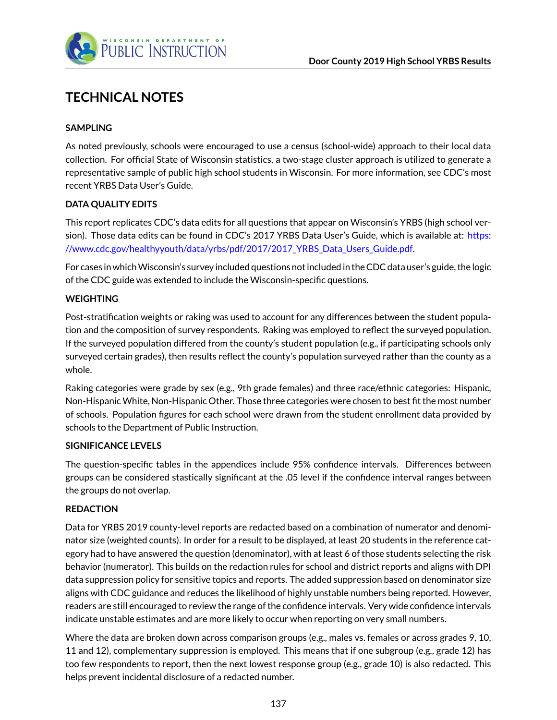

# **TECHNICAL NOTES**

### **SAMPLING**

As noted previously, schools were encouraged to use a census (school-wide) approach to their local data collection. For official State of Wisconsin statistics, a two-stage cluster approach is utilized to generate a representative sample of public high school students in Wisconsin. For more information, see CDC's most recent YRBS Data User's Guide.

#### **DATA QUALITY EDITS**

This report replicates CDC's data edits for all questions that appear on Wisconsin's YRBS (high school version). Those data edits can be found in CDC's 2017 YRBS Data User's Guide, which is available at: [https:](https://www.cdc.gov/healthyyouth/data/yrbs/pdf/2017/2017_YRBS_Data_Users_Guide.pdf) [//www.cdc.gov/healthyyouth/data/yrbs/pdf/2017/2017\\_YRBS\\_Data\\_Users\\_Guide.pdf.](https://www.cdc.gov/healthyyouth/data/yrbs/pdf/2017/2017_YRBS_Data_Users_Guide.pdf)

For cases in whichWisconsin's survey included questions not included in the CDC data user's guide, the logic of the CDC guide was extended to include the Wisconsin-specific questions.

#### **WEIGHTING**

Post-stratification weights or raking was used to account for any differences between the student population and the composition of survey respondents. Raking was employed to reflect the surveyed population. If the surveyed population differed from the county's student population (e.g., if participating schools only surveyed certain grades), then results reflect the county's population surveyed rather than the county as a whole.

Raking categories were grade by sex (e.g., 9th grade females) and three race/ethnic categories: Hispanic, Non-Hispanic White, Non-Hispanic Other. Those three categories were chosen to best fit the most number of schools. Population figures for each school were drawn from the student enrollment data provided by schools to the Department of Public Instruction.

#### **SIGNIFICANCE LEVELS**

The question-specific tables in the appendices include 95% confidence intervals. Differences between groups can be considered stastically significant at the .05 level if the confidence interval ranges between the groups do not overlap.

#### **REDACTION**

Data for YRBS 2019 county-level reports are redacted based on a combination of numerator and denominator size (weighted counts). In order for a result to be displayed, at least 20 students in the reference category had to have answered the question (denominator), with at least 6 of those students selecting the risk behavior (numerator). This builds on the redaction rules for school and district reports and aligns with DPI data suppression policy for sensitive topics and reports. The added suppression based on denominator size aligns with CDC guidance and reduces the likelihood of highly unstable numbers being reported. However, readers are still encouraged to review the range of the confidence intervals. Very wide confidence intervals indicate unstable estimates and are more likely to occur when reporting on very small numbers.

Where the data are broken down across comparison groups (e.g., males vs. females or across grades 9, 10, 11 and 12), complementary suppression is employed. This means that if one subgroup (e.g., grade 12) has too few respondents to report, then the next lowest response group (e.g., grade 10) is also redacted. This helps prevent incidental disclosure of a redacted number.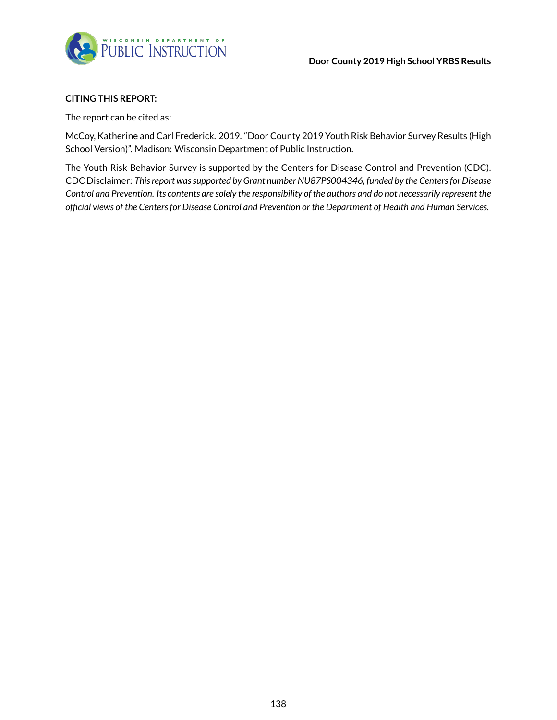

#### **CITING THIS REPORT:**

The report can be cited as:

McCoy, Katherine and Carl Frederick. 2019. "Door County 2019 Youth Risk Behavior Survey Results (High School Version)". Madison: Wisconsin Department of Public Instruction.

The Youth Risk Behavior Survey is supported by the Centers for Disease Control and Prevention (CDC). CDC Disclaimer: *This report was supported by Grant number NU87PS004346, funded by the Centers for Disease Control and Prevention. Its contents are solely the responsibility of the authors and do not necessarily represent the official views of the Centers for Disease Control and Prevention or the Department of Health and Human Services.*